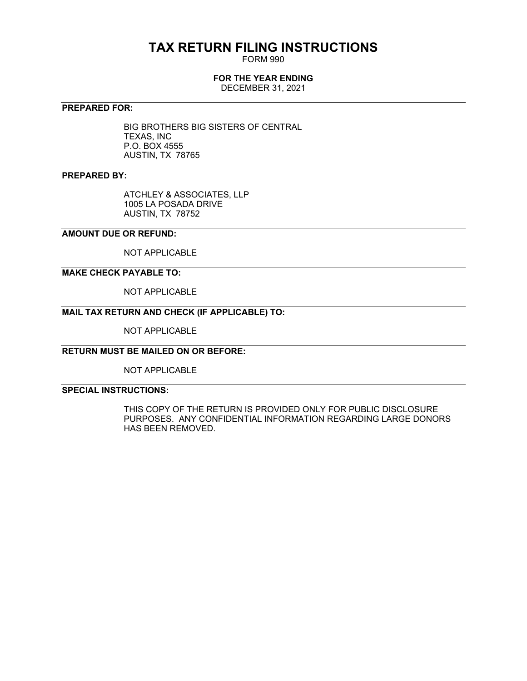# **TAX RETURN FILING INSTRUCTIONS**

FORM 990

### **FOR THE YEAR ENDING**

DECEMBER 31, 2021

#### **PREPARED FOR:**

BIG BROTHERS BIG SISTERS OF CENTRAL TEXAS, INC P.O. BOX 4555 AUSTIN, TX 78765

#### **PREPARED BY:**

ATCHLEY & ASSOCIATES, LLP 1005 LA POSADA DRIVE AUSTIN, TX 78752

### **AMOUNT DUE OR REFUND:**

NOT APPLICABLE

### **MAKE CHECK PAYABLE TO:**

NOT APPLICABLE

## **MAIL TAX RETURN AND CHECK (IF APPLICABLE) TO:**

NOT APPLICABLE

#### **RETURN MUST BE MAILED ON OR BEFORE:**

NOT APPLICABLE

#### **SPECIAL INSTRUCTIONS:**

THIS COPY OF THE RETURN IS PROVIDED ONLY FOR PUBLIC DISCLOSURE PURPOSES. ANY CONFIDENTIAL INFORMATION REGARDING LARGE DONORS HAS BEEN REMOVED.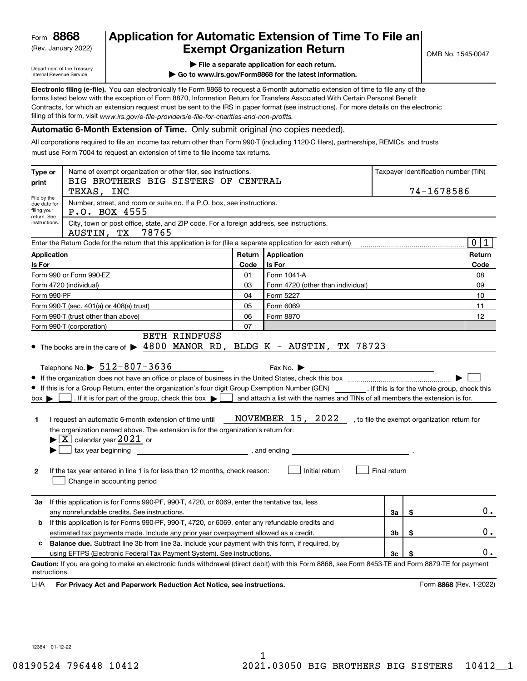(Rev. January 2022)

# **Application for Automatic Extension of Time To File an Exempt Organization Return**

Department of the Treasury Internal Revenue Service

|  |  |  | $\blacktriangleright$ File a separate application for each return. |
|--|--|--|--------------------------------------------------------------------|
|  |  |  |                                                                    |

**| Go to www.irs.gov/Form8868 for the latest information.**

**Electronic filing (e-file).**  You can electronically file Form 8868 to request a 6-month automatic extension of time to file any of the filing of this form, visit www*.irs.gov/e-file-providers/e-file-for-charities-and-non-profits.* forms listed below with the exception of Form 8870, Information Return for Transfers Associated With Certain Personal Benefit Contracts, for which an extension request must be sent to the IRS in paper format (see instructions). For more details on the electronic

#### **Automatic 6-Month Extension of Time.** Only submit original (no copies needed).

All corporations required to file an income tax return other than Form 990-T (including 1120-C filers), partnerships, REMICs, and trusts must use Form 7004 to request an extension of time to file income tax returns.

| Type or<br>print                                                                                                                                                                                                                                                                                                                                                                                                                                                                                                                                                                                                                                                                                                                                                                                                                                                                                                                                                                                                                                                         | Name of exempt organization or other filer, see instructions.<br>BIG BROTHERS BIG SISTERS OF CENTRAL<br>TEXAS, INC                                 |      |                                   | Taxpayer identification number (TIN)<br>74-1678586 |                         |        |  |  |
|--------------------------------------------------------------------------------------------------------------------------------------------------------------------------------------------------------------------------------------------------------------------------------------------------------------------------------------------------------------------------------------------------------------------------------------------------------------------------------------------------------------------------------------------------------------------------------------------------------------------------------------------------------------------------------------------------------------------------------------------------------------------------------------------------------------------------------------------------------------------------------------------------------------------------------------------------------------------------------------------------------------------------------------------------------------------------|----------------------------------------------------------------------------------------------------------------------------------------------------|------|-----------------------------------|----------------------------------------------------|-------------------------|--------|--|--|
| File by the<br>due date for<br>filing your<br>return. See                                                                                                                                                                                                                                                                                                                                                                                                                                                                                                                                                                                                                                                                                                                                                                                                                                                                                                                                                                                                                | Number, street, and room or suite no. If a P.O. box, see instructions.<br>P.O. BOX 4555                                                            |      |                                   |                                                    |                         |        |  |  |
| City, town or post office, state, and ZIP code. For a foreign address, see instructions.<br>instructions.<br>78765<br>TХ<br>AUSTIN,<br>$\mathbf 0$<br>Enter the Return Code for the return that this application is for (file a separate application for each return)<br>Application<br><b>Application</b><br>Return                                                                                                                                                                                                                                                                                                                                                                                                                                                                                                                                                                                                                                                                                                                                                     |                                                                                                                                                    |      |                                   |                                                    |                         |        |  |  |
|                                                                                                                                                                                                                                                                                                                                                                                                                                                                                                                                                                                                                                                                                                                                                                                                                                                                                                                                                                                                                                                                          |                                                                                                                                                    |      |                                   |                                                    |                         | 1      |  |  |
|                                                                                                                                                                                                                                                                                                                                                                                                                                                                                                                                                                                                                                                                                                                                                                                                                                                                                                                                                                                                                                                                          |                                                                                                                                                    |      |                                   |                                                    |                         | Return |  |  |
| Is For                                                                                                                                                                                                                                                                                                                                                                                                                                                                                                                                                                                                                                                                                                                                                                                                                                                                                                                                                                                                                                                                   |                                                                                                                                                    | Code | Is For                            |                                                    |                         | Code   |  |  |
|                                                                                                                                                                                                                                                                                                                                                                                                                                                                                                                                                                                                                                                                                                                                                                                                                                                                                                                                                                                                                                                                          | Form 990 or Form 990-EZ                                                                                                                            | 01   | Form 1041-A                       |                                                    |                         | 08     |  |  |
|                                                                                                                                                                                                                                                                                                                                                                                                                                                                                                                                                                                                                                                                                                                                                                                                                                                                                                                                                                                                                                                                          | Form 4720 (individual)                                                                                                                             | 03   | Form 4720 (other than individual) |                                                    |                         | 09     |  |  |
| Form 990-PF                                                                                                                                                                                                                                                                                                                                                                                                                                                                                                                                                                                                                                                                                                                                                                                                                                                                                                                                                                                                                                                              |                                                                                                                                                    | 04   | Form 5227                         |                                                    |                         | 10     |  |  |
|                                                                                                                                                                                                                                                                                                                                                                                                                                                                                                                                                                                                                                                                                                                                                                                                                                                                                                                                                                                                                                                                          | Form 990-T (sec. 401(a) or 408(a) trust)                                                                                                           | 05   | Form 6069                         |                                                    |                         | 11     |  |  |
| 06<br>Form 8870<br>Form 990-T (trust other than above)                                                                                                                                                                                                                                                                                                                                                                                                                                                                                                                                                                                                                                                                                                                                                                                                                                                                                                                                                                                                                   |                                                                                                                                                    |      |                                   |                                                    | 12                      |        |  |  |
|                                                                                                                                                                                                                                                                                                                                                                                                                                                                                                                                                                                                                                                                                                                                                                                                                                                                                                                                                                                                                                                                          | Form 990-T (corporation)<br><b>BETH RINDFUSS</b>                                                                                                   | 07   |                                   |                                                    |                         |        |  |  |
| • The books are in the care of $\triangleright$ 4800 MANOR RD, BLDG K - AUSTIN, TX 78723<br>Telephone No. $\triangleright$ 512-807-3636<br>Fax No. $\blacktriangleright$<br><u> 1989 - Johann Barn, mars et al. (b. 1989)</u><br>If this is for a Group Return, enter the organization's four digit Group Exemption Number (GEN) __________. If this is for the whole group, check this<br>and attach a list with the names and TINs of all members the extension is for.<br>. If it is for part of the group, check this box $\blacktriangleright$  <br>$box \blacktriangleright$<br>NOVEMBER 15, 2022<br>I request an automatic 6-month extension of time until<br>, to file the exempt organization return for<br>1<br>the organization named above. The extension is for the organization's return for:<br>$\blacktriangleright$ $\boxed{\text{X}}$ calendar year 2021 or<br>tax year beginning<br>, and ending<br>If the tax year entered in line 1 is for less than 12 months, check reason:<br>Initial return<br>Final return<br>2<br>Change in accounting period |                                                                                                                                                    |      |                                   |                                                    |                         |        |  |  |
| За                                                                                                                                                                                                                                                                                                                                                                                                                                                                                                                                                                                                                                                                                                                                                                                                                                                                                                                                                                                                                                                                       | If this application is for Forms 990-PF, 990-T, 4720, or 6069, enter the tentative tax, less<br>any nonrefundable credits. See instructions.       |      |                                   | За                                                 | \$                      | $0$ .  |  |  |
| b                                                                                                                                                                                                                                                                                                                                                                                                                                                                                                                                                                                                                                                                                                                                                                                                                                                                                                                                                                                                                                                                        | If this application is for Forms 990-PF, 990-T, 4720, or 6069, enter any refundable credits and                                                    |      |                                   |                                                    |                         |        |  |  |
|                                                                                                                                                                                                                                                                                                                                                                                                                                                                                                                                                                                                                                                                                                                                                                                                                                                                                                                                                                                                                                                                          | estimated tax payments made. Include any prior year overpayment allowed as a credit.                                                               |      |                                   | 3 <sub>b</sub>                                     | \$                      | 0.     |  |  |
| c                                                                                                                                                                                                                                                                                                                                                                                                                                                                                                                                                                                                                                                                                                                                                                                                                                                                                                                                                                                                                                                                        | <b>Balance due.</b> Subtract line 3b from line 3a. Include your payment with this form, if required, by                                            |      |                                   |                                                    |                         |        |  |  |
|                                                                                                                                                                                                                                                                                                                                                                                                                                                                                                                                                                                                                                                                                                                                                                                                                                                                                                                                                                                                                                                                          | using EFTPS (Electronic Federal Tax Payment System). See instructions.                                                                             |      |                                   | 3c                                                 | \$                      | $0$ .  |  |  |
| instructions.                                                                                                                                                                                                                                                                                                                                                                                                                                                                                                                                                                                                                                                                                                                                                                                                                                                                                                                                                                                                                                                            | Caution: If you are going to make an electronic funds withdrawal (direct debit) with this Form 8868, see Form 8453-TE and Form 8879-TE for payment |      |                                   |                                                    |                         |        |  |  |
| LHA                                                                                                                                                                                                                                                                                                                                                                                                                                                                                                                                                                                                                                                                                                                                                                                                                                                                                                                                                                                                                                                                      | For Privacy Act and Paperwork Reduction Act Notice, see instructions.                                                                              |      |                                   |                                                    | Form 8868 (Rev. 1-2022) |        |  |  |

123841 01-12-22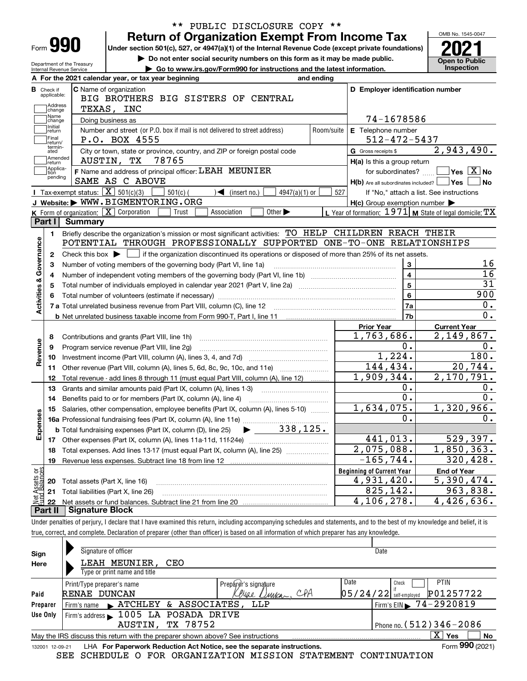|                                  |                        | PUBLIC DISCLOSURE COPY **<br>$***$                                                                                                                                         |                                                           |                                                      |
|----------------------------------|------------------------|----------------------------------------------------------------------------------------------------------------------------------------------------------------------------|-----------------------------------------------------------|------------------------------------------------------|
|                                  |                        | <b>Return of Organization Exempt From Income Tax</b>                                                                                                                       |                                                           | OMB No. 1545-0047                                    |
| Form <b>990</b>                  |                        | Under section 501(c), 527, or 4947(a)(1) of the Internal Revenue Code (except private foundations)                                                                         |                                                           |                                                      |
| Department of the Treasury       |                        | Do not enter social security numbers on this form as it may be made public.                                                                                                |                                                           | <b>Open to Public</b>                                |
| Internal Revenue Service         |                        | Go to www.irs.gov/Form990 for instructions and the latest information.                                                                                                     |                                                           | Inspection                                           |
|                                  |                        | A For the 2021 calendar year, or tax year beginning<br>and ending                                                                                                          |                                                           |                                                      |
| <b>B</b> Check if<br>applicable: |                        | <b>C</b> Name of organization<br>BIG BROTHERS BIG SISTERS OF CENTRAL                                                                                                       | D Employer identification number                          |                                                      |
| Address                          |                        | TEXAS, INC                                                                                                                                                                 |                                                           |                                                      |
| change<br>Name                   |                        | Doing business as                                                                                                                                                          | 74-1678586                                                |                                                      |
| change<br>Initial<br>return      |                        | Number and street (or P.O. box if mail is not delivered to street address)<br>Room/suite                                                                                   | E Telephone number                                        |                                                      |
| Final                            |                        | P.O. BOX 4555                                                                                                                                                              | $512 - 472 - 5437$                                        |                                                      |
| return/<br>termin-<br>ated       |                        | City or town, state or province, country, and ZIP or foreign postal code                                                                                                   | G Gross receipts \$                                       | 2,943,490.                                           |
| Amended<br> return               |                        | 78765<br>AUSTIN, TX                                                                                                                                                        | H(a) Is this a group return                               |                                                      |
| Applica-<br>tion                 |                        | F Name and address of principal officer: LEAH MEUNIER                                                                                                                      | for subordinates?                                         | $\overline{\mathsf{Yes}}$ $\overline{\mathsf{X}}$ No |
| pending                          |                        | SAME AS C ABOVE                                                                                                                                                            | $H(b)$ Are all subordinates included? $\Box$ Yes          | No                                                   |
|                                  |                        | <b>I</b> Tax-exempt status: $\boxed{\mathbf{X}}$ 501(c)(3)<br>$501(c)$ (<br>$\sqrt{\frac{1}{1}}$ (insert no.)<br>$4947(a)(1)$ or                                           | 527<br>If "No," attach a list. See instructions           |                                                      |
|                                  |                        | J Website: WWW.BIGMENTORING.ORG                                                                                                                                            | $H(c)$ Group exemption number $\blacktriangleright$       |                                                      |
|                                  |                        | K Form of organization: $\boxed{\mathbf{X}}$ Corporation<br>Trust<br>Other $\blacktriangleright$<br>Association                                                            | L Year of formation: $1971$ M State of legal domicile: TX |                                                      |
| Part I                           | <b>Summary</b>         |                                                                                                                                                                            |                                                           |                                                      |
| 1.                               |                        | Briefly describe the organization's mission or most significant activities: TO HELP CHILDREN REACH THEIR                                                                   |                                                           |                                                      |
|                                  |                        | POTENTIAL THROUGH PROFESSIONALLY SUPPORTED ONE-TO-ONE RELATIONSHIPS                                                                                                        |                                                           |                                                      |
| 2                                |                        | Check this box $\blacktriangleright$ $\blacksquare$ if the organization discontinued its operations or disposed of more than 25% of its net assets.                        |                                                           |                                                      |
|                                  |                        | Number of voting members of the governing body (Part VI, line 1a)                                                                                                          | $\mathbf{3}$                                              |                                                      |
|                                  |                        |                                                                                                                                                                            | $\overline{4}$                                            |                                                      |
|                                  |                        | Total number of individuals employed in calendar year 2021 (Part V, line 2a) manufacture controller to intervent                                                           | $5\overline{5}$                                           |                                                      |
|                                  |                        |                                                                                                                                                                            | $6\phantom{a}$                                            | 900                                                  |
| Activities & Governance          |                        |                                                                                                                                                                            | 7a                                                        |                                                      |
|                                  |                        |                                                                                                                                                                            | 7b                                                        |                                                      |
|                                  |                        |                                                                                                                                                                            | <b>Prior Year</b>                                         | <b>Current Year</b>                                  |
| 8                                |                        | Contributions and grants (Part VIII, line 1h)                                                                                                                              | 1,763,686.                                                | 2,149,867.                                           |
| 9                                |                        | Program service revenue (Part VIII, line 2g)                                                                                                                               | $\overline{0}$ .                                          |                                                      |
| Revenue<br>10                    |                        |                                                                                                                                                                            | 1,224.                                                    | 180.                                                 |
| 11                               |                        |                                                                                                                                                                            | 144,434.                                                  | 20,744.                                              |
| 12                               |                        | Total revenue - add lines 8 through 11 (must equal Part VIII, column (A), line 12)                                                                                         | 1,909,344.                                                | 2,170,791.                                           |
| 13                               |                        | Grants and similar amounts paid (Part IX, column (A), lines 1-3)<br><u> 1986 - Jan Start Barbar, mars ar st</u>                                                            | 0.                                                        |                                                      |
| 14                               |                        | Benefits paid to or for members (Part IX, column (A), line 4)                                                                                                              | $\overline{0}$ .                                          |                                                      |
|                                  |                        | 15 Salaries, other compensation, employee benefits (Part IX, column (A), lines 5-10)                                                                                       | 1,634,075.                                                | 1,320,966.                                           |
| Expenses                         |                        |                                                                                                                                                                            | 0.                                                        |                                                      |
|                                  |                        |                                                                                                                                                                            |                                                           |                                                      |
|                                  |                        |                                                                                                                                                                            | 441,013.                                                  | 529, 397.                                            |
| 18                               |                        | Total expenses. Add lines 13-17 (must equal Part IX, column (A), line 25)                                                                                                  | 2,075,088.                                                | $\overline{1,}850,363.$                              |
| 19                               |                        |                                                                                                                                                                            | $-165, 744.$                                              | 320,428.                                             |
|                                  |                        |                                                                                                                                                                            | <b>Beginning of Current Year</b>                          | <b>End of Year</b>                                   |
| 20                               |                        | Total assets (Part X, line 16)                                                                                                                                             | 4,931,420.                                                | 5,390,474.                                           |
| : Assets or<br>dBalances<br>21   |                        | Total liabilities (Part X, line 26)                                                                                                                                        | 825, 142.                                                 | 963, 838.                                            |
| 鲳<br>22                          |                        |                                                                                                                                                                            | 4,106,278.                                                | 4,426,636.                                           |
| Part II                          | <b>Signature Block</b> |                                                                                                                                                                            |                                                           |                                                      |
|                                  |                        | Under penalties of perjury, I declare that I have examined this return, including accompanying schedules and statements, and to the best of my knowledge and belief, it is |                                                           |                                                      |
|                                  |                        | true, correct, and complete. Declaration of preparer (other than officer) is based on all information of which preparer has any knowledge.                                 |                                                           |                                                      |
|                                  |                        |                                                                                                                                                                            |                                                           |                                                      |
| Sian                             |                        | Signature of officer                                                                                                                                                       | Date                                                      |                                                      |

| Sign                                                                                               | Sidnature of officer                                                                                         |                      | пате                                     |  |  |  |  |  |  |  |
|----------------------------------------------------------------------------------------------------|--------------------------------------------------------------------------------------------------------------|----------------------|------------------------------------------|--|--|--|--|--|--|--|
| Here                                                                                               | LEAH MEUNIER, CEO                                                                                            |                      |                                          |  |  |  |  |  |  |  |
|                                                                                                    | Type or print name and title                                                                                 |                      |                                          |  |  |  |  |  |  |  |
|                                                                                                    | Print/Type preparer's name                                                                                   | Preparer's signature | Date<br><b>PTIN</b><br>Check             |  |  |  |  |  |  |  |
| Paid                                                                                               | <b>RENAE DUNCAN</b>                                                                                          | CPA<br>Chee Limican, | P01257722<br> 05/24/22 <br>self-employed |  |  |  |  |  |  |  |
| Preparer                                                                                           | Firm's name ATCHLEY & ASSOCIATES,                                                                            | LLP                  | Firm's EIN $\triangleright$ 74-2920819   |  |  |  |  |  |  |  |
| Use Only                                                                                           | Firm's address 1005 LA POSADA DRIVE                                                                          |                      |                                          |  |  |  |  |  |  |  |
|                                                                                                    |                                                                                                              | AUSTIN, TX 78752     | Phone no. $(512)$ 346 - 2086             |  |  |  |  |  |  |  |
| X.<br>No<br>Yes<br>May the IRS discuss this return with the preparer shown above? See instructions |                                                                                                              |                      |                                          |  |  |  |  |  |  |  |
|                                                                                                    | Form 990 (2021)<br>LHA For Paperwork Reduction Act Notice, see the separate instructions.<br>132001 12-09-21 |                      |                                          |  |  |  |  |  |  |  |
|                                                                                                    | SEE SCHEDULE O FOR ORGANIZATION MISSION STATEMENT CONTINUATION                                               |                      |                                          |  |  |  |  |  |  |  |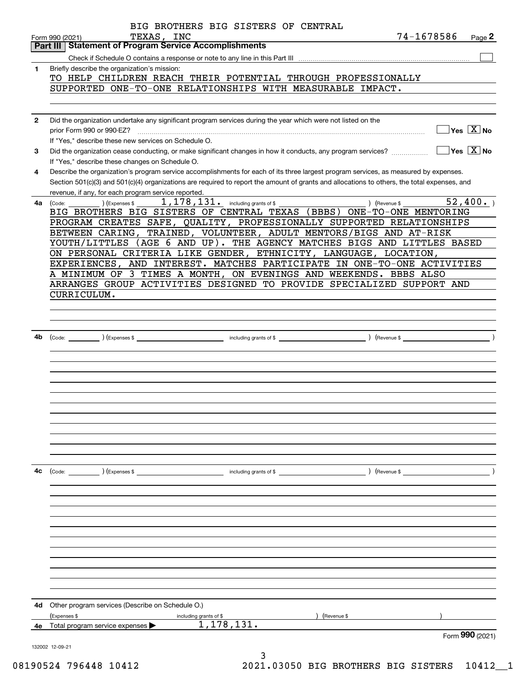|              | BIG BROTHERS BIG SISTERS OF CENTRAL<br>74-1678586<br>TEXAS, INC<br>Page 2<br>Form 990 (2021)<br><b>Statement of Program Service Accomplishments</b><br>Part III I                                                                                                                                                                                                                                                                                                                                                                                                                                                                                                                                             |
|--------------|---------------------------------------------------------------------------------------------------------------------------------------------------------------------------------------------------------------------------------------------------------------------------------------------------------------------------------------------------------------------------------------------------------------------------------------------------------------------------------------------------------------------------------------------------------------------------------------------------------------------------------------------------------------------------------------------------------------|
| 1            | Briefly describe the organization's mission:<br>TO HELP CHILDREN REACH THEIR POTENTIAL THROUGH PROFESSIONALLY<br>SUPPORTED ONE-TO-ONE RELATIONSHIPS WITH MEASURABLE IMPACT.                                                                                                                                                                                                                                                                                                                                                                                                                                                                                                                                   |
| $\mathbf{2}$ | Did the organization undertake any significant program services during the year which were not listed on the                                                                                                                                                                                                                                                                                                                                                                                                                                                                                                                                                                                                  |
| 3            | $\overline{\ }$ Yes $\overline{\phantom{a}X}$ No<br>prior Form 990 or 990-EZ?<br>If "Yes," describe these new services on Schedule O.<br>$ Yes X $ No<br>Did the organization cease conducting, or make significant changes in how it conducts, any program services?                                                                                                                                                                                                                                                                                                                                                                                                                                         |
| 4            | If "Yes," describe these changes on Schedule O.<br>Describe the organization's program service accomplishments for each of its three largest program services, as measured by expenses.                                                                                                                                                                                                                                                                                                                                                                                                                                                                                                                       |
|              | Section 501(c)(3) and 501(c)(4) organizations are required to report the amount of grants and allocations to others, the total expenses, and<br>revenue, if any, for each program service reported.                                                                                                                                                                                                                                                                                                                                                                                                                                                                                                           |
| 4а           | 52,400.<br>1, 178, 131. including grants of \$<br>) (Expenses \$<br>) (Revenue \$<br>(Code:<br>BIG BROTHERS BIG SISTERS OF CENTRAL TEXAS (BBBS)<br>ONE-TO-ONE MENTORING<br>PROGRAM CREATES SAFE, QUALITY, PROFESSIONALLY SUPPORTED RELATIONSHIPS<br>TRAINED, VOLUNTEER, ADULT MENTORS/BIGS AND AT-RISK<br>BETWEEN CARING,<br>YOUTH/LITTLES<br>(AGE 6 AND UP). THE AGENCY MATCHES BIGS AND LITTLES BASED<br>ON PERSONAL CRITERIA LIKE GENDER, ETHNICITY, LANGUAGE, LOCATION,<br>AND INTEREST. MATCHES PARTICIPATE IN ONE-TO-ONE ACTIVITIES<br>EXPERIENCES,<br>3 TIMES A MONTH,<br>ON EVENINGS AND WEEKENDS. BBBS ALSO<br>A MINIMUM OF<br>ARRANGES GROUP ACTIVITIES DESIGNED TO PROVIDE SPECIALIZED SUPPORT AND |
| 4b           | CURRICULUM.<br>including grants of \$<br>) (Revenue \$<br>) (Expenses \$<br>(Code:                                                                                                                                                                                                                                                                                                                                                                                                                                                                                                                                                                                                                            |
|              |                                                                                                                                                                                                                                                                                                                                                                                                                                                                                                                                                                                                                                                                                                               |
| 4c           | ) (Expenses \$<br>) (Revenue \$<br>(Code:<br>including grants of \$                                                                                                                                                                                                                                                                                                                                                                                                                                                                                                                                                                                                                                           |
|              |                                                                                                                                                                                                                                                                                                                                                                                                                                                                                                                                                                                                                                                                                                               |
| 4d           | Other program services (Describe on Schedule O.)                                                                                                                                                                                                                                                                                                                                                                                                                                                                                                                                                                                                                                                              |
| 4е           | (Expenses \$<br>including grants of \$<br>(Revenue \$<br>1,178,131.<br>Total program service expenses $\blacktriangleright$                                                                                                                                                                                                                                                                                                                                                                                                                                                                                                                                                                                   |
|              | Form 990 (2021)<br>132002 12-09-21                                                                                                                                                                                                                                                                                                                                                                                                                                                                                                                                                                                                                                                                            |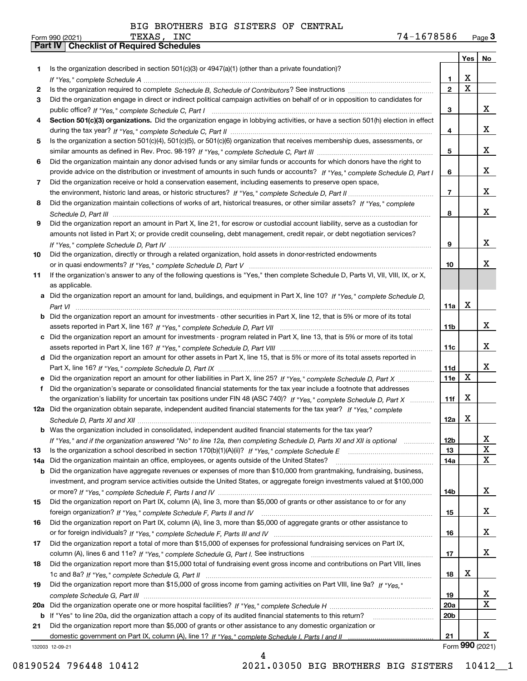|     |                                                                                                                                                     |                | Yes                   | No          |
|-----|-----------------------------------------------------------------------------------------------------------------------------------------------------|----------------|-----------------------|-------------|
| 1.  | Is the organization described in section $501(c)(3)$ or $4947(a)(1)$ (other than a private foundation)?                                             |                |                       |             |
|     |                                                                                                                                                     | 1              | х                     |             |
| 2   |                                                                                                                                                     | $\overline{2}$ | $\overline{\text{x}}$ |             |
| 3   | Did the organization engage in direct or indirect political campaign activities on behalf of or in opposition to candidates for                     |                |                       |             |
|     |                                                                                                                                                     | 3              |                       | x           |
| 4   | Section 501(c)(3) organizations. Did the organization engage in lobbying activities, or have a section 501(h) election in effect                    |                |                       |             |
|     |                                                                                                                                                     | 4              |                       | x           |
| 5   | Is the organization a section 501(c)(4), 501(c)(5), or 501(c)(6) organization that receives membership dues, assessments, or                        |                |                       |             |
|     |                                                                                                                                                     | 5              |                       | x           |
| 6   | Did the organization maintain any donor advised funds or any similar funds or accounts for which donors have the right to                           |                |                       |             |
|     | provide advice on the distribution or investment of amounts in such funds or accounts? If "Yes," complete Schedule D, Part I                        | 6              |                       | x           |
| 7   | Did the organization receive or hold a conservation easement, including easements to preserve open space,                                           |                |                       |             |
|     |                                                                                                                                                     | $\overline{7}$ |                       | x           |
| 8   | Did the organization maintain collections of works of art, historical treasures, or other similar assets? If "Yes," complete                        |                |                       |             |
|     |                                                                                                                                                     | 8              |                       | x           |
| 9   | Did the organization report an amount in Part X, line 21, for escrow or custodial account liability, serve as a custodian for                       |                |                       |             |
|     | amounts not listed in Part X; or provide credit counseling, debt management, credit repair, or debt negotiation services?                           |                |                       | x           |
|     |                                                                                                                                                     | 9              |                       |             |
| 10  | Did the organization, directly or through a related organization, hold assets in donor-restricted endowments                                        |                |                       | X.          |
|     |                                                                                                                                                     | 10             |                       |             |
| 11  | If the organization's answer to any of the following questions is "Yes," then complete Schedule D, Parts VI, VII, VIII, IX, or X,<br>as applicable. |                |                       |             |
|     |                                                                                                                                                     |                |                       |             |
|     | a Did the organization report an amount for land, buildings, and equipment in Part X, line 10? If "Yes," complete Schedule D,                       | 11a            | X                     |             |
|     | Part VI<br><b>b</b> Did the organization report an amount for investments - other securities in Part X, line 12, that is 5% or more of its total    |                |                       |             |
|     |                                                                                                                                                     | 11b            |                       | x           |
|     | c Did the organization report an amount for investments - program related in Part X, line 13, that is 5% or more of its total                       |                |                       |             |
|     |                                                                                                                                                     | 11c            |                       | x           |
|     | d Did the organization report an amount for other assets in Part X, line 15, that is 5% or more of its total assets reported in                     |                |                       |             |
|     |                                                                                                                                                     | 11d            |                       | x           |
|     |                                                                                                                                                     | 11e            | X                     |             |
| f   | Did the organization's separate or consolidated financial statements for the tax year include a footnote that addresses                             |                |                       |             |
|     | the organization's liability for uncertain tax positions under FIN 48 (ASC 740)? If "Yes," complete Schedule D, Part X                              | 11f            | X                     |             |
|     | 12a Did the organization obtain separate, independent audited financial statements for the tax year? If "Yes," complete                             |                |                       |             |
|     |                                                                                                                                                     | 12a            | X                     |             |
|     | <b>b</b> Was the organization included in consolidated, independent audited financial statements for the tax year?                                  |                |                       |             |
|     | If "Yes," and if the organization answered "No" to line 12a, then completing Schedule D, Parts XI and XII is optional                               | 12b            |                       | Y           |
| 13  |                                                                                                                                                     | 13             |                       | X           |
| 14a | Did the organization maintain an office, employees, or agents outside of the United States?                                                         | 14a            |                       | $\mathbf X$ |
| b   | Did the organization have aggregate revenues or expenses of more than \$10,000 from grantmaking, fundraising, business,                             |                |                       |             |
|     | investment, and program service activities outside the United States, or aggregate foreign investments valued at \$100,000                          |                |                       |             |
|     |                                                                                                                                                     | 14b            |                       | x           |
| 15  | Did the organization report on Part IX, column (A), line 3, more than \$5,000 of grants or other assistance to or for any                           |                |                       |             |
|     |                                                                                                                                                     | 15             |                       | x           |
| 16  | Did the organization report on Part IX, column (A), line 3, more than \$5,000 of aggregate grants or other assistance to                            |                |                       |             |
|     |                                                                                                                                                     | 16             |                       | x           |
| 17  | Did the organization report a total of more than \$15,000 of expenses for professional fundraising services on Part IX,                             |                |                       |             |
|     |                                                                                                                                                     | 17             |                       | x           |
| 18  | Did the organization report more than \$15,000 total of fundraising event gross income and contributions on Part VIII, lines                        |                |                       |             |
|     |                                                                                                                                                     | 18             | х                     |             |
| 19  | Did the organization report more than \$15,000 of gross income from gaming activities on Part VIII, line 9a? If "Yes."                              |                |                       |             |
|     |                                                                                                                                                     | 19             |                       | X           |
| 20a |                                                                                                                                                     | 20a            |                       | $\mathbf x$ |
|     | b If "Yes" to line 20a, did the organization attach a copy of its audited financial statements to this return?                                      | 20b            |                       |             |
| 21  | Did the organization report more than \$5,000 of grants or other assistance to any domestic organization or                                         |                |                       |             |
|     |                                                                                                                                                     | 21             | Form 990 (2021)       | x           |
|     | 132003 12-09-21                                                                                                                                     |                |                       |             |

4

132003 12-09-21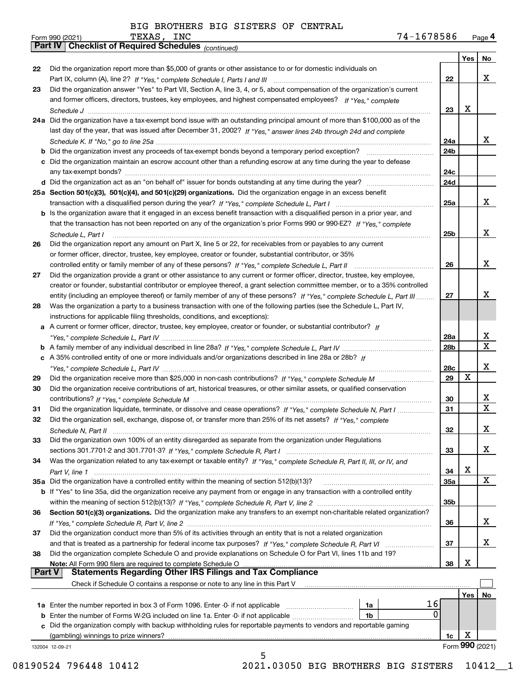*(continued)*

|        | 132004 12-09-21<br>5                                                                                                                                                                                                        |                 |     |                         |
|--------|-----------------------------------------------------------------------------------------------------------------------------------------------------------------------------------------------------------------------------|-----------------|-----|-------------------------|
|        |                                                                                                                                                                                                                             | 1c              |     | Form 990 (2021)         |
|        |                                                                                                                                                                                                                             |                 | х   |                         |
| c      | Did the organization comply with backup withholding rules for reportable payments to vendors and reportable gaming                                                                                                          |                 |     |                         |
| b      | $\mathbf 0$<br>Enter the number of Forms W-2G included on line 1a. Enter -0- if not applicable<br>1b                                                                                                                        |                 |     |                         |
|        | 16<br>1a Enter the number reported in box 3 of Form 1096. Enter -0- if not applicable<br>1a                                                                                                                                 |                 |     |                         |
|        |                                                                                                                                                                                                                             |                 | Yes | No                      |
|        | Check if Schedule O contains a response or note to any line in this Part V                                                                                                                                                  |                 |     |                         |
| Part V | <b>Statements Regarding Other IRS Filings and Tax Compliance</b>                                                                                                                                                            |                 |     |                         |
| 38     | Did the organization complete Schedule O and provide explanations on Schedule O for Part VI, lines 11b and 19?<br>Note: All Form 990 filers are required to complete Schedule O                                             | 38              | х   |                         |
|        |                                                                                                                                                                                                                             | 37              |     | x                       |
| 37     | Did the organization conduct more than 5% of its activities through an entity that is not a related organization                                                                                                            |                 |     |                         |
|        |                                                                                                                                                                                                                             | 36              |     | x                       |
| 36     | Section 501(c)(3) organizations. Did the organization make any transfers to an exempt non-charitable related organization?                                                                                                  |                 |     |                         |
|        |                                                                                                                                                                                                                             | 35b             |     |                         |
|        | b If "Yes" to line 35a, did the organization receive any payment from or engage in any transaction with a controlled entity                                                                                                 |                 |     |                         |
|        | 35a Did the organization have a controlled entity within the meaning of section 512(b)(13)?                                                                                                                                 | 35a             |     | x                       |
|        |                                                                                                                                                                                                                             | 34              | х   |                         |
| 34     | Was the organization related to any tax-exempt or taxable entity? If "Yes," complete Schedule R, Part II, III, or IV, and                                                                                                   |                 |     |                         |
|        |                                                                                                                                                                                                                             | 33              |     | x                       |
| 33     | Did the organization own 100% of an entity disregarded as separate from the organization under Regulations                                                                                                                  |                 |     |                         |
|        |                                                                                                                                                                                                                             | 32              |     | x                       |
| 32     | Did the organization sell, exchange, dispose of, or transfer more than 25% of its net assets? If "Yes," complete                                                                                                            |                 |     |                         |
| 31     | Did the organization liquidate, terminate, or dissolve and cease operations? If "Yes," complete Schedule N. Part I                                                                                                          | 31              |     | $\overline{\mathtt{x}}$ |
|        |                                                                                                                                                                                                                             | 30              |     | x                       |
| 30     | Did the organization receive contributions of art, historical treasures, or other similar assets, or qualified conservation                                                                                                 |                 |     |                         |
| 29     |                                                                                                                                                                                                                             | 29              | X   |                         |
|        |                                                                                                                                                                                                                             | 28c             |     | x                       |
|        | c A 35% controlled entity of one or more individuals and/or organizations described in line 28a or 28b? If                                                                                                                  |                 |     |                         |
|        |                                                                                                                                                                                                                             | 28b             |     | $\overline{\mathtt{x}}$ |
|        |                                                                                                                                                                                                                             | 28a             |     | x                       |
|        | A current or former officer, director, trustee, key employee, creator or founder, or substantial contributor? If                                                                                                            |                 |     |                         |
|        | instructions for applicable filing thresholds, conditions, and exceptions):                                                                                                                                                 |                 |     |                         |
| 28     | Was the organization a party to a business transaction with one of the following parties (see the Schedule L, Part IV,                                                                                                      |                 |     |                         |
|        | entity (including an employee thereof) or family member of any of these persons? If "Yes," complete Schedule L, Part III                                                                                                    | 27              |     | x                       |
|        | creator or founder, substantial contributor or employee thereof, a grant selection committee member, or to a 35% controlled                                                                                                 |                 |     |                         |
| 27     | Did the organization provide a grant or other assistance to any current or former officer, director, trustee, key employee,                                                                                                 |                 |     |                         |
|        | controlled entity or family member of any of these persons? If "Yes," complete Schedule L, Part II                                                                                                                          | 26              |     | x                       |
|        | or former officer, director, trustee, key employee, creator or founder, substantial contributor, or 35%                                                                                                                     |                 |     |                         |
| 26     | Did the organization report any amount on Part X, line 5 or 22, for receivables from or payables to any current                                                                                                             |                 |     |                         |
|        | Schedule L, Part I                                                                                                                                                                                                          | 25 <sub>b</sub> |     | X                       |
|        | that the transaction has not been reported on any of the organization's prior Forms 990 or 990-EZ? If "Yes," complete                                                                                                       |                 |     |                         |
|        | b Is the organization aware that it engaged in an excess benefit transaction with a disqualified person in a prior year, and                                                                                                |                 |     |                         |
|        |                                                                                                                                                                                                                             | 25a             |     | x                       |
|        | 25a Section 501(c)(3), 501(c)(4), and 501(c)(29) organizations. Did the organization engage in an excess benefit                                                                                                            |                 |     |                         |
|        |                                                                                                                                                                                                                             | 24d             |     |                         |
|        |                                                                                                                                                                                                                             | 24c             |     |                         |
|        | Did the organization invest any proceeds of tax-exempt bonds beyond a temporary period exception?<br>c Did the organization maintain an escrow account other than a refunding escrow at any time during the year to defease |                 |     |                         |
|        |                                                                                                                                                                                                                             | 24a<br>24b      |     | x                       |
|        | last day of the year, that was issued after December 31, 2002? If "Yes," answer lines 24b through 24d and complete                                                                                                          |                 |     |                         |
|        | 24a Did the organization have a tax-exempt bond issue with an outstanding principal amount of more than \$100,000 as of the                                                                                                 |                 |     |                         |
|        |                                                                                                                                                                                                                             | 23              | х   |                         |
|        | and former officers, directors, trustees, key employees, and highest compensated employees? If "Yes," complete                                                                                                              |                 |     |                         |
| 23     | Did the organization answer "Yes" to Part VII, Section A, line 3, 4, or 5, about compensation of the organization's current                                                                                                 |                 |     |                         |
|        |                                                                                                                                                                                                                             | 22              |     | x                       |
| 22     | Did the organization report more than \$5,000 of grants or other assistance to or for domestic individuals on                                                                                                               |                 |     |                         |
|        |                                                                                                                                                                                                                             |                 | Yes | No                      |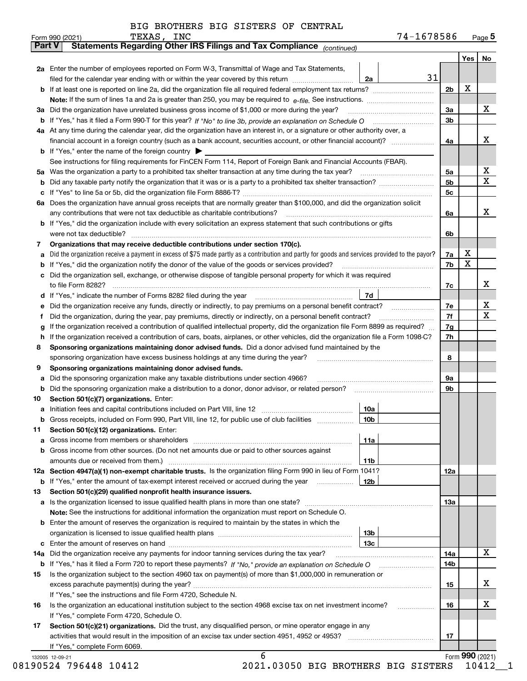|  |  | BIG BROTHERS BIG SISTERS OF CENTRAL |  |  |  |  |
|--|--|-------------------------------------|--|--|--|--|
|--|--|-------------------------------------|--|--|--|--|

|               | 74-1678586<br>TEXAS,<br>INC<br>Form 990 (2021)                                                                                                                                                                                                 |     |     | <u>Page</u> 5   |
|---------------|------------------------------------------------------------------------------------------------------------------------------------------------------------------------------------------------------------------------------------------------|-----|-----|-----------------|
| <b>Part V</b> | Statements Regarding Other IRS Filings and Tax Compliance (continued)                                                                                                                                                                          |     |     |                 |
|               |                                                                                                                                                                                                                                                |     | Yes | No              |
|               | 2a Enter the number of employees reported on Form W-3, Transmittal of Wage and Tax Statements,                                                                                                                                                 |     |     |                 |
|               | 31<br>filed for the calendar year ending with or within the year covered by this return<br>2a                                                                                                                                                  |     |     |                 |
|               |                                                                                                                                                                                                                                                | 2b  | х   |                 |
|               |                                                                                                                                                                                                                                                |     |     |                 |
|               | 3a Did the organization have unrelated business gross income of \$1,000 or more during the year?                                                                                                                                               | 3a  |     | х               |
|               |                                                                                                                                                                                                                                                | 3b  |     |                 |
|               | 4a At any time during the calendar year, did the organization have an interest in, or a signature or other authority over, a                                                                                                                   |     |     |                 |
|               |                                                                                                                                                                                                                                                | 4a  |     | х               |
|               | <b>b</b> If "Yes," enter the name of the foreign country $\blacktriangleright$                                                                                                                                                                 |     |     |                 |
|               | See instructions for filing requirements for FinCEN Form 114, Report of Foreign Bank and Financial Accounts (FBAR).                                                                                                                            |     |     |                 |
|               | 5a Was the organization a party to a prohibited tax shelter transaction at any time during the tax year?                                                                                                                                       | 5a  |     | х               |
|               |                                                                                                                                                                                                                                                | 5b  |     | X               |
| b             |                                                                                                                                                                                                                                                |     |     |                 |
| c             |                                                                                                                                                                                                                                                | 5c  |     |                 |
|               | 6a Does the organization have annual gross receipts that are normally greater than \$100,000, and did the organization solicit                                                                                                                 |     |     | х               |
|               |                                                                                                                                                                                                                                                | 6a  |     |                 |
|               | <b>b</b> If "Yes," did the organization include with every solicitation an express statement that such contributions or gifts                                                                                                                  |     |     |                 |
|               | were not tax deductible?                                                                                                                                                                                                                       | 6b  |     |                 |
| 7             | Organizations that may receive deductible contributions under section 170(c).                                                                                                                                                                  |     |     |                 |
| а             | Did the organization receive a payment in excess of \$75 made partly as a contribution and partly for goods and services provided to the payor?                                                                                                | 7a  | х   |                 |
| b             | If "Yes," did the organization notify the donor of the value of the goods or services provided?                                                                                                                                                | 7b  | х   |                 |
|               | c Did the organization sell, exchange, or otherwise dispose of tangible personal property for which it was required                                                                                                                            |     |     |                 |
|               |                                                                                                                                                                                                                                                | 7c  |     | х               |
|               | 7d  <br>d If "Yes," indicate the number of Forms 8282 filed during the year [11,111] The set response to the number of Forms 8282 filed during the year                                                                                        |     |     |                 |
| е             | Did the organization receive any funds, directly or indirectly, to pay premiums on a personal benefit contract?                                                                                                                                | 7e  |     | х               |
| f             | Did the organization, during the year, pay premiums, directly or indirectly, on a personal benefit contract?                                                                                                                                   | 7f  |     | х               |
| g             | If the organization received a contribution of qualified intellectual property, did the organization file Form 8899 as required?                                                                                                               | 7g  |     |                 |
| h.            | If the organization received a contribution of cars, boats, airplanes, or other vehicles, did the organization file a Form 1098-C?                                                                                                             | 7h  |     |                 |
| 8             | Sponsoring organizations maintaining donor advised funds. Did a donor advised fund maintained by the                                                                                                                                           |     |     |                 |
|               | sponsoring organization have excess business holdings at any time during the year?                                                                                                                                                             | 8   |     |                 |
| 9             | Sponsoring organizations maintaining donor advised funds.                                                                                                                                                                                      |     |     |                 |
| а             | Did the sponsoring organization make any taxable distributions under section 4966?                                                                                                                                                             | 9а  |     |                 |
| b             | Did the sponsoring organization make a distribution to a donor, donor advisor, or related person?                                                                                                                                              | 9b  |     |                 |
| 10            | Section 501(c)(7) organizations. Enter:                                                                                                                                                                                                        |     |     |                 |
|               | 10a                                                                                                                                                                                                                                            |     |     |                 |
|               | 10 <sub>b</sub>  <br>Gross receipts, included on Form 990, Part VIII, line 12, for public use of club facilities                                                                                                                               |     |     |                 |
| 11            | Section 501(c)(12) organizations. Enter:                                                                                                                                                                                                       |     |     |                 |
|               | 11a                                                                                                                                                                                                                                            |     |     |                 |
|               | b Gross income from other sources. (Do not net amounts due or paid to other sources against                                                                                                                                                    |     |     |                 |
|               | <b>11b</b>                                                                                                                                                                                                                                     |     |     |                 |
|               | 12a Section 4947(a)(1) non-exempt charitable trusts. Is the organization filing Form 990 in lieu of Form 1041?                                                                                                                                 | 12a |     |                 |
|               | 12b<br><b>b</b> If "Yes," enter the amount of tax-exempt interest received or accrued during the year <i>manument</i> of the set of the set of the set of the set of the set of the set of the set of the set of the set of the set of the set |     |     |                 |
| 13            | Section 501(c)(29) qualified nonprofit health insurance issuers.                                                                                                                                                                               |     |     |                 |
|               | a Is the organization licensed to issue qualified health plans in more than one state?                                                                                                                                                         | 13a |     |                 |
|               | Note: See the instructions for additional information the organization must report on Schedule O.                                                                                                                                              |     |     |                 |
|               | <b>b</b> Enter the amount of reserves the organization is required to maintain by the states in which the                                                                                                                                      |     |     |                 |
|               | 13b                                                                                                                                                                                                                                            |     |     |                 |
|               | 13с                                                                                                                                                                                                                                            |     |     |                 |
| 14a           | Did the organization receive any payments for indoor tanning services during the tax year?                                                                                                                                                     | 14a |     | х               |
|               | <b>b</b> If "Yes," has it filed a Form 720 to report these payments? If "No," provide an explanation on Schedule O                                                                                                                             | 14b |     |                 |
| 15            | Is the organization subject to the section 4960 tax on payment(s) of more than \$1,000,000 in remuneration or                                                                                                                                  |     |     |                 |
|               |                                                                                                                                                                                                                                                | 15  |     | x               |
|               | If "Yes," see the instructions and file Form 4720, Schedule N.                                                                                                                                                                                 |     |     |                 |
| 16            | Is the organization an educational institution subject to the section 4968 excise tax on net investment income?                                                                                                                                | 16  |     | х               |
|               | If "Yes," complete Form 4720, Schedule O.                                                                                                                                                                                                      |     |     |                 |
| 17            | Section 501(c)(21) organizations. Did the trust, any disqualified person, or mine operator engage in any                                                                                                                                       |     |     |                 |
|               | activities that would result in the imposition of an excise tax under section 4951, 4952 or 4953?                                                                                                                                              | 17  |     |                 |
|               | If "Yes," complete Form 6069.                                                                                                                                                                                                                  |     |     |                 |
|               | 6<br>132005 12-09-21                                                                                                                                                                                                                           |     |     | Form 990 (2021) |
|               |                                                                                                                                                                                                                                                |     |     |                 |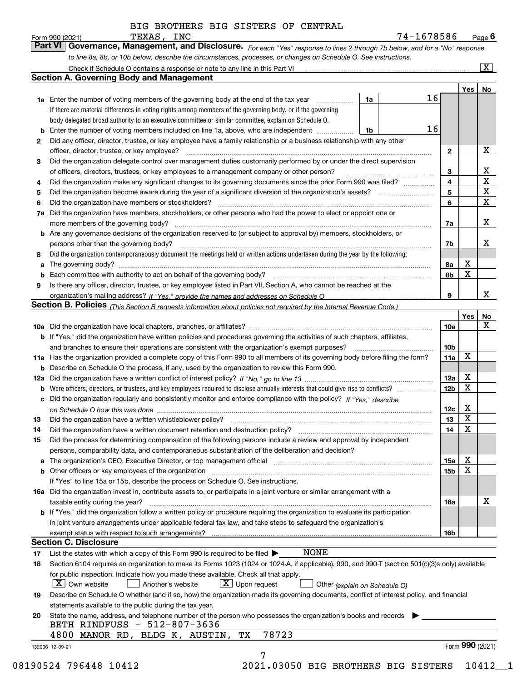**Yes No 1a1a** Enter the number of voting members of the governing body at the end of the tax year  $\ldots$ *For each "Yes" response to lines 2 through 7b below, and for a "No" response to line 8a, 8b, or 10b below, describe the circumstances, processes, or changes on Schedule O. See instructions.* If there are material differences in voting rights among members of the governing body, or if the governing<br>body delegated broad outboring to a proputive committee or eimiler committee, avalein on Schodule Q. Form 990 (2021) **Form 990 (2021)** Page **6**<br>**Part VI Governance, Management, and Disclosure.** For each "Yes" response to lines 2 through 7b below, and for a "No" response Check if Schedule O contains a response or note to any line in this Part VI **Section A. Governing Body and Management**  $\boxed{\text{X}}$ 16

|              | body delegated broad authority to an executive committee or similar committee, explain on Schedule O.                             |    |     |   |    |
|--------------|-----------------------------------------------------------------------------------------------------------------------------------|----|-----|---|----|
| b            | Enter the number of voting members included on line 1a, above, who are independent                                                | 1b | 161 |   |    |
| $\mathbf{2}$ | Did any officer, director, trustee, or key employee have a family relationship or a business relationship with any other          |    |     |   |    |
|              | officer, director, trustee, or key employee?                                                                                      |    | 2   |   | x  |
| 3            | Did the organization delegate control over management duties customarily performed by or under the direct supervision             |    |     |   |    |
|              | of officers, directors, trustees, or key employees to a management company or other person?                                       |    | 3   |   | x. |
| 4            | Did the organization make any significant changes to its governing documents since the prior Form 990 was filed?                  |    | 4   |   | x  |
| 5            | Did the organization become aware during the year of a significant diversion of the organization's assets?                        |    | 5   |   | х  |
| 6            | Did the organization have members or stockholders?                                                                                |    | 6   |   | X  |
|              | 7a Did the organization have members, stockholders, or other persons who had the power to elect or appoint one or                 |    |     |   |    |
|              | more members of the governing body?                                                                                               |    | 7a  |   | x  |
|              | <b>b</b> Are any governance decisions of the organization reserved to (or subject to approval by) members, stockholders, or       |    |     |   |    |
|              | persons other than the governing body?                                                                                            |    | 7b  |   | х  |
| 8            | Did the organization contemporaneously document the meetings held or written actions undertaken during the year by the following: |    |     |   |    |
|              | <b>a</b> The governing body?                                                                                                      |    | 8a  | x |    |
| b            | Each committee with authority to act on behalf of the governing body?                                                             |    | 8b  | х |    |
| 9            | Is there any officer, director, trustee, or key employee listed in Part VII, Section A, who cannot be reached at the              |    |     |   |    |
|              |                                                                                                                                   |    | 9   |   | x  |

**Section B. Policies** <sub>(This Section B requests information about policies not required by the Internal Revenue Code.)</sub>

| 10a | Did the organization have local chapters, branches, or affiliates?                                                                               | 10a             |             | X |  |  |
|-----|--------------------------------------------------------------------------------------------------------------------------------------------------|-----------------|-------------|---|--|--|
|     | <b>b</b> If "Yes," did the organization have written policies and procedures governing the activities of such chapters, affiliates,              |                 |             |   |  |  |
|     | and branches to ensure their operations are consistent with the organization's exempt purposes?                                                  | 10 <sub>b</sub> |             |   |  |  |
|     | 11a Has the organization provided a complete copy of this Form 990 to all members of its governing body before filing the form?                  | 11a             | X           |   |  |  |
| b   | Describe on Schedule O the process, if any, used by the organization to review this Form 990.                                                    |                 |             |   |  |  |
| 12a |                                                                                                                                                  | 12a             | х           |   |  |  |
| b   | Were officers, directors, or trustees, and key employees required to disclose annually interests that could give rise to conflicts?              | 12 <sub>b</sub> | X           |   |  |  |
| c   | Did the organization regularly and consistently monitor and enforce compliance with the policy? If "Yes," describe                               |                 |             |   |  |  |
|     |                                                                                                                                                  | 12c             | X           |   |  |  |
| 13  | Did the organization have a written whistleblower policy?                                                                                        | 13              | X           |   |  |  |
| 14  | Did the organization have a written document retention and destruction policy?                                                                   | 14              | $\mathbf X$ |   |  |  |
| 15  | Did the process for determining compensation of the following persons include a review and approval by independent                               |                 |             |   |  |  |
|     | persons, comparability data, and contemporaneous substantiation of the deliberation and decision?                                                |                 |             |   |  |  |
| a   |                                                                                                                                                  | <b>15a</b>      | х           |   |  |  |
| b   | Other officers or key employees of the organization                                                                                              | 15 <sub>b</sub> | х           |   |  |  |
|     | If "Yes" to line 15a or 15b, describe the process on Schedule O. See instructions.                                                               |                 |             |   |  |  |
| 16а | Did the organization invest in, contribute assets to, or participate in a joint venture or similar arrangement with a                            |                 |             |   |  |  |
|     | taxable entity during the year?<br>16a                                                                                                           |                 |             |   |  |  |
| b   | If "Yes," did the organization follow a written policy or procedure requiring the organization to evaluate its participation                     |                 |             |   |  |  |
|     | in joint venture arrangements under applicable federal tax law, and take steps to safeguard the organization's                                   |                 |             |   |  |  |
|     |                                                                                                                                                  | 16 <sub>b</sub> |             |   |  |  |
|     | <b>Section C. Disclosure</b>                                                                                                                     |                 |             |   |  |  |
| 17  | NONE<br>List the states with which a copy of this Form 990 is required to be filed $\blacktriangleright$                                         |                 |             |   |  |  |
| 18  | Section 6104 requires an organization to make its Forms 1023 (1024 or 1024-A, if applicable), 990, and 990-T (section 501(c)(3)s only) available |                 |             |   |  |  |
|     | for public inspection. Indicate how you made these available. Check all that apply.                                                              |                 |             |   |  |  |
|     | $ X $ Upon request<br>$X \mid$ Own website<br>Another's website<br>Other (explain on Schedule O)                                                 |                 |             |   |  |  |
| 19  | Describe on Schedule O whether (and if so, how) the organization made its governing documents, conflict of interest policy, and financial        |                 |             |   |  |  |
|     | statements available to the public during the tax year.                                                                                          |                 |             |   |  |  |
| 20  | State the name, address, and telephone number of the person who possesses the organization's books and records<br>BETH RINDFUSS - 512-807-3636   |                 |             |   |  |  |

7

132006 12-09-21

08190524 796448 10412 2021.03050 BIG BROTHERS BIG SISTERS 10412\_\_1

Form (2021) **990**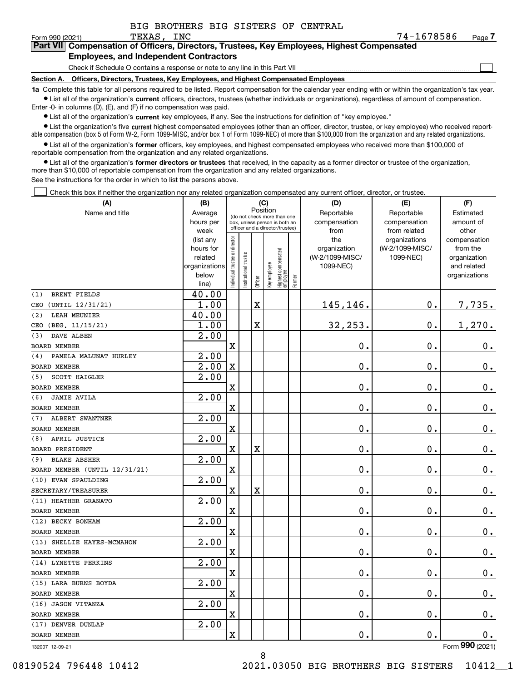Form 990 (2021) Page TEXAS, INC 74-1678586

 $\mathcal{L}^{\text{max}}$ 

| orm 990 (2021) |                                               | TEXAS, | INC |  | 74-1678586                                                                                 | Page <i>I</i> |
|----------------|-----------------------------------------------|--------|-----|--|--------------------------------------------------------------------------------------------|---------------|
|                |                                               |        |     |  | Part VII Compensation of Officers, Directors, Trustees, Key Employees, Highest Compensated |               |
|                | <b>Employees, and Independent Contractors</b> |        |     |  |                                                                                            |               |

Check if Schedule O contains a response or note to any line in this Part VII

**Section A. Officers, Directors, Trustees, Key Employees, and Highest Compensated Employees**

**1a**  Complete this table for all persons required to be listed. Report compensation for the calendar year ending with or within the organization's tax year. **•** List all of the organization's current officers, directors, trustees (whether individuals or organizations), regardless of amount of compensation.

Enter -0- in columns (D), (E), and (F) if no compensation was paid.

 $\bullet$  List all of the organization's  $\sf current$  key employees, if any. See the instructions for definition of "key employee."

**•** List the organization's five current highest compensated employees (other than an officer, director, trustee, or key employee) who received reportable compensation (box 5 of Form W-2, Form 1099-MISC, and/or box 1 of Form 1099-NEC) of more than \$100,000 from the organization and any related organizations.

**•** List all of the organization's former officers, key employees, and highest compensated employees who received more than \$100,000 of reportable compensation from the organization and any related organizations.

**former directors or trustees**  ¥ List all of the organization's that received, in the capacity as a former director or trustee of the organization, more than \$10,000 of reportable compensation from the organization and any related organizations.

See the instructions for the order in which to list the persons above.

Check this box if neither the organization nor any related organization compensated any current officer, director, or trustee.  $\mathcal{L}^{\text{max}}$ 

| (A)                           | (B)                    |                                |                       |                         | (C)          |                                                                  |        | (D)                 | (E)                              | (F)                      |
|-------------------------------|------------------------|--------------------------------|-----------------------|-------------------------|--------------|------------------------------------------------------------------|--------|---------------------|----------------------------------|--------------------------|
| Name and title                | Average                |                                |                       |                         | Position     | (do not check more than one                                      |        | Reportable          | Reportable                       | Estimated                |
|                               | hours per              |                                |                       |                         |              | box, unless person is both an<br>officer and a director/trustee) |        | compensation        | compensation                     | amount of                |
|                               | week                   |                                |                       |                         |              |                                                                  |        | from                | from related                     | other                    |
|                               | (list any<br>hours for |                                |                       |                         |              |                                                                  |        | the<br>organization | organizations<br>(W-2/1099-MISC/ | compensation<br>from the |
|                               | related                |                                |                       |                         |              |                                                                  |        | (W-2/1099-MISC/     | 1099-NEC)                        | organization             |
|                               | organizations          |                                |                       |                         |              |                                                                  |        | 1099-NEC)           |                                  | and related              |
|                               | below                  | Individual trustee or director | Institutional trustee |                         | Key employee |                                                                  |        |                     |                                  | organizations            |
|                               | line)                  |                                |                       | Officer                 |              | Highest compensated<br>  employee                                | Former |                     |                                  |                          |
| BRENT FIELDS<br>(1)           | 40.00                  |                                |                       |                         |              |                                                                  |        |                     |                                  |                          |
| (UNTIL 12/31/21)<br>CEO       | 1.00                   |                                |                       | $\overline{\textbf{X}}$ |              |                                                                  |        | 145, 146.           | $\mathbf 0$ .                    | 7,735.                   |
| (2)<br><b>LEAH MEUNIER</b>    | 40.00                  |                                |                       |                         |              |                                                                  |        |                     |                                  |                          |
| (BEG. 11/15/21)<br>CEO        | 1.00                   |                                |                       | X                       |              |                                                                  |        | 32,253.             | $\mathbf 0$ .                    | 1,270.                   |
| DAVE ALBEN<br>(3)             | 2.00                   |                                |                       |                         |              |                                                                  |        |                     |                                  |                          |
| <b>BOARD MEMBER</b>           |                        | $\mathbf X$                    |                       |                         |              |                                                                  |        | 0.                  | $\mathbf 0$ .                    | $\mathbf 0$ .            |
| PAMELA MALUNAT HURLEY<br>(4)  | 2.00                   |                                |                       |                         |              |                                                                  |        |                     |                                  |                          |
| BOARD MEMBER                  | 2.00                   | Χ                              |                       |                         |              |                                                                  |        | 0.                  | $\mathbf 0$ .                    | $\mathbf 0$ .            |
| SCOTT HAIGLER<br>(5)          | 2.00                   |                                |                       |                         |              |                                                                  |        |                     |                                  |                          |
| <b>BOARD MEMBER</b>           |                        | X                              |                       |                         |              |                                                                  |        | 0.                  | $\mathbf 0$ .                    | $\mathbf 0$ .            |
| JAMIE AVILA<br>(6)            | 2.00                   |                                |                       |                         |              |                                                                  |        |                     |                                  |                          |
| <b>BOARD MEMBER</b>           |                        | X                              |                       |                         |              |                                                                  |        | $\mathbf 0$ .       | $\mathbf 0$ .                    | 0.                       |
| ALBERT SWANTNER<br>(7)        | 2.00                   |                                |                       |                         |              |                                                                  |        |                     |                                  |                          |
| <b>BOARD MEMBER</b>           |                        | X                              |                       |                         |              |                                                                  |        | $\mathbf 0$ .       | $\mathbf 0$ .                    | $0_{.}$                  |
| APRIL JUSTICE<br>(8)          | 2.00                   |                                |                       |                         |              |                                                                  |        |                     |                                  |                          |
| <b>BOARD PRESIDENT</b>        |                        | $\mathbf x$                    |                       | X                       |              |                                                                  |        | 0.                  | $\mathbf 0$ .                    | $\mathbf 0$ .            |
| <b>BLAKE ABSHER</b><br>(9)    | 2.00                   |                                |                       |                         |              |                                                                  |        |                     |                                  |                          |
| BOARD MEMBER (UNTIL 12/31/21) |                        | $\overline{\textbf{X}}$        |                       |                         |              |                                                                  |        | 0.                  | 0.                               | $\mathbf 0$ .            |
| (10) EVAN SPAULDING           | 2.00                   |                                |                       |                         |              |                                                                  |        |                     |                                  |                          |
| SECRETARY/TREASURER           |                        | $\mathbf x$                    |                       | X                       |              |                                                                  |        | 0.                  | $\mathbf 0$ .                    | $\mathbf 0$ .            |
| (11) HEATHER GRANATO          | 2.00                   |                                |                       |                         |              |                                                                  |        |                     |                                  |                          |
| <b>BOARD MEMBER</b>           |                        | X                              |                       |                         |              |                                                                  |        | 0.                  | $\mathbf 0$ .                    | 0.                       |
| (12) BECKY BONHAM             | 2.00                   |                                |                       |                         |              |                                                                  |        |                     |                                  |                          |
| <b>BOARD MEMBER</b>           |                        | $\overline{\text{X}}$          |                       |                         |              |                                                                  |        | 0.                  | $\mathbf 0$ .                    | 0.                       |
| (13) SHELLIE HAYES-MCMAHON    | 2.00                   |                                |                       |                         |              |                                                                  |        |                     |                                  |                          |
| <b>BOARD MEMBER</b>           |                        | X                              |                       |                         |              |                                                                  |        | 0.                  | 0.                               | $\mathbf 0$ .            |
| (14) LYNETTE PERKINS          | 2.00                   |                                |                       |                         |              |                                                                  |        |                     |                                  |                          |
| <b>BOARD MEMBER</b>           |                        | $\mathbf x$                    |                       |                         |              |                                                                  |        | $\mathbf 0$ .       | $\mathbf 0$ .                    | $0$ .                    |
| (15) LARA BURNS BOYDA         | 2.00                   |                                |                       |                         |              |                                                                  |        |                     |                                  |                          |
| <b>BOARD MEMBER</b>           |                        | X                              |                       |                         |              |                                                                  |        | 0.                  | 0.                               | 0.                       |
| (16) JASON VITANZA            | 2.00                   |                                |                       |                         |              |                                                                  |        |                     |                                  |                          |
| <b>BOARD MEMBER</b>           |                        | X                              |                       |                         |              |                                                                  |        | 0.                  | $\mathbf 0$ .                    | $0$ .                    |
| (17) DENVER DUNLAP            | $\overline{2.00}$      |                                |                       |                         |              |                                                                  |        |                     |                                  |                          |
| BOARD MEMBER                  |                        | X                              |                       |                         |              |                                                                  |        | 0.                  | $\mathbf 0$ .                    | 0.                       |
|                               |                        |                                |                       |                         |              |                                                                  |        |                     |                                  | $\overline{2}$           |

132007 12-09-21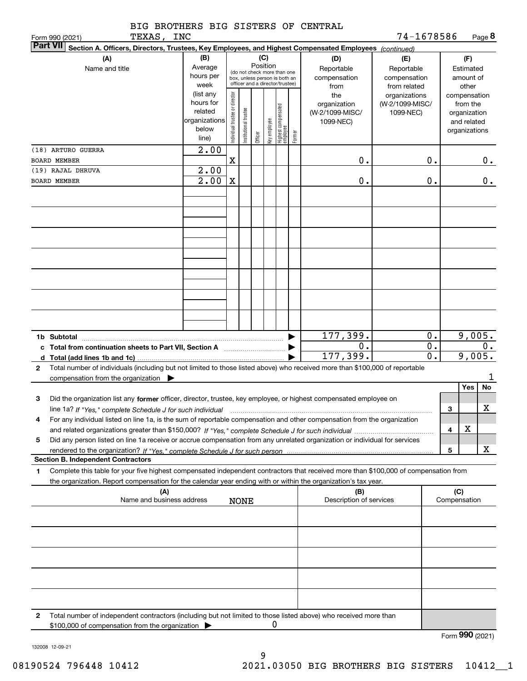| BIG BROTHERS BIG SISTERS OF CENTRAL<br>TEXAS, INC                                                                                                                                                                                                                              |                                                                      |                                |                       |                                                                                                             |              |                                 |        |                                                             | 74-1678586                                                    |                        |              |                                                                                   | Page 8       |
|--------------------------------------------------------------------------------------------------------------------------------------------------------------------------------------------------------------------------------------------------------------------------------|----------------------------------------------------------------------|--------------------------------|-----------------------|-------------------------------------------------------------------------------------------------------------|--------------|---------------------------------|--------|-------------------------------------------------------------|---------------------------------------------------------------|------------------------|--------------|-----------------------------------------------------------------------------------|--------------|
| Form 990 (2021)<br> Part VII <br>Section A. Officers, Directors, Trustees, Key Employees, and Highest Compensated Employees (continued)                                                                                                                                        |                                                                      |                                |                       |                                                                                                             |              |                                 |        |                                                             |                                                               |                        |              |                                                                                   |              |
| (A)<br>Name and title                                                                                                                                                                                                                                                          | (B)<br>Average<br>hours per<br>week                                  |                                |                       | Position<br>(do not check more than one<br>box, unless person is both an<br>officer and a director/trustee) | (C)          |                                 |        | (D)<br>Reportable<br>compensation                           | (E)<br>Reportable<br>compensation                             |                        |              | (F)<br>Estimated<br>amount of                                                     |              |
|                                                                                                                                                                                                                                                                                | (list any<br>hours for<br>related<br>organizations<br>below<br>line) | Individual trustee or director | Institutional trustee | Officer                                                                                                     | key employee | Highest compensated<br>employee | Former | from<br>the<br>organization<br>(W-2/1099-MISC/<br>1099-NEC) | from related<br>organizations<br>(W-2/1099-MISC/<br>1099-NEC) |                        |              | other<br>compensation<br>from the<br>organization<br>and related<br>organizations |              |
| (18) ARTURO GUERRA<br><b>BOARD MEMBER</b>                                                                                                                                                                                                                                      | 2.00                                                                 | X                              |                       |                                                                                                             |              |                                 |        | 0.                                                          |                                                               | 0.                     |              |                                                                                   | $0$ .        |
| (19) RAJAL DHRUVA                                                                                                                                                                                                                                                              | 2.00                                                                 |                                |                       |                                                                                                             |              |                                 |        |                                                             |                                                               |                        |              |                                                                                   |              |
| <b>BOARD MEMBER</b>                                                                                                                                                                                                                                                            | $\overline{2.00}$                                                    | X                              |                       |                                                                                                             |              |                                 |        | 0.                                                          |                                                               | 0.                     |              |                                                                                   | $0$ .        |
|                                                                                                                                                                                                                                                                                |                                                                      |                                |                       |                                                                                                             |              |                                 |        |                                                             |                                                               |                        |              |                                                                                   |              |
|                                                                                                                                                                                                                                                                                |                                                                      |                                |                       |                                                                                                             |              |                                 |        |                                                             |                                                               |                        |              |                                                                                   |              |
|                                                                                                                                                                                                                                                                                |                                                                      |                                |                       |                                                                                                             |              |                                 |        |                                                             |                                                               |                        |              |                                                                                   |              |
|                                                                                                                                                                                                                                                                                |                                                                      |                                |                       |                                                                                                             |              |                                 |        |                                                             |                                                               |                        |              |                                                                                   |              |
|                                                                                                                                                                                                                                                                                |                                                                      |                                |                       |                                                                                                             |              |                                 |        |                                                             |                                                               |                        |              |                                                                                   |              |
| 177, 399.<br>1b Subtotal<br>$\overline{0}$ .<br>c Total from continuation sheets to Part VII, Section A [11, 11] [11] Total from continuation sheets to Part VII, Section A                                                                                                    |                                                                      |                                |                       |                                                                                                             |              |                                 |        |                                                             |                                                               | 0.<br>$\overline{0}$ . |              |                                                                                   | 9,005.<br>0. |
| d $Total (add lines 1b and 1c)$<br>Total number of individuals (including but not limited to those listed above) who received more than \$100,000 of reportable<br>$\mathbf{2}$<br>compensation from the organization                                                          |                                                                      |                                |                       |                                                                                                             |              |                                 |        | 177,399.                                                    |                                                               | $\overline{0}$ .       |              |                                                                                   | 9,005.<br>1  |
|                                                                                                                                                                                                                                                                                |                                                                      |                                |                       |                                                                                                             |              |                                 |        |                                                             |                                                               |                        |              | Yes                                                                               | No           |
| 3<br>Did the organization list any former officer, director, trustee, key employee, or highest compensated employee on<br>line 1a? If "Yes," complete Schedule J for such individual manufactured contained and the line 1a? If "Yes," complete Schedule J for such individual |                                                                      |                                |                       |                                                                                                             |              |                                 |        |                                                             |                                                               |                        | 3            |                                                                                   | X            |
| For any individual listed on line 1a, is the sum of reportable compensation and other compensation from the organization<br>4                                                                                                                                                  |                                                                      |                                |                       |                                                                                                             |              |                                 |        |                                                             |                                                               |                        |              | х                                                                                 |              |
| Did any person listed on line 1a receive or accrue compensation from any unrelated organization or individual for services<br>5                                                                                                                                                |                                                                      |                                |                       |                                                                                                             |              |                                 |        |                                                             |                                                               |                        | 4            |                                                                                   |              |
|                                                                                                                                                                                                                                                                                |                                                                      |                                |                       |                                                                                                             |              |                                 |        |                                                             |                                                               |                        | 5            |                                                                                   | x            |
| <b>Section B. Independent Contractors</b><br>Complete this table for your five highest compensated independent contractors that received more than \$100,000 of compensation from<br>1                                                                                         |                                                                      |                                |                       |                                                                                                             |              |                                 |        |                                                             |                                                               |                        |              |                                                                                   |              |
| the organization. Report compensation for the calendar year ending with or within the organization's tax year.<br>(A)                                                                                                                                                          |                                                                      |                                |                       |                                                                                                             |              |                                 |        | (B)                                                         |                                                               |                        | (C)          |                                                                                   |              |
| Name and business address                                                                                                                                                                                                                                                      |                                                                      |                                | <b>NONE</b>           |                                                                                                             |              |                                 |        | Description of services                                     |                                                               |                        | Compensation |                                                                                   |              |
|                                                                                                                                                                                                                                                                                |                                                                      |                                |                       |                                                                                                             |              |                                 |        |                                                             |                                                               |                        |              |                                                                                   |              |
|                                                                                                                                                                                                                                                                                |                                                                      |                                |                       |                                                                                                             |              |                                 |        |                                                             |                                                               |                        |              |                                                                                   |              |
|                                                                                                                                                                                                                                                                                |                                                                      |                                |                       |                                                                                                             |              |                                 |        |                                                             |                                                               |                        |              |                                                                                   |              |
|                                                                                                                                                                                                                                                                                |                                                                      |                                |                       |                                                                                                             |              |                                 |        |                                                             |                                                               |                        |              |                                                                                   |              |
| Total number of independent contractors (including but not limited to those listed above) who received more than<br>2<br>\$100,000 of compensation from the organization                                                                                                       |                                                                      |                                |                       |                                                                                                             | 0            |                                 |        |                                                             |                                                               |                        |              |                                                                                   |              |

132008 12-09-21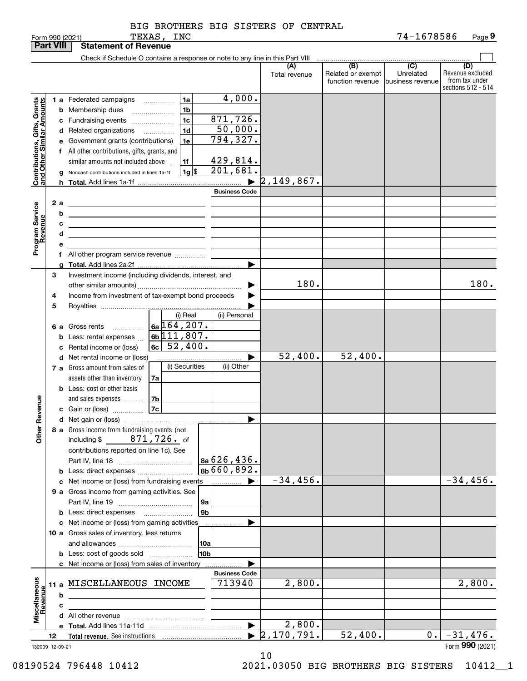| <b>Part VIII</b>                                          |    |     | <b>Statement of Revenue</b>                                                                                            |                |                       |                      |                                              |                                                 |                                                                 |
|-----------------------------------------------------------|----|-----|------------------------------------------------------------------------------------------------------------------------|----------------|-----------------------|----------------------|----------------------------------------------|-------------------------------------------------|-----------------------------------------------------------------|
|                                                           |    |     | Check if Schedule O contains a response or note to any line in this Part VIII                                          |                |                       |                      |                                              |                                                 |                                                                 |
|                                                           |    |     |                                                                                                                        |                |                       | (A)<br>Total revenue | (B)<br>Related or exempt<br>function revenue | $\overline{C}$<br>Unrelated<br>business revenue | (D)<br>Revenue excluded<br>from tax under<br>sections 512 - 514 |
|                                                           |    |     | 1a<br>1 a Federated campaigns                                                                                          |                | 4,000.                |                      |                                              |                                                 |                                                                 |
| Contributions, Gifts, Grants<br>and Other Similar Amounts |    |     | 1 <sub>b</sub><br><b>b</b> Membership dues                                                                             |                |                       |                      |                                              |                                                 |                                                                 |
|                                                           |    |     | 1 <sub>c</sub><br>c Fundraising events                                                                                 |                | 871, 726.             |                      |                                              |                                                 |                                                                 |
|                                                           |    |     | 1 <sub>d</sub><br>d Related organizations<br>.                                                                         |                | 50,000.               |                      |                                              |                                                 |                                                                 |
|                                                           |    |     | 1e<br>e Government grants (contributions)                                                                              |                | 794,327.              |                      |                                              |                                                 |                                                                 |
|                                                           |    |     | f All other contributions, gifts, grants, and                                                                          |                |                       |                      |                                              |                                                 |                                                                 |
|                                                           |    |     | similar amounts not included above<br>1f                                                                               |                | 429,814.              |                      |                                              |                                                 |                                                                 |
|                                                           |    |     | g Noncash contributions included in lines 1a-1f                                                                        | $1g$ \$        | 201,681.              |                      |                                              |                                                 |                                                                 |
|                                                           |    |     |                                                                                                                        |                |                       | 2,149,867.           |                                              |                                                 |                                                                 |
|                                                           |    |     |                                                                                                                        |                | <b>Business Code</b>  |                      |                                              |                                                 |                                                                 |
|                                                           |    | 2 a |                                                                                                                        |                |                       |                      |                                              |                                                 |                                                                 |
|                                                           |    | b   | <u> 1980 - Johann Barn, amerikansk politiker (</u>                                                                     |                |                       |                      |                                              |                                                 |                                                                 |
|                                                           |    | с   | <u> 1989 - Johann Barn, mars ann an t-Amhain ann an t-Amhain an t-Amhain an t-Amhain an t-Amhain an t-Amhain an t-</u> |                |                       |                      |                                              |                                                 |                                                                 |
|                                                           |    | d   | <u> 1989 - Johann Stein, mars an deus Amerikaansk kommunister (</u>                                                    |                |                       |                      |                                              |                                                 |                                                                 |
|                                                           |    |     | <u> 1989 - Johann Stein, marwolaethau a bhann an t-Amhainn an t-Amhainn an t-Amhainn an t-Amhainn an t-Amhainn an</u>  |                |                       |                      |                                              |                                                 |                                                                 |
| Program Service<br>Revenue                                |    |     | f All other program service revenue                                                                                    |                |                       |                      |                                              |                                                 |                                                                 |
|                                                           |    |     |                                                                                                                        |                | ▶                     |                      |                                              |                                                 |                                                                 |
|                                                           | З  |     | Investment income (including dividends, interest, and                                                                  |                |                       |                      |                                              |                                                 |                                                                 |
|                                                           |    |     |                                                                                                                        |                |                       | 180.                 |                                              |                                                 | 180.                                                            |
|                                                           | 4  |     | Income from investment of tax-exempt bond proceeds                                                                     |                |                       |                      |                                              |                                                 |                                                                 |
|                                                           | 5  |     |                                                                                                                        |                |                       |                      |                                              |                                                 |                                                                 |
|                                                           |    |     | (i) Real                                                                                                               |                | (ii) Personal         |                      |                                              |                                                 |                                                                 |
|                                                           |    |     | 6a 164, 207.<br>6 a Gross rents<br>.                                                                                   |                |                       |                      |                                              |                                                 |                                                                 |
|                                                           |    |     | $6b$ 111,807.<br><b>b</b> Less: rental expenses                                                                        |                |                       |                      |                                              |                                                 |                                                                 |
|                                                           |    | с   | 6c   52,400.<br>Rental income or (loss)                                                                                |                |                       |                      |                                              |                                                 |                                                                 |
|                                                           |    |     | d Net rental income or (loss)                                                                                          |                |                       | 52,400.              | 52,400.                                      |                                                 |                                                                 |
|                                                           |    |     | (i) Securities<br>7 a Gross amount from sales of                                                                       |                | (ii) Other            |                      |                                              |                                                 |                                                                 |
|                                                           |    |     | assets other than inventory<br>7a                                                                                      |                |                       |                      |                                              |                                                 |                                                                 |
|                                                           |    |     | <b>b</b> Less: cost or other basis                                                                                     |                |                       |                      |                                              |                                                 |                                                                 |
|                                                           |    |     | 7 <sub>b</sub><br>and sales expenses                                                                                   |                |                       |                      |                                              |                                                 |                                                                 |
|                                                           |    |     | 7c<br>c Gain or (loss)                                                                                                 |                |                       |                      |                                              |                                                 |                                                                 |
| Revenue                                                   |    |     |                                                                                                                        |                | ▶                     |                      |                                              |                                                 |                                                                 |
|                                                           |    |     | 8 a Gross income from fundraising events (not                                                                          |                |                       |                      |                                              |                                                 |                                                                 |
| Other                                                     |    |     | 871,726. <sub>of</sub><br>including $$$                                                                                |                |                       |                      |                                              |                                                 |                                                                 |
|                                                           |    |     | contributions reported on line 1c). See                                                                                |                |                       |                      |                                              |                                                 |                                                                 |
|                                                           |    |     |                                                                                                                        |                | $ a_8 $ 626,436.      |                      |                                              |                                                 |                                                                 |
|                                                           |    |     |                                                                                                                        |                | 8b 660,892.           |                      |                                              |                                                 |                                                                 |
|                                                           |    |     | c Net income or (loss) from fundraising events                                                                         |                | ▶<br>.                | $-34, 456.$          |                                              |                                                 | $-34,456.$                                                      |
|                                                           |    |     | 9 a Gross income from gaming activities. See                                                                           |                |                       |                      |                                              |                                                 |                                                                 |
|                                                           |    |     |                                                                                                                        | 9a             |                       |                      |                                              |                                                 |                                                                 |
|                                                           |    |     | <b>b</b> Less: direct expenses <b>manually</b>                                                                         | 9 <sub>b</sub> |                       |                      |                                              |                                                 |                                                                 |
|                                                           |    |     | c Net income or (loss) from gaming activities                                                                          |                |                       |                      |                                              |                                                 |                                                                 |
|                                                           |    |     | 10 a Gross sales of inventory, less returns                                                                            |                |                       |                      |                                              |                                                 |                                                                 |
|                                                           |    |     |                                                                                                                        | 10a            |                       |                      |                                              |                                                 |                                                                 |
|                                                           |    |     | <b>b</b> Less: cost of goods sold                                                                                      | 10b            |                       |                      |                                              |                                                 |                                                                 |
|                                                           |    |     | c Net income or (loss) from sales of inventory                                                                         |                |                       |                      |                                              |                                                 |                                                                 |
|                                                           |    |     |                                                                                                                        |                | <b>Business Code</b>  |                      |                                              |                                                 |                                                                 |
|                                                           |    |     | 11 a MISCELLANEOUS INCOME                                                                                              |                | 713940                | 2,800.               |                                              |                                                 | 2,800.                                                          |
|                                                           |    | b   | <u> 1989 - Johann Barbara, martxa alemaniar amerikan a</u>                                                             |                |                       |                      |                                              |                                                 |                                                                 |
|                                                           |    | с   |                                                                                                                        |                |                       |                      |                                              |                                                 |                                                                 |
| Miscellaneous<br>Revenue                                  |    |     |                                                                                                                        |                |                       |                      |                                              |                                                 |                                                                 |
|                                                           |    |     |                                                                                                                        |                | $\blacktriangleright$ | 2,800.               |                                              |                                                 |                                                                 |
|                                                           | 12 |     |                                                                                                                        |                |                       | 2,170,791.           | 52,400.                                      | 0.                                              | $-31,476.$                                                      |
| 132009 12-09-21                                           |    |     |                                                                                                                        |                |                       |                      |                                              |                                                 | Form 990 (2021)                                                 |

132009 12-09-21

10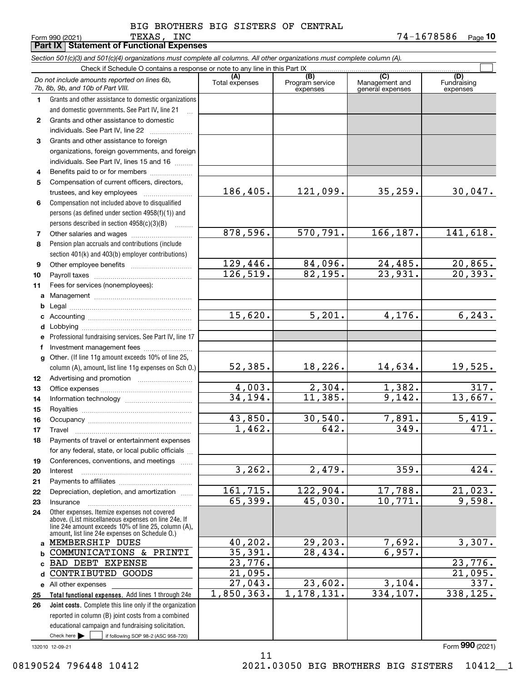# *Section 501(c)(3) and 501(c)(4) organizations must complete all columns. All other organizations must complete column (A).* Form 990 (2021) Page **10** TEXAS, INC 74-1678586 **Part IX Statement of Functional Expenses**

|                  | Check if Schedule O contains a response or note to any line in this Part IX                           |                       |                                    |                                           |                                |  |  |
|------------------|-------------------------------------------------------------------------------------------------------|-----------------------|------------------------------------|-------------------------------------------|--------------------------------|--|--|
|                  | Do not include amounts reported on lines 6b,<br>7b, 8b, 9b, and 10b of Part VIII.                     | (A)<br>Total expenses | (B)<br>Program service<br>expenses | (C)<br>Management and<br>general expenses | (D)<br>Fundraising<br>expenses |  |  |
| 1.               | Grants and other assistance to domestic organizations                                                 |                       |                                    |                                           |                                |  |  |
|                  | and domestic governments. See Part IV, line 21                                                        |                       |                                    |                                           |                                |  |  |
| $\mathbf{2}$     | Grants and other assistance to domestic                                                               |                       |                                    |                                           |                                |  |  |
|                  | individuals. See Part IV, line 22                                                                     |                       |                                    |                                           |                                |  |  |
| 3                | Grants and other assistance to foreign                                                                |                       |                                    |                                           |                                |  |  |
|                  | organizations, foreign governments, and foreign                                                       |                       |                                    |                                           |                                |  |  |
|                  | individuals. See Part IV, lines 15 and 16                                                             |                       |                                    |                                           |                                |  |  |
| 4                | Benefits paid to or for members                                                                       |                       |                                    |                                           |                                |  |  |
| 5                | Compensation of current officers, directors,                                                          |                       |                                    |                                           |                                |  |  |
|                  | trustees, and key employees                                                                           | 186,405.              | 121,099.                           | 35, 259.                                  | 30,047.                        |  |  |
| 6                | Compensation not included above to disqualified                                                       |                       |                                    |                                           |                                |  |  |
|                  | persons (as defined under section 4958(f)(1)) and                                                     |                       |                                    |                                           |                                |  |  |
|                  | persons described in section 4958(c)(3)(B)                                                            | 878,596.              | 570,791.                           | 166,187.                                  | 141,618.                       |  |  |
| 7                |                                                                                                       |                       |                                    |                                           |                                |  |  |
| 8                | Pension plan accruals and contributions (include                                                      |                       |                                    |                                           |                                |  |  |
| 9                | section 401(k) and 403(b) employer contributions)                                                     | 129,446.              | 84,096.                            | 24,485.                                   | 20,865.                        |  |  |
| 10               |                                                                                                       | 126, 519.             | $\overline{82,195}$ .              | 23,931.                                   | 20, 393.                       |  |  |
| 11               | Fees for services (nonemployees):                                                                     |                       |                                    |                                           |                                |  |  |
|                  |                                                                                                       |                       |                                    |                                           |                                |  |  |
| b                |                                                                                                       |                       |                                    |                                           |                                |  |  |
| c                |                                                                                                       | 15,620.               | 5,201.                             | 4,176.                                    | 6, 243.                        |  |  |
| d                |                                                                                                       |                       |                                    |                                           |                                |  |  |
| e                | Professional fundraising services. See Part IV, line 17                                               |                       |                                    |                                           |                                |  |  |
| f                | Investment management fees                                                                            |                       |                                    |                                           |                                |  |  |
| g                | Other. (If line 11g amount exceeds 10% of line 25,                                                    |                       |                                    |                                           |                                |  |  |
|                  | column (A), amount, list line 11g expenses on Sch O.)                                                 | 52,385.               | 18,226.                            | 14,634.                                   | 19,525.                        |  |  |
| 12 <sup>12</sup> |                                                                                                       |                       |                                    |                                           |                                |  |  |
| 13               |                                                                                                       | 4,003.                | 2,304.                             | 1,382.                                    | 317.                           |  |  |
| 14               |                                                                                                       | 34,194.               | 11,385.                            | 9,142.                                    | 13,667.                        |  |  |
| 15               |                                                                                                       |                       |                                    |                                           |                                |  |  |
| 16               |                                                                                                       | 43,850.               | 30,540.                            | 7,891.                                    | 5,419.                         |  |  |
| 17               | Travel                                                                                                | 1,462.                | 642.                               | 349.                                      | $\overline{471}$ .             |  |  |
| 18               | Payments of travel or entertainment expenses                                                          |                       |                                    |                                           |                                |  |  |
|                  | for any federal, state, or local public officials                                                     |                       |                                    |                                           |                                |  |  |
| 19               | Conferences, conventions, and meetings                                                                |                       |                                    |                                           |                                |  |  |
| 20               | Interest                                                                                              | 3,262.                | $\overline{2,479}$ .               | 359.                                      | 424.                           |  |  |
| 21               | Depreciation, depletion, and amortization                                                             | 161,715.              | 122,904.                           | 17,788.                                   | 21,023.                        |  |  |
| 22<br>23         | Insurance                                                                                             | 65,399.               | 45,030.                            | 10,771.                                   | 9,598.                         |  |  |
| 24               | Other expenses. Itemize expenses not covered                                                          |                       |                                    |                                           |                                |  |  |
|                  | above. (List miscellaneous expenses on line 24e. If                                                   |                       |                                    |                                           |                                |  |  |
|                  | line 24e amount exceeds 10% of line 25, column (A),<br>amount, list line 24e expenses on Schedule O.) |                       |                                    |                                           |                                |  |  |
| a                | MEMBERSHIP DUES                                                                                       | 40,202.               | 29,203.                            | 7,692.                                    | 3,307.                         |  |  |
| b                | COMMUNICATIONS & PRINTI                                                                               | 35,391.               | 28,434.                            | 6,957.                                    |                                |  |  |
| C                | <b>BAD DEBT EXPENSE</b>                                                                               | 23,776.               |                                    |                                           | 23,776.                        |  |  |
| d                | CONTRIBUTED GOODS                                                                                     | 21,095.               |                                    |                                           | 21,095.                        |  |  |
|                  | e All other expenses                                                                                  | 27,043.               | 23,602.                            | 3,104.                                    | 337.                           |  |  |
| 25               | Total functional expenses. Add lines 1 through 24e                                                    | 1,850,363.            | 1,178,131.                         | 334,107.                                  | 338,125.                       |  |  |
| 26               | Joint costs. Complete this line only if the organization                                              |                       |                                    |                                           |                                |  |  |
|                  | reported in column (B) joint costs from a combined                                                    |                       |                                    |                                           |                                |  |  |
|                  | educational campaign and fundraising solicitation.                                                    |                       |                                    |                                           |                                |  |  |
|                  | Check here $\blacktriangleright$<br>if following SOP 98-2 (ASC 958-720)                               |                       |                                    |                                           |                                |  |  |

11

132010 12-09-21

Form (2021) **990**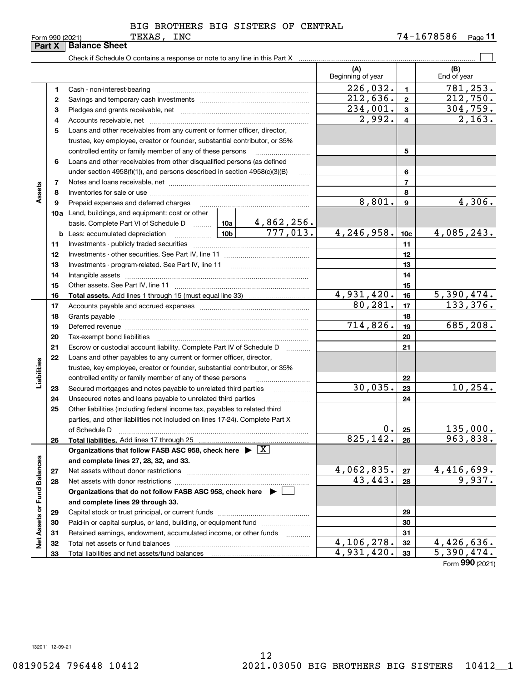|                             | Part X       | <b>Balance Sheet</b>                                                                                                                                                                                                           |                 |                               |                                        |                         |                                        |
|-----------------------------|--------------|--------------------------------------------------------------------------------------------------------------------------------------------------------------------------------------------------------------------------------|-----------------|-------------------------------|----------------------------------------|-------------------------|----------------------------------------|
|                             |              |                                                                                                                                                                                                                                |                 |                               |                                        |                         |                                        |
|                             |              |                                                                                                                                                                                                                                |                 |                               | (A)<br>Beginning of year               |                         | (B)<br>End of year                     |
|                             | 1            |                                                                                                                                                                                                                                |                 |                               | $\overline{226,032}$ .                 | $\blacksquare$          | 781,253.                               |
|                             | $\mathbf{2}$ |                                                                                                                                                                                                                                |                 |                               | 212,636.                               | $\overline{2}$          | 212,750.                               |
|                             | з            |                                                                                                                                                                                                                                |                 |                               | 234,001.                               | $\mathbf{3}$            | 304, 759.                              |
|                             | 4            |                                                                                                                                                                                                                                |                 |                               | 2,992.                                 | $\overline{\mathbf{4}}$ | 2,163.                                 |
|                             | 5            | Loans and other receivables from any current or former officer, director,                                                                                                                                                      |                 |                               |                                        |                         |                                        |
|                             |              | trustee, key employee, creator or founder, substantial contributor, or 35%                                                                                                                                                     |                 |                               |                                        |                         |                                        |
|                             |              | controlled entity or family member of any of these persons                                                                                                                                                                     |                 |                               |                                        | 5                       |                                        |
|                             | 6            | Loans and other receivables from other disqualified persons (as defined                                                                                                                                                        |                 |                               |                                        |                         |                                        |
|                             |              | under section $4958(f)(1)$ , and persons described in section $4958(c)(3)(B)$                                                                                                                                                  |                 | $\ldots$                      |                                        | 6                       |                                        |
|                             | 7            |                                                                                                                                                                                                                                |                 |                               |                                        | $\overline{7}$          |                                        |
| Assets                      | 8            |                                                                                                                                                                                                                                |                 |                               |                                        | 8                       |                                        |
|                             | 9            | Prepaid expenses and deferred charges                                                                                                                                                                                          |                 |                               | 8,801.                                 | $\boldsymbol{9}$        | 4,306.                                 |
|                             |              | <b>10a</b> Land, buildings, and equipment: cost or other                                                                                                                                                                       |                 |                               |                                        |                         |                                        |
|                             |              | basis. Complete Part VI of Schedule D  10a                                                                                                                                                                                     |                 | $\frac{4,862,256.}{777,013.}$ |                                        |                         |                                        |
|                             |              | <b>b</b> Less: accumulated depreciation                                                                                                                                                                                        | 10 <sub>b</sub> |                               | 4,246,958.                             | 10 <sub>c</sub>         | 4,085,243.                             |
|                             | 11           |                                                                                                                                                                                                                                |                 |                               | 11                                     |                         |                                        |
|                             | 12           |                                                                                                                                                                                                                                |                 |                               | 12                                     |                         |                                        |
|                             | 13           |                                                                                                                                                                                                                                |                 |                               |                                        | 13                      |                                        |
|                             | 14           |                                                                                                                                                                                                                                |                 |                               |                                        | 14                      |                                        |
|                             | 15           |                                                                                                                                                                                                                                |                 |                               |                                        | 15                      |                                        |
|                             | 16           |                                                                                                                                                                                                                                |                 |                               | 4,931,420.<br>80, 281.                 | 16                      | 5,390,474.<br>133,376.                 |
|                             | 17           |                                                                                                                                                                                                                                |                 |                               |                                        | 17                      |                                        |
|                             | 18<br>19     |                                                                                                                                                                                                                                | 714,826.        | 18<br>19                      | 685,208.                               |                         |                                        |
|                             | 20           | Deferred revenue manual contracts and contracts are all the contracts and contracts are contracted and contracts are contracted and contract are contracted and contract are contracted and contract are contracted and contra |                 | 20                            |                                        |                         |                                        |
|                             | 21           | Escrow or custodial account liability. Complete Part IV of Schedule D                                                                                                                                                          |                 | 21                            |                                        |                         |                                        |
|                             | 22           | Loans and other payables to any current or former officer, director,                                                                                                                                                           |                 | 1.1.1.1.1.1.1.1.1.1           |                                        |                         |                                        |
| Liabilities                 |              | trustee, key employee, creator or founder, substantial contributor, or 35%                                                                                                                                                     |                 |                               |                                        |                         |                                        |
|                             |              | controlled entity or family member of any of these persons                                                                                                                                                                     |                 |                               |                                        | 22                      |                                        |
|                             | 23           |                                                                                                                                                                                                                                |                 |                               | 30,035.                                | 23                      | 10, 254.                               |
|                             | 24           | Unsecured notes and loans payable to unrelated third parties                                                                                                                                                                   |                 |                               |                                        | 24                      |                                        |
|                             | 25           | Other liabilities (including federal income tax, payables to related third                                                                                                                                                     |                 |                               |                                        |                         |                                        |
|                             |              | parties, and other liabilities not included on lines 17-24). Complete Part X                                                                                                                                                   |                 |                               |                                        |                         |                                        |
|                             |              | of Schedule D.                                                                                                                                                                                                                 |                 |                               | 0.                                     | 25                      | 135,000.                               |
|                             | 26           |                                                                                                                                                                                                                                |                 |                               | 825,142.                               | 26                      | 963,838.                               |
|                             |              | Organizations that follow FASB ASC 958, check here $\blacktriangleright \boxed{X}$                                                                                                                                             |                 |                               |                                        |                         |                                        |
|                             |              | and complete lines 27, 28, 32, and 33.                                                                                                                                                                                         |                 |                               |                                        |                         |                                        |
|                             | 27           | Net assets without donor restrictions                                                                                                                                                                                          |                 |                               | 4,062,835.                             | 27                      | 4, 416, 699.                           |
|                             | 28           |                                                                                                                                                                                                                                |                 |                               | 43,443.                                | 28                      | 9,937.                                 |
|                             |              | Organizations that do not follow FASB ASC 958, check here $\blacktriangleright$                                                                                                                                                |                 |                               |                                        |                         |                                        |
|                             |              | and complete lines 29 through 33.                                                                                                                                                                                              |                 |                               |                                        |                         |                                        |
| Net Assets or Fund Balances | 29           |                                                                                                                                                                                                                                |                 |                               |                                        | 29                      |                                        |
|                             | 30           | Paid-in or capital surplus, or land, building, or equipment fund                                                                                                                                                               |                 |                               |                                        | 30                      |                                        |
|                             | 31           | Retained earnings, endowment, accumulated income, or other funds                                                                                                                                                               |                 | $\cdots$                      |                                        | 31                      |                                        |
|                             | 32           |                                                                                                                                                                                                                                |                 |                               | $\overline{4,106,278}$ .<br>4,931,420. | 32                      | $\overline{4, 426, 636}$ .             |
|                             | 33           |                                                                                                                                                                                                                                |                 |                               |                                        | 33                      | $\overline{5}$ , 390, 474.<br>$\Omega$ |

Form (2021) **990**

132011 12-09-21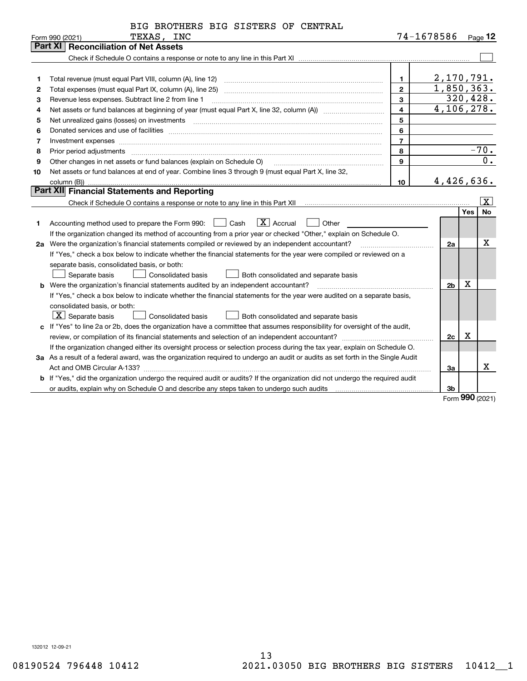| BIG BROTHERS BIG SISTERS OF CENTRAL |
|-------------------------------------|
|                                     |

| 74-1678586<br>Page $12$ |  |
|-------------------------|--|
|-------------------------|--|

|    | TEXAS, INC<br>Form 990 (2021)                                                                                                                                                                                                       |                | 74-1678586               |     | Page 12                    |  |  |  |
|----|-------------------------------------------------------------------------------------------------------------------------------------------------------------------------------------------------------------------------------------|----------------|--------------------------|-----|----------------------------|--|--|--|
|    | <b>Part XI   Reconciliation of Net Assets</b>                                                                                                                                                                                       |                |                          |     |                            |  |  |  |
|    |                                                                                                                                                                                                                                     |                |                          |     |                            |  |  |  |
|    |                                                                                                                                                                                                                                     |                |                          |     |                            |  |  |  |
| 1  |                                                                                                                                                                                                                                     | 1.             | 2,170,791.               |     |                            |  |  |  |
| 2  |                                                                                                                                                                                                                                     | $\mathbf{2}$   | 1,850,363.               |     |                            |  |  |  |
| 3  | Revenue less expenses. Subtract line 2 from line 1                                                                                                                                                                                  | 3              | 320,428.<br>4, 106, 278. |     |                            |  |  |  |
| 4  | $\overline{\mathbf{A}}$                                                                                                                                                                                                             |                |                          |     |                            |  |  |  |
| 5  | 5<br>Net unrealized gains (losses) on investments [11] matter contracts and the state of the state of the state of the state of the state of the state of the state of the state of the state of the state of the state of the stat |                |                          |     |                            |  |  |  |
| 6  |                                                                                                                                                                                                                                     | 6              |                          |     |                            |  |  |  |
| 7  | Investment expenses www.communication.com/www.communication.com/www.communication.com/www.communication.com/ww                                                                                                                      | $\overline{7}$ |                          |     |                            |  |  |  |
| 8  | Prior period adjustments                                                                                                                                                                                                            | 8              |                          |     | $-70.$<br>$\overline{0}$ . |  |  |  |
| 9  | 9<br>Other changes in net assets or fund balances (explain on Schedule O)                                                                                                                                                           |                |                          |     |                            |  |  |  |
| 10 | Net assets or fund balances at end of year. Combine lines 3 through 9 (must equal Part X, line 32,                                                                                                                                  |                |                          |     |                            |  |  |  |
|    |                                                                                                                                                                                                                                     | 10             | 4,426,636.               |     |                            |  |  |  |
|    | Part XII Financial Statements and Reporting                                                                                                                                                                                         |                |                          |     |                            |  |  |  |
|    | Check if Schedule O contains a response or note to any line in this Part XII [11] [12] Check if Schedule O contains a response or note to any line in this Part XII                                                                 |                |                          |     | <u>x</u>                   |  |  |  |
|    |                                                                                                                                                                                                                                     |                |                          | Yes | <b>No</b>                  |  |  |  |
| 1  | $\boxed{\mathbf{X}}$ Accrual<br>Accounting method used to prepare the Form 990: <u>June</u> Cash<br>Other                                                                                                                           |                |                          |     |                            |  |  |  |
|    | If the organization changed its method of accounting from a prior year or checked "Other," explain on Schedule O.                                                                                                                   |                |                          |     |                            |  |  |  |
|    | 2a Were the organization's financial statements compiled or reviewed by an independent accountant?                                                                                                                                  |                |                          |     |                            |  |  |  |
|    | If "Yes," check a box below to indicate whether the financial statements for the year were compiled or reviewed on a                                                                                                                |                |                          |     |                            |  |  |  |
|    | separate basis, consolidated basis, or both:                                                                                                                                                                                        |                |                          |     |                            |  |  |  |
|    | Separate basis<br>Consolidated basis<br>Both consolidated and separate basis                                                                                                                                                        |                |                          |     |                            |  |  |  |
|    | <b>b</b> Were the organization's financial statements audited by an independent accountant?                                                                                                                                         |                | 2 <sub>b</sub>           | x   |                            |  |  |  |
|    | If "Yes," check a box below to indicate whether the financial statements for the year were audited on a separate basis,                                                                                                             |                |                          |     |                            |  |  |  |
|    | consolidated basis, or both:                                                                                                                                                                                                        |                |                          |     |                            |  |  |  |
|    | $X$ Separate basis<br><b>Consolidated basis</b><br>Both consolidated and separate basis                                                                                                                                             |                |                          |     |                            |  |  |  |
|    | c If "Yes" to line 2a or 2b, does the organization have a committee that assumes responsibility for oversight of the audit,                                                                                                         |                |                          |     |                            |  |  |  |
|    |                                                                                                                                                                                                                                     |                | 2c                       | х   |                            |  |  |  |
|    | If the organization changed either its oversight process or selection process during the tax year, explain on Schedule O.                                                                                                           |                |                          |     |                            |  |  |  |
|    | 3a As a result of a federal award, was the organization required to undergo an audit or audits as set forth in the Single Audit                                                                                                     |                |                          |     |                            |  |  |  |
|    |                                                                                                                                                                                                                                     |                | 3a                       |     | Χ                          |  |  |  |
|    | b If "Yes," did the organization undergo the required audit or audits? If the organization did not undergo the required audit                                                                                                       |                |                          |     |                            |  |  |  |
|    |                                                                                                                                                                                                                                     |                | 3b                       |     |                            |  |  |  |

Form (2021) **990**

132012 12-09-21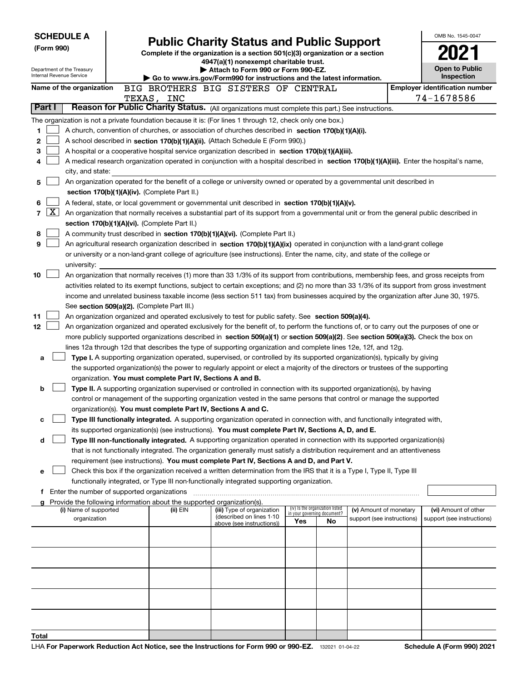| (Form 990)                                                                                                                                                                                                                                         | <b>SCHEDULE A</b><br>Department of the Treasury                                                                                            |  | <b>Public Charity Status and Public Support</b><br>Complete if the organization is a section 501(c)(3) organization or a section<br>4947(a)(1) nonexempt charitable trust. |                                                                                                                                              | OMB No. 1545-0047<br>Open to Public |                                 |                            |  |                                       |  |  |
|----------------------------------------------------------------------------------------------------------------------------------------------------------------------------------------------------------------------------------------------------|--------------------------------------------------------------------------------------------------------------------------------------------|--|----------------------------------------------------------------------------------------------------------------------------------------------------------------------------|----------------------------------------------------------------------------------------------------------------------------------------------|-------------------------------------|---------------------------------|----------------------------|--|---------------------------------------|--|--|
| Internal Revenue Service                                                                                                                                                                                                                           |                                                                                                                                            |  |                                                                                                                                                                            | Attach to Form 990 or Form 990-EZ.<br>▶ Go to www.irs.gov/Form990 for instructions and the latest information.                               |                                     |                                 |                            |  | Inspection                            |  |  |
|                                                                                                                                                                                                                                                    | Name of the organization                                                                                                                   |  |                                                                                                                                                                            | BIG BROTHERS BIG SISTERS OF CENTRAL                                                                                                          |                                     |                                 |                            |  | <b>Employer identification number</b> |  |  |
|                                                                                                                                                                                                                                                    |                                                                                                                                            |  | TEXAS, INC                                                                                                                                                                 |                                                                                                                                              |                                     |                                 |                            |  | 74-1678586                            |  |  |
| Part I                                                                                                                                                                                                                                             |                                                                                                                                            |  |                                                                                                                                                                            | Reason for Public Charity Status. (All organizations must complete this part.) See instructions.                                             |                                     |                                 |                            |  |                                       |  |  |
|                                                                                                                                                                                                                                                    |                                                                                                                                            |  |                                                                                                                                                                            | The organization is not a private foundation because it is: (For lines 1 through 12, check only one box.)                                    |                                     |                                 |                            |  |                                       |  |  |
| 1                                                                                                                                                                                                                                                  |                                                                                                                                            |  |                                                                                                                                                                            | A church, convention of churches, or association of churches described in section 170(b)(1)(A)(i).                                           |                                     |                                 |                            |  |                                       |  |  |
| 2                                                                                                                                                                                                                                                  |                                                                                                                                            |  |                                                                                                                                                                            | A school described in section 170(b)(1)(A)(ii). (Attach Schedule E (Form 990).)                                                              |                                     |                                 |                            |  |                                       |  |  |
| 3                                                                                                                                                                                                                                                  |                                                                                                                                            |  |                                                                                                                                                                            | A hospital or a cooperative hospital service organization described in section 170(b)(1)(A)(iii).                                            |                                     |                                 |                            |  |                                       |  |  |
| 4                                                                                                                                                                                                                                                  |                                                                                                                                            |  |                                                                                                                                                                            | A medical research organization operated in conjunction with a hospital described in section 170(b)(1)(A)(iii). Enter the hospital's name,   |                                     |                                 |                            |  |                                       |  |  |
| 5                                                                                                                                                                                                                                                  | city, and state:                                                                                                                           |  |                                                                                                                                                                            | An organization operated for the benefit of a college or university owned or operated by a governmental unit described in                    |                                     |                                 |                            |  |                                       |  |  |
|                                                                                                                                                                                                                                                    |                                                                                                                                            |  | section 170(b)(1)(A)(iv). (Complete Part II.)                                                                                                                              |                                                                                                                                              |                                     |                                 |                            |  |                                       |  |  |
| 6                                                                                                                                                                                                                                                  |                                                                                                                                            |  |                                                                                                                                                                            | A federal, state, or local government or governmental unit described in section $170(b)(1)(A)(v)$ .                                          |                                     |                                 |                            |  |                                       |  |  |
| $\lfloor x \rfloor$<br>$\overline{7}$                                                                                                                                                                                                              |                                                                                                                                            |  |                                                                                                                                                                            | An organization that normally receives a substantial part of its support from a governmental unit or from the general public described in    |                                     |                                 |                            |  |                                       |  |  |
|                                                                                                                                                                                                                                                    |                                                                                                                                            |  | section 170(b)(1)(A)(vi). (Complete Part II.)                                                                                                                              |                                                                                                                                              |                                     |                                 |                            |  |                                       |  |  |
| 8                                                                                                                                                                                                                                                  |                                                                                                                                            |  |                                                                                                                                                                            | A community trust described in section 170(b)(1)(A)(vi). (Complete Part II.)                                                                 |                                     |                                 |                            |  |                                       |  |  |
| 9                                                                                                                                                                                                                                                  |                                                                                                                                            |  |                                                                                                                                                                            | An agricultural research organization described in section 170(b)(1)(A)(ix) operated in conjunction with a land-grant college                |                                     |                                 |                            |  |                                       |  |  |
|                                                                                                                                                                                                                                                    |                                                                                                                                            |  |                                                                                                                                                                            | or university or a non-land-grant college of agriculture (see instructions). Enter the name, city, and state of the college or               |                                     |                                 |                            |  |                                       |  |  |
|                                                                                                                                                                                                                                                    | university:                                                                                                                                |  |                                                                                                                                                                            |                                                                                                                                              |                                     |                                 |                            |  |                                       |  |  |
| 10                                                                                                                                                                                                                                                 |                                                                                                                                            |  |                                                                                                                                                                            | An organization that normally receives (1) more than 33 1/3% of its support from contributions, membership fees, and gross receipts from     |                                     |                                 |                            |  |                                       |  |  |
|                                                                                                                                                                                                                                                    |                                                                                                                                            |  |                                                                                                                                                                            | activities related to its exempt functions, subject to certain exceptions; and (2) no more than 33 1/3% of its support from gross investment |                                     |                                 |                            |  |                                       |  |  |
|                                                                                                                                                                                                                                                    |                                                                                                                                            |  |                                                                                                                                                                            | income and unrelated business taxable income (less section 511 tax) from businesses acquired by the organization after June 30, 1975.        |                                     |                                 |                            |  |                                       |  |  |
|                                                                                                                                                                                                                                                    |                                                                                                                                            |  | See section 509(a)(2). (Complete Part III.)                                                                                                                                |                                                                                                                                              |                                     |                                 |                            |  |                                       |  |  |
| 11                                                                                                                                                                                                                                                 | An organization organized and operated exclusively to test for public safety. See section 509(a)(4).                                       |  |                                                                                                                                                                            |                                                                                                                                              |                                     |                                 |                            |  |                                       |  |  |
| 12 <sub>2</sub>                                                                                                                                                                                                                                    | An organization organized and operated exclusively for the benefit of, to perform the functions of, or to carry out the purposes of one or |  |                                                                                                                                                                            |                                                                                                                                              |                                     |                                 |                            |  |                                       |  |  |
|                                                                                                                                                                                                                                                    | more publicly supported organizations described in section 509(a)(1) or section 509(a)(2). See section 509(a)(3). Check the box on         |  |                                                                                                                                                                            |                                                                                                                                              |                                     |                                 |                            |  |                                       |  |  |
| lines 12a through 12d that describes the type of supporting organization and complete lines 12e, 12f, and 12g.<br>Type I. A supporting organization operated, supervised, or controlled by its supported organization(s), typically by giving<br>a |                                                                                                                                            |  |                                                                                                                                                                            |                                                                                                                                              |                                     |                                 |                            |  |                                       |  |  |
|                                                                                                                                                                                                                                                    |                                                                                                                                            |  |                                                                                                                                                                            | the supported organization(s) the power to regularly appoint or elect a majority of the directors or trustees of the supporting              |                                     |                                 |                            |  |                                       |  |  |
|                                                                                                                                                                                                                                                    |                                                                                                                                            |  | organization. You must complete Part IV, Sections A and B.                                                                                                                 |                                                                                                                                              |                                     |                                 |                            |  |                                       |  |  |
| b                                                                                                                                                                                                                                                  |                                                                                                                                            |  |                                                                                                                                                                            | Type II. A supporting organization supervised or controlled in connection with its supported organization(s), by having                      |                                     |                                 |                            |  |                                       |  |  |
|                                                                                                                                                                                                                                                    |                                                                                                                                            |  |                                                                                                                                                                            | control or management of the supporting organization vested in the same persons that control or manage the supported                         |                                     |                                 |                            |  |                                       |  |  |
|                                                                                                                                                                                                                                                    |                                                                                                                                            |  | organization(s). You must complete Part IV, Sections A and C.                                                                                                              |                                                                                                                                              |                                     |                                 |                            |  |                                       |  |  |
|                                                                                                                                                                                                                                                    |                                                                                                                                            |  |                                                                                                                                                                            | Type III functionally integrated. A supporting organization operated in connection with, and functionally integrated with,                   |                                     |                                 |                            |  |                                       |  |  |
|                                                                                                                                                                                                                                                    |                                                                                                                                            |  |                                                                                                                                                                            | its supported organization(s) (see instructions). You must complete Part IV, Sections A, D, and E.                                           |                                     |                                 |                            |  |                                       |  |  |
| d                                                                                                                                                                                                                                                  |                                                                                                                                            |  |                                                                                                                                                                            | Type III non-functionally integrated. A supporting organization operated in connection with its supported organization(s)                    |                                     |                                 |                            |  |                                       |  |  |
|                                                                                                                                                                                                                                                    |                                                                                                                                            |  |                                                                                                                                                                            | that is not functionally integrated. The organization generally must satisfy a distribution requirement and an attentiveness                 |                                     |                                 |                            |  |                                       |  |  |
|                                                                                                                                                                                                                                                    |                                                                                                                                            |  |                                                                                                                                                                            | requirement (see instructions). You must complete Part IV, Sections A and D, and Part V.                                                     |                                     |                                 |                            |  |                                       |  |  |
| е                                                                                                                                                                                                                                                  |                                                                                                                                            |  |                                                                                                                                                                            | Check this box if the organization received a written determination from the IRS that it is a Type I, Type II, Type III                      |                                     |                                 |                            |  |                                       |  |  |
|                                                                                                                                                                                                                                                    | <b>f</b> Enter the number of supported organizations                                                                                       |  |                                                                                                                                                                            | functionally integrated, or Type III non-functionally integrated supporting organization.                                                    |                                     |                                 |                            |  |                                       |  |  |
|                                                                                                                                                                                                                                                    |                                                                                                                                            |  | g Provide the following information about the supported organization(s).                                                                                                   |                                                                                                                                              |                                     |                                 |                            |  |                                       |  |  |
|                                                                                                                                                                                                                                                    | (i) Name of supported                                                                                                                      |  | (ii) EIN                                                                                                                                                                   | (iii) Type of organization                                                                                                                   | in your governing document?         | (iv) Is the organization listed | (v) Amount of monetary     |  | (vi) Amount of other                  |  |  |
|                                                                                                                                                                                                                                                    | organization                                                                                                                               |  |                                                                                                                                                                            | (described on lines 1-10<br>above (see instructions))                                                                                        | Yes                                 | No                              | support (see instructions) |  | support (see instructions)            |  |  |
|                                                                                                                                                                                                                                                    |                                                                                                                                            |  |                                                                                                                                                                            |                                                                                                                                              |                                     |                                 |                            |  |                                       |  |  |
|                                                                                                                                                                                                                                                    |                                                                                                                                            |  |                                                                                                                                                                            |                                                                                                                                              |                                     |                                 |                            |  |                                       |  |  |
|                                                                                                                                                                                                                                                    |                                                                                                                                            |  |                                                                                                                                                                            |                                                                                                                                              |                                     |                                 |                            |  |                                       |  |  |
|                                                                                                                                                                                                                                                    |                                                                                                                                            |  |                                                                                                                                                                            |                                                                                                                                              |                                     |                                 |                            |  |                                       |  |  |
|                                                                                                                                                                                                                                                    |                                                                                                                                            |  |                                                                                                                                                                            |                                                                                                                                              |                                     |                                 |                            |  |                                       |  |  |
|                                                                                                                                                                                                                                                    |                                                                                                                                            |  |                                                                                                                                                                            |                                                                                                                                              |                                     |                                 |                            |  |                                       |  |  |
|                                                                                                                                                                                                                                                    |                                                                                                                                            |  |                                                                                                                                                                            |                                                                                                                                              |                                     |                                 |                            |  |                                       |  |  |
|                                                                                                                                                                                                                                                    |                                                                                                                                            |  |                                                                                                                                                                            |                                                                                                                                              |                                     |                                 |                            |  |                                       |  |  |
|                                                                                                                                                                                                                                                    |                                                                                                                                            |  |                                                                                                                                                                            |                                                                                                                                              |                                     |                                 |                            |  |                                       |  |  |
| Total                                                                                                                                                                                                                                              |                                                                                                                                            |  |                                                                                                                                                                            |                                                                                                                                              |                                     |                                 |                            |  |                                       |  |  |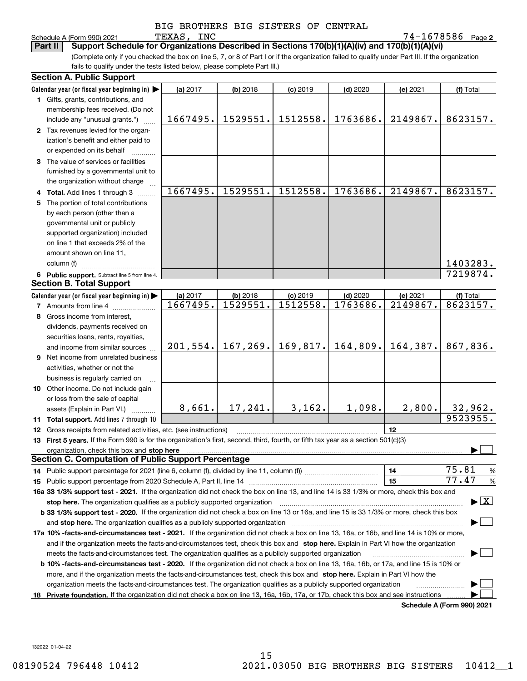|    |                                                                                                                                                                                                                                | BIG BROTHERS BIG SISTERS OF CENTRAL |                                     |            |            |           |                                          |
|----|--------------------------------------------------------------------------------------------------------------------------------------------------------------------------------------------------------------------------------|-------------------------------------|-------------------------------------|------------|------------|-----------|------------------------------------------|
|    | Schedule A (Form 990) 2021                                                                                                                                                                                                     | TEXAS, INC                          |                                     |            |            |           | 74-1678586 Page 2                        |
|    | Support Schedule for Organizations Described in Sections 170(b)(1)(A)(iv) and 170(b)(1)(A)(vi)<br>Part II                                                                                                                      |                                     |                                     |            |            |           |                                          |
|    | (Complete only if you checked the box on line 5, 7, or 8 of Part I or if the organization failed to qualify under Part III. If the organization                                                                                |                                     |                                     |            |            |           |                                          |
|    | fails to qualify under the tests listed below, please complete Part III.)                                                                                                                                                      |                                     |                                     |            |            |           |                                          |
|    | <b>Section A. Public Support</b>                                                                                                                                                                                               |                                     |                                     |            |            |           |                                          |
|    | Calendar year (or fiscal year beginning in)                                                                                                                                                                                    | (a) 2017                            | (b) 2018                            | $(c)$ 2019 | $(d)$ 2020 | (e) 2021  | (f) Total                                |
|    | 1 Gifts, grants, contributions, and                                                                                                                                                                                            |                                     |                                     |            |            |           |                                          |
|    | membership fees received. (Do not                                                                                                                                                                                              |                                     |                                     |            |            |           |                                          |
|    | include any "unusual grants.")                                                                                                                                                                                                 | 1667495.                            | 1529551.                            | 1512558.   | 1763686.   | 2149867.  | 8623157.                                 |
|    | 2 Tax revenues levied for the organ-<br>ization's benefit and either paid to<br>or expended on its behalf                                                                                                                      |                                     |                                     |            |            |           |                                          |
|    | 3 The value of services or facilities                                                                                                                                                                                          |                                     |                                     |            |            |           |                                          |
|    | furnished by a governmental unit to                                                                                                                                                                                            |                                     |                                     |            |            |           |                                          |
|    | the organization without charge                                                                                                                                                                                                |                                     |                                     |            |            |           |                                          |
|    | 4 Total. Add lines 1 through 3                                                                                                                                                                                                 | 1667495.                            | 1529551.                            | 1512558.   | 1763686.   | 2149867.  | 8623157.                                 |
|    | 5 The portion of total contributions                                                                                                                                                                                           |                                     |                                     |            |            |           |                                          |
|    | by each person (other than a                                                                                                                                                                                                   |                                     |                                     |            |            |           |                                          |
|    | governmental unit or publicly                                                                                                                                                                                                  |                                     |                                     |            |            |           |                                          |
|    | supported organization) included                                                                                                                                                                                               |                                     |                                     |            |            |           |                                          |
|    | on line 1 that exceeds 2% of the                                                                                                                                                                                               |                                     |                                     |            |            |           |                                          |
|    | amount shown on line 11,                                                                                                                                                                                                       |                                     |                                     |            |            |           |                                          |
|    | column (f)                                                                                                                                                                                                                     |                                     |                                     |            |            |           | 1403283.                                 |
|    | 6 Public support. Subtract line 5 from line 4.                                                                                                                                                                                 |                                     |                                     |            |            |           | 7219874.                                 |
|    | <b>Section B. Total Support</b>                                                                                                                                                                                                |                                     |                                     |            |            |           |                                          |
|    | Calendar year (or fiscal year beginning in)                                                                                                                                                                                    | (a) 2017                            | $(b)$ 2018                          | (c) 2019   | $(d)$ 2020 | (e) 2021  | (f) Total                                |
|    | 7 Amounts from line 4                                                                                                                                                                                                          | 1667495.                            | 1529551.                            | 1512558.   | 1763686.   | 2149867.  | 8623157.                                 |
| 8  | Gross income from interest,                                                                                                                                                                                                    |                                     |                                     |            |            |           |                                          |
|    | dividends, payments received on                                                                                                                                                                                                |                                     |                                     |            |            |           |                                          |
|    | securities loans, rents, royalties,                                                                                                                                                                                            |                                     |                                     |            |            |           |                                          |
|    | and income from similar sources                                                                                                                                                                                                |                                     | 201,554. 167,269. 169,817. 164,809. |            |            | 164, 387. | 867,836.                                 |
| 9  | Net income from unrelated business                                                                                                                                                                                             |                                     |                                     |            |            |           |                                          |
|    | activities, whether or not the                                                                                                                                                                                                 |                                     |                                     |            |            |           |                                          |
|    | business is regularly carried on                                                                                                                                                                                               |                                     |                                     |            |            |           |                                          |
|    | 10 Other income. Do not include gain                                                                                                                                                                                           |                                     |                                     |            |            |           |                                          |
|    | or loss from the sale of capital                                                                                                                                                                                               |                                     |                                     |            |            |           |                                          |
|    | assets (Explain in Part VI.)                                                                                                                                                                                                   | 8,661.                              | 17,241.                             | 3,162.     | 1,098.     | 2,800.    | 32,962.                                  |
| 11 | <b>Total support.</b> Add lines 7 through 10                                                                                                                                                                                   |                                     |                                     |            |            |           | 9523955.                                 |
| 12 | Gross receipts from related activities, etc. (see instructions)                                                                                                                                                                |                                     |                                     |            |            | 12        |                                          |
| 13 | First 5 years. If the Form 990 is for the organization's first, second, third, fourth, or fifth tax year as a section 501(c)(3)                                                                                                |                                     |                                     |            |            |           |                                          |
|    | organization, check this box and stop here<br><b>Section C. Computation of Public Support Percentage</b>                                                                                                                       |                                     |                                     |            |            |           |                                          |
|    |                                                                                                                                                                                                                                |                                     |                                     |            |            | 14        | 75.81                                    |
|    |                                                                                                                                                                                                                                |                                     |                                     |            |            | 15        | %<br>77.47                               |
|    | 16a 33 1/3% support test - 2021. If the organization did not check the box on line 13, and line 14 is 33 1/3% or more, check this box and                                                                                      |                                     |                                     |            |            |           | %                                        |
|    |                                                                                                                                                                                                                                |                                     |                                     |            |            |           | $\blacktriangleright$ $\boxed{\text{X}}$ |
|    | stop here. The organization qualifies as a publicly supported organization<br>b 33 1/3% support test - 2020. If the organization did not check a box on line 13 or 16a, and line 15 is 33 1/3% or more, check this box         |                                     |                                     |            |            |           |                                          |
|    | and stop here. The organization qualifies as a publicly supported organization manufactured content and stop here. The organization qualifies as a publicly supported organization manufactured and an analyze of the state of |                                     |                                     |            |            |           |                                          |
|    | 17a 10% -facts-and-circumstances test - 2021. If the organization did not check a box on line 13, 16a, or 16b, and line 14 is 10% or more,                                                                                     |                                     |                                     |            |            |           |                                          |
|    | and if the organization meets the facts-and-circumstances test, check this box and stop here. Explain in Part VI how the organization                                                                                          |                                     |                                     |            |            |           |                                          |
|    | meets the facts-and-circumstances test. The organization qualifies as a publicly supported organization                                                                                                                        |                                     |                                     |            |            |           |                                          |
|    | b 10% -facts-and-circumstances test - 2020. If the organization did not check a box on line 13, 16a, 16b, or 17a, and line 15 is 10% or                                                                                        |                                     |                                     |            |            |           |                                          |
|    | more, and if the organization meets the facts-and-circumstances test, check this box and stop here. Explain in Part VI how the                                                                                                 |                                     |                                     |            |            |           |                                          |
|    | organization meets the facts and circumstances test. The organization qualifies as a publicly supported organization                                                                                                           |                                     |                                     |            |            |           |                                          |
| 18 | Private foundation. If the organization did not check a box on line 13, 16a, 16b, 17a, or 17b, check this box and see instructions                                                                                             |                                     |                                     |            |            |           |                                          |
|    |                                                                                                                                                                                                                                |                                     |                                     |            |            |           | Schedule A (Form 990) 2021               |

132022 01-04-22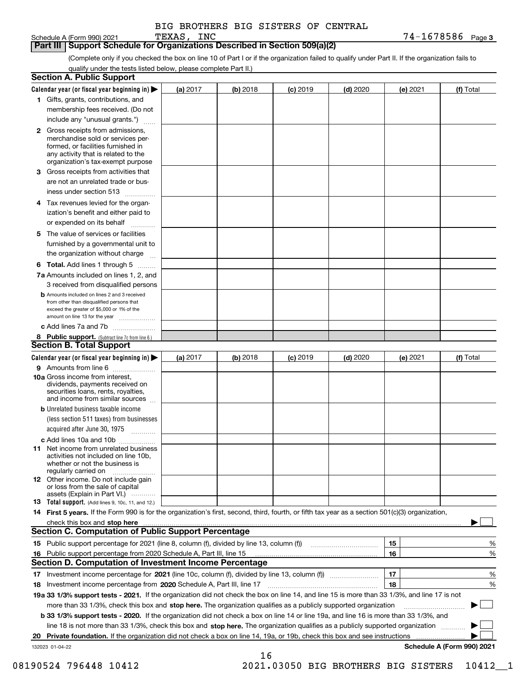| BIG BROTHERS BIG SISTERS OF CENTRAL |  |  |
|-------------------------------------|--|--|
|                                     |  |  |

| Schedule A (Form 990) 2021 | TEXAS, INC |                                                                              | $74 - 1678586$ Page 3 |  |
|----------------------------|------------|------------------------------------------------------------------------------|-----------------------|--|
|                            |            | Part III   Support Schedule for Organizations Described in Section 509(a)(2) |                       |  |

(Complete only if you checked the box on line 10 of Part I or if the organization failed to qualify under Part II. If the organization fails to qualify under the tests listed below, please complete Part II.)

| <b>Section A. Public Support</b>                                                                                                                                                                                               |            |          |            |            |          |                            |
|--------------------------------------------------------------------------------------------------------------------------------------------------------------------------------------------------------------------------------|------------|----------|------------|------------|----------|----------------------------|
| Calendar year (or fiscal year beginning in) $\blacktriangleright$                                                                                                                                                              | (a) 2017   | (b) 2018 | $(c)$ 2019 | $(d)$ 2020 | (e) 2021 | (f) Total                  |
| 1 Gifts, grants, contributions, and                                                                                                                                                                                            |            |          |            |            |          |                            |
| membership fees received. (Do not                                                                                                                                                                                              |            |          |            |            |          |                            |
| include any "unusual grants.")                                                                                                                                                                                                 |            |          |            |            |          |                            |
| 2 Gross receipts from admissions,<br>merchandise sold or services per-<br>formed, or facilities furnished in<br>any activity that is related to the<br>organization's tax-exempt purpose                                       |            |          |            |            |          |                            |
| 3 Gross receipts from activities that<br>are not an unrelated trade or bus-                                                                                                                                                    |            |          |            |            |          |                            |
| iness under section 513                                                                                                                                                                                                        |            |          |            |            |          |                            |
| 4 Tax revenues levied for the organ-<br>ization's benefit and either paid to<br>or expended on its behalf<br>.                                                                                                                 |            |          |            |            |          |                            |
| 5 The value of services or facilities<br>furnished by a governmental unit to<br>the organization without charge                                                                                                                |            |          |            |            |          |                            |
| <b>6 Total.</b> Add lines 1 through 5                                                                                                                                                                                          |            |          |            |            |          |                            |
| 7a Amounts included on lines 1, 2, and<br>3 received from disqualified persons                                                                                                                                                 |            |          |            |            |          |                            |
| <b>b</b> Amounts included on lines 2 and 3 received<br>from other than disqualified persons that<br>exceed the greater of \$5,000 or 1% of the<br>amount on line 13 for the year                                               |            |          |            |            |          |                            |
| c Add lines 7a and 7b                                                                                                                                                                                                          |            |          |            |            |          |                            |
| 8 Public support. (Subtract line 7c from line 6.)<br><b>Section B. Total Support</b>                                                                                                                                           |            |          |            |            |          |                            |
| Calendar year (or fiscal year beginning in) $\blacktriangleright$                                                                                                                                                              | (a) $2017$ | (b) 2018 | $(c)$ 2019 | $(d)$ 2020 | (e) 2021 | (f) Total                  |
| 9 Amounts from line 6                                                                                                                                                                                                          |            |          |            |            |          |                            |
| 10a Gross income from interest,<br>dividends, payments received on<br>securities loans, rents, royalties,<br>and income from similar sources                                                                                   |            |          |            |            |          |                            |
| <b>b</b> Unrelated business taxable income<br>(less section 511 taxes) from businesses<br>acquired after June 30, 1975<br>1.1.1.1.1.1.1.1.1.1                                                                                  |            |          |            |            |          |                            |
| c Add lines 10a and 10b                                                                                                                                                                                                        |            |          |            |            |          |                            |
| <b>11</b> Net income from unrelated business<br>activities not included on line 10b.<br>whether or not the business is<br>regularly carried on                                                                                 |            |          |            |            |          |                            |
| <b>12</b> Other income. Do not include gain<br>or loss from the sale of capital<br>assets (Explain in Part VI.)                                                                                                                |            |          |            |            |          |                            |
| <b>13</b> Total support. (Add lines 9, 10c, 11, and 12.)                                                                                                                                                                       |            |          |            |            |          |                            |
| 14 First 5 years. If the Form 990 is for the organization's first, second, third, fourth, or fifth tax year as a section 501(c)(3) organization,                                                                               |            |          |            |            |          |                            |
| check this box and stop here measurements are all the state of the state of the state of the state of the state of the state of the state of the state of the state of the state of the state of the state of the state of the |            |          |            |            |          |                            |
| <b>Section C. Computation of Public Support Percentage</b>                                                                                                                                                                     |            |          |            |            |          |                            |
|                                                                                                                                                                                                                                |            |          |            |            | 15       | %                          |
| 16 Public support percentage from 2020 Schedule A, Part III, line 15                                                                                                                                                           |            |          |            |            | 16       | %                          |
| <b>Section D. Computation of Investment Income Percentage</b>                                                                                                                                                                  |            |          |            |            |          |                            |
| 17 Investment income percentage for 2021 (line 10c, column (f), divided by line 13, column (f))                                                                                                                                |            |          |            |            | 17<br>18 | %                          |
| 18 Investment income percentage from 2020 Schedule A, Part III, line 17                                                                                                                                                        |            |          |            |            |          | %                          |
| 19a 33 1/3% support tests - 2021. If the organization did not check the box on line 14, and line 15 is more than 33 1/3%, and line 17 is not                                                                                   |            |          |            |            |          |                            |
| more than 33 1/3%, check this box and stop here. The organization qualifies as a publicly supported organization                                                                                                               |            |          |            |            |          |                            |
| b 33 1/3% support tests - 2020. If the organization did not check a box on line 14 or line 19a, and line 16 is more than 33 1/3%, and                                                                                          |            |          |            |            |          |                            |
| line 18 is not more than 33 1/3%, check this box and stop here. The organization qualifies as a publicly supported organization                                                                                                |            |          |            |            |          |                            |
| 20 Private foundation. If the organization did not check a box on line 14, 19a, or 19b, check this box and see instructions                                                                                                    |            |          |            |            |          | Schedule A (Form 990) 2021 |
| 132023 01-04-22                                                                                                                                                                                                                |            | 16       |            |            |          |                            |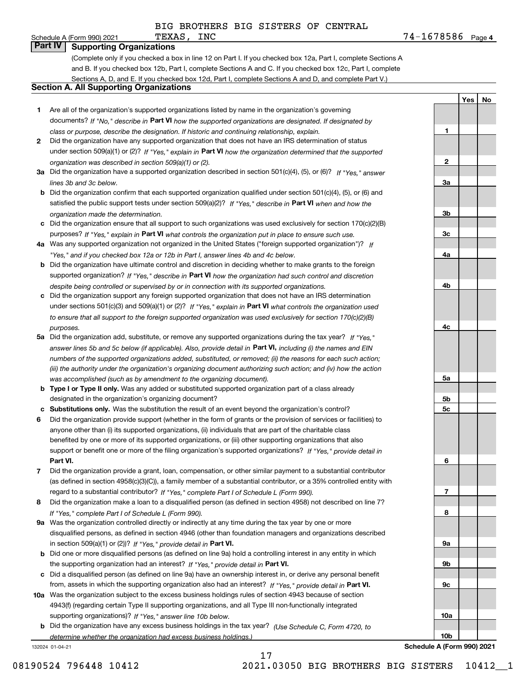|  |  | BIG BROTHERS BIG SISTERS OF CENTRAL |  |  |  |  |
|--|--|-------------------------------------|--|--|--|--|
|--|--|-------------------------------------|--|--|--|--|

**1**

**2**

**3a**

**3b**

**3c**

**4a**

**4b**

**4c**

**5a**

**5b5c**

**6**

**7**

**8**

**9a**

**9b**

**9c**

**10a**

**10b**

**Schedule A (Form 990) 2021**

**YesNo**

#### **Part IV Supporting Organizations**

(Complete only if you checked a box in line 12 on Part I. If you checked box 12a, Part I, complete Sections A and B. If you checked box 12b, Part I, complete Sections A and C. If you checked box 12c, Part I, complete Sections A, D, and E. If you checked box 12d, Part I, complete Sections A and D, and complete Part V.)

#### **Section A. All Supporting Organizations**

- **1** Are all of the organization's supported organizations listed by name in the organization's governing documents? If "No," describe in **Part VI** how the supported organizations are designated. If designated by *class or purpose, describe the designation. If historic and continuing relationship, explain.*
- **2** Did the organization have any supported organization that does not have an IRS determination of status under section 509(a)(1) or (2)? If "Yes," explain in Part VI how the organization determined that the supported *organization was described in section 509(a)(1) or (2).*
- **3a** Did the organization have a supported organization described in section 501(c)(4), (5), or (6)? If "Yes," answer *lines 3b and 3c below.*
- **b** Did the organization confirm that each supported organization qualified under section 501(c)(4), (5), or (6) and satisfied the public support tests under section 509(a)(2)? If "Yes," describe in **Part VI** when and how the *organization made the determination.*
- **c**Did the organization ensure that all support to such organizations was used exclusively for section 170(c)(2)(B) purposes? If "Yes," explain in **Part VI** what controls the organization put in place to ensure such use.
- **4a***If* Was any supported organization not organized in the United States ("foreign supported organization")? *"Yes," and if you checked box 12a or 12b in Part I, answer lines 4b and 4c below.*
- **b** Did the organization have ultimate control and discretion in deciding whether to make grants to the foreign supported organization? If "Yes," describe in **Part VI** how the organization had such control and discretion *despite being controlled or supervised by or in connection with its supported organizations.*
- **c** Did the organization support any foreign supported organization that does not have an IRS determination under sections 501(c)(3) and 509(a)(1) or (2)? If "Yes," explain in **Part VI** what controls the organization used *to ensure that all support to the foreign supported organization was used exclusively for section 170(c)(2)(B) purposes.*
- **5a** Did the organization add, substitute, or remove any supported organizations during the tax year? If "Yes," answer lines 5b and 5c below (if applicable). Also, provide detail in **Part VI,** including (i) the names and EIN *numbers of the supported organizations added, substituted, or removed; (ii) the reasons for each such action; (iii) the authority under the organization's organizing document authorizing such action; and (iv) how the action was accomplished (such as by amendment to the organizing document).*
- **b** Type I or Type II only. Was any added or substituted supported organization part of a class already designated in the organization's organizing document?
- **cSubstitutions only.**  Was the substitution the result of an event beyond the organization's control?
- **6** Did the organization provide support (whether in the form of grants or the provision of services or facilities) to **Part VI.** *If "Yes," provide detail in* support or benefit one or more of the filing organization's supported organizations? anyone other than (i) its supported organizations, (ii) individuals that are part of the charitable class benefited by one or more of its supported organizations, or (iii) other supporting organizations that also
- **7**Did the organization provide a grant, loan, compensation, or other similar payment to a substantial contributor *If "Yes," complete Part I of Schedule L (Form 990).* regard to a substantial contributor? (as defined in section 4958(c)(3)(C)), a family member of a substantial contributor, or a 35% controlled entity with
- **8** Did the organization make a loan to a disqualified person (as defined in section 4958) not described on line 7? *If "Yes," complete Part I of Schedule L (Form 990).*
- **9a** Was the organization controlled directly or indirectly at any time during the tax year by one or more in section 509(a)(1) or (2))? If "Yes," *provide detail in* <code>Part VI.</code> disqualified persons, as defined in section 4946 (other than foundation managers and organizations described
- **b**the supporting organization had an interest? If "Yes," provide detail in P**art VI**. Did one or more disqualified persons (as defined on line 9a) hold a controlling interest in any entity in which
- **c**Did a disqualified person (as defined on line 9a) have an ownership interest in, or derive any personal benefit from, assets in which the supporting organization also had an interest? If "Yes," provide detail in P**art VI.**
- **10a** Was the organization subject to the excess business holdings rules of section 4943 because of section supporting organizations)? If "Yes," answer line 10b below. 4943(f) (regarding certain Type II supporting organizations, and all Type III non-functionally integrated
- **b** Did the organization have any excess business holdings in the tax year? (Use Schedule C, Form 4720, to *determine whether the organization had excess business holdings.)*

132024 01-04-21

17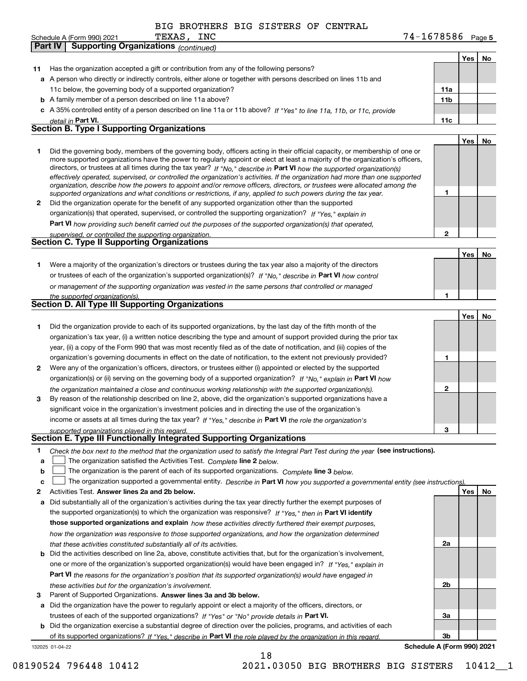**5**TEXAS, INC 74-1678586 **Yes No 11** Has the organization accepted a gift or contribution from any of the following persons? **a**A person who directly or indirectly controls, either alone or together with persons described on lines 11b and **b** A family member of a person described on line 11a above? **c** A 35% controlled entity of a person described on line 11a or 11b above? If "Yes" to line 11a, 11b, or 11c, provide **11a11bPart VI. 11c Yes No 12** Did the organization operate for the benefit of any supported organization other than the supported directors, or trustees at all times during the tax year? If "No," describe in **Part VI** how the supported organization(s) **12Part VI**  *how providing such benefit carried out the purposes of the supported organization(s) that operated,* **Yes No 1**or trustees of each of the organization's supported organization(s)? If "No," describe in **Part VI** how control **1***detail in effectively operated, supervised, or controlled the organization's activities. If the organization had more than one supported organization, describe how the powers to appoint and/or remove officers, directors, or trustees were allocated among the supported organizations and what conditions or restrictions, if any, applied to such powers during the tax year. If "Yes," explain in* organization(s) that operated, supervised, or controlled the supporting organization? *supervised, or controlled the supporting organization. or management of the supporting organization was vested in the same persons that controlled or managed the supported organization(s).* Schedule A (Form 990) 2021  $TEXAS$ , INC 11c below, the governing body of a supported organization? Did the governing body, members of the governing body, officers acting in their official capacity, or membership of one or more supported organizations have the power to regularly appoint or elect at least a majority of the organization's officers, Were a majority of the organization's directors or trustees during the tax year also a majority of the directors **Part IV Supporting Organizations** *(continued)* **Section B. Type I Supporting Organizations Section C. Type II Supporting Organizations Section D. All Type III Supporting Organizations**

|              |                                                                                                                        |   | Yes | No |
|--------------|------------------------------------------------------------------------------------------------------------------------|---|-----|----|
|              | Did the organization provide to each of its supported organizations, by the last day of the fifth month of the         |   |     |    |
|              | organization's tax year, (i) a written notice describing the type and amount of support provided during the prior tax  |   |     |    |
|              | year, (ii) a copy of the Form 990 that was most recently filed as of the date of notification, and (iii) copies of the |   |     |    |
|              | organization's governing documents in effect on the date of notification, to the extent not previously provided?       |   |     |    |
| $\mathbf{2}$ | Were any of the organization's officers, directors, or trustees either (i) appointed or elected by the supported       |   |     |    |
|              | organization(s) or (ii) serving on the governing body of a supported organization? If "No," explain in Part VI how     |   |     |    |
|              | the organization maintained a close and continuous working relationship with the supported organization(s).            | 2 |     |    |
| 3            | By reason of the relationship described on line 2, above, did the organization's supported organizations have a        |   |     |    |
|              | significant voice in the organization's investment policies and in directing the use of the organization's             |   |     |    |
|              | income or assets at all times during the tax year? If "Yes," describe in Part VI the role the organization's           |   |     |    |
|              | supported organizations played in this regard.                                                                         | з |     |    |

# *supported organizations played in this regard.* **Section E. Type III Functionally Integrated Supporting Organizations**

|  |  |  |  | Check the box next to the method that the organization used to satisfy the Integral Part Test during the year (see instructions). |
|--|--|--|--|-----------------------------------------------------------------------------------------------------------------------------------|
|--|--|--|--|-----------------------------------------------------------------------------------------------------------------------------------|

- **a**The organization satisfied the Activities Test. *Complete* line 2 below.  $\mathcal{L}^{\text{max}}$
- **b**The organization is the parent of each of its supported organizations. *Complete* line 3 *below.*  $\mathcal{L}^{\text{max}}$

|  |  |  | c <u>□</u> The organization supported a governmental entity. Describe in Part VI how you supported a governmental entity (see instructions) |  |
|--|--|--|---------------------------------------------------------------------------------------------------------------------------------------------|--|
|--|--|--|---------------------------------------------------------------------------------------------------------------------------------------------|--|

18

- **2Answer lines 2a and 2b below. Yes No** Activities Test.
- **a** Did substantially all of the organization's activities during the tax year directly further the exempt purposes of the supported organization(s) to which the organization was responsive? If "Yes," then in **Part VI identify those supported organizations and explain**  *how these activities directly furthered their exempt purposes, how the organization was responsive to those supported organizations, and how the organization determined that these activities constituted substantially all of its activities.*
- **b** Did the activities described on line 2a, above, constitute activities that, but for the organization's involvement, **Part VI**  *the reasons for the organization's position that its supported organization(s) would have engaged in* one or more of the organization's supported organization(s) would have been engaged in? If "Yes," e*xplain in these activities but for the organization's involvement.*
- **3**Parent of Supported Organizations. Answer lines 3a and 3b below.

**a** Did the organization have the power to regularly appoint or elect a majority of the officers, directors, or trustees of each of the supported organizations? If "Yes" or "No" provide details in **Part VI.** 

132025 01-04-22 **b** Did the organization exercise a substantial degree of direction over the policies, programs, and activities of each of its supported organizations? If "Yes," describe in Part VI the role played by the organization in this regard.

**3bSchedule A (Form 990) 2021**

**2a**

**2b**

**3a**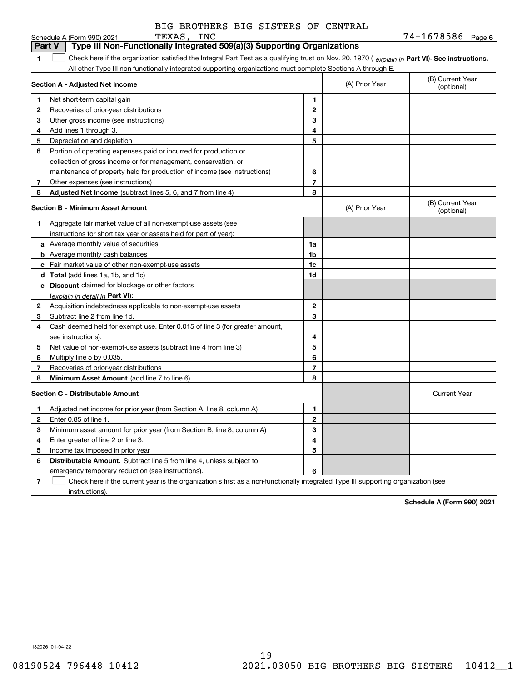|                | BIG BROTHERS BIG SISTERS OF CENTRAL                                                                                                            |              |                |                                |
|----------------|------------------------------------------------------------------------------------------------------------------------------------------------|--------------|----------------|--------------------------------|
|                | TEXAS, INC<br>Schedule A (Form 990) 2021                                                                                                       |              |                | 74-1678586 Page 6              |
|                | Type III Non-Functionally Integrated 509(a)(3) Supporting Organizations<br><b>Part V</b>                                                       |              |                |                                |
| 1              | Check here if the organization satisfied the Integral Part Test as a qualifying trust on Nov. 20, 1970 (explain in Part VI). See instructions. |              |                |                                |
|                | All other Type III non-functionally integrated supporting organizations must complete Sections A through E.                                    |              |                |                                |
|                | Section A - Adjusted Net Income                                                                                                                |              | (A) Prior Year | (B) Current Year<br>(optional) |
| 1.             | Net short-term capital gain                                                                                                                    | 1            |                |                                |
| 2              | Recoveries of prior-year distributions                                                                                                         | $\mathbf{2}$ |                |                                |
| 3              | Other gross income (see instructions)                                                                                                          | 3            |                |                                |
| 4              | Add lines 1 through 3.                                                                                                                         | 4            |                |                                |
| 5              | Depreciation and depletion                                                                                                                     | 5            |                |                                |
| 6              | Portion of operating expenses paid or incurred for production or                                                                               |              |                |                                |
|                | collection of gross income or for management, conservation, or                                                                                 |              |                |                                |
|                | maintenance of property held for production of income (see instructions)                                                                       | 6            |                |                                |
| 7 <sup>7</sup> | Other expenses (see instructions)                                                                                                              | 7            |                |                                |
| 8              | <b>Adjusted Net Income</b> (subtract lines 5, 6, and 7 from line 4)                                                                            | 8            |                |                                |
|                | <b>Section B - Minimum Asset Amount</b>                                                                                                        |              | (A) Prior Year | (B) Current Year<br>(optional) |
| 1.             | Aggregate fair market value of all non-exempt-use assets (see                                                                                  |              |                |                                |
|                | instructions for short tax year or assets held for part of year):                                                                              |              |                |                                |
|                | <b>a</b> Average monthly value of securities                                                                                                   | 1a           |                |                                |
|                | <b>b</b> Average monthly cash balances                                                                                                         | 1b           |                |                                |
|                | c Fair market value of other non-exempt-use assets                                                                                             | 1c           |                |                                |
|                | d Total (add lines 1a, 1b, and 1c)                                                                                                             | 1d           |                |                                |
|                | e Discount claimed for blockage or other factors                                                                                               |              |                |                                |
|                | (explain in detail in Part VI):                                                                                                                |              |                |                                |
|                | 2 Acquisition indebtedness applicable to non-exempt-use assets                                                                                 | $\mathbf{2}$ |                |                                |
| 3              | Subtract line 2 from line 1d.                                                                                                                  | 3            |                |                                |
| 4              | Cash deemed held for exempt use. Enter 0.015 of line 3 (for greater amount,                                                                    |              |                |                                |
|                | see instructions).                                                                                                                             | 4            |                |                                |
| 5              | Net value of non-exempt-use assets (subtract line 4 from line 3)                                                                               | 5            |                |                                |
| 6              | Multiply line 5 by 0.035.                                                                                                                      | 6            |                |                                |
| 7              | Recoveries of prior-year distributions                                                                                                         | 7            |                |                                |
| 8              | Minimum Asset Amount (add line 7 to line 6)                                                                                                    | 8            |                |                                |
|                | <b>Section C - Distributable Amount</b>                                                                                                        |              |                | <b>Current Year</b>            |
| 1              | Adjusted net income for prior year (from Section A, line 8, column A)                                                                          | 1            |                |                                |
| 2              | Enter 0.85 of line 1.                                                                                                                          | 2            |                |                                |
| 3              | Minimum asset amount for prior year (from Section B, line 8, column A)                                                                         | 3            |                |                                |
| 4              | Enter greater of line 2 or line 3.                                                                                                             | 4            |                |                                |
| 5              | Income tax imposed in prior year                                                                                                               | 5            |                |                                |
| 6              | Distributable Amount. Subtract line 5 from line 4, unless subject to                                                                           |              |                |                                |
|                | emergency temporary reduction (see instructions).                                                                                              | 6            |                |                                |
| $\overline{7}$ | Check here if the current year is the organization's first as a non-functionally integrated Type III supporting organization (see              |              |                |                                |

instructions).

**Schedule A (Form 990) 2021**

132026 01-04-22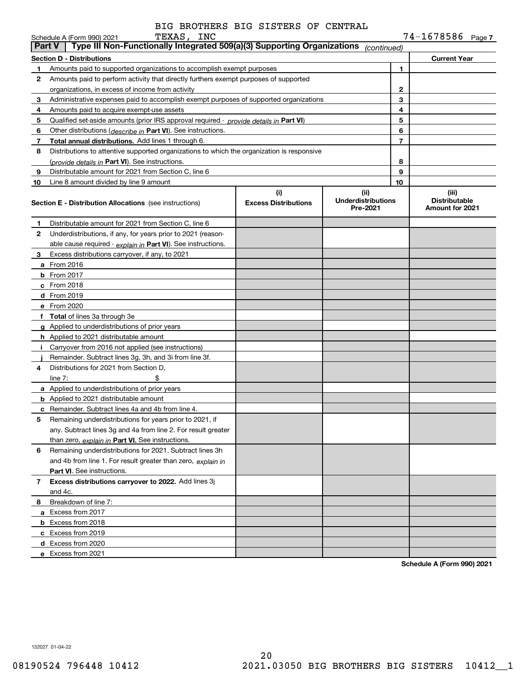| 74-1678586 | Page 7 |
|------------|--------|
|------------|--------|

|               | TEXAS, INC<br>Schedule A (Form 990) 2021                                                   |                                    |                                               |                | $74 - 1678586$ Page 7                            |
|---------------|--------------------------------------------------------------------------------------------|------------------------------------|-----------------------------------------------|----------------|--------------------------------------------------|
| <b>Part V</b> | Type III Non-Functionally Integrated 509(a)(3) Supporting Organizations                    |                                    | (continued)                                   |                |                                                  |
|               | <b>Section D - Distributions</b>                                                           |                                    |                                               |                | <b>Current Year</b>                              |
| 1             | Amounts paid to supported organizations to accomplish exempt purposes                      |                                    |                                               | 1.             |                                                  |
| 2             | Amounts paid to perform activity that directly furthers exempt purposes of supported       |                                    |                                               |                |                                                  |
|               | organizations, in excess of income from activity                                           |                                    |                                               | 2              |                                                  |
| 3             | Administrative expenses paid to accomplish exempt purposes of supported organizations      |                                    |                                               | 3              |                                                  |
| 4             | Amounts paid to acquire exempt-use assets                                                  |                                    |                                               | 4              |                                                  |
| 5             | Qualified set-aside amounts (prior IRS approval required - provide details in Part VI)     |                                    |                                               | 5              |                                                  |
| 6             | Other distributions (describe in Part VI). See instructions.                               |                                    |                                               | 6              |                                                  |
| 7             | Total annual distributions. Add lines 1 through 6.                                         |                                    |                                               | $\overline{7}$ |                                                  |
| 8             | Distributions to attentive supported organizations to which the organization is responsive |                                    |                                               |                |                                                  |
|               | (provide details in Part VI). See instructions.                                            |                                    |                                               | 8              |                                                  |
| 9             | Distributable amount for 2021 from Section C, line 6                                       |                                    |                                               | 9              |                                                  |
| 10            | Line 8 amount divided by line 9 amount                                                     |                                    |                                               | 10             |                                                  |
|               | <b>Section E - Distribution Allocations</b> (see instructions)                             | (i)<br><b>Excess Distributions</b> | (ii)<br><b>Underdistributions</b><br>Pre-2021 |                | (iii)<br><b>Distributable</b><br>Amount for 2021 |
| 1             | Distributable amount for 2021 from Section C, line 6                                       |                                    |                                               |                |                                                  |
| 2             | Underdistributions, if any, for years prior to 2021 (reason-                               |                                    |                                               |                |                                                  |
|               | able cause required - explain in Part VI). See instructions.                               |                                    |                                               |                |                                                  |
| 3             | Excess distributions carryover, if any, to 2021                                            |                                    |                                               |                |                                                  |
|               | a From 2016                                                                                |                                    |                                               |                |                                                  |
|               | <b>b</b> From 2017                                                                         |                                    |                                               |                |                                                  |
|               | c From 2018                                                                                |                                    |                                               |                |                                                  |
|               | d From 2019                                                                                |                                    |                                               |                |                                                  |
|               | e From 2020                                                                                |                                    |                                               |                |                                                  |
|               | f Total of lines 3a through 3e                                                             |                                    |                                               |                |                                                  |
|               | g Applied to underdistributions of prior years                                             |                                    |                                               |                |                                                  |
|               | <b>h</b> Applied to 2021 distributable amount                                              |                                    |                                               |                |                                                  |
|               | i Carryover from 2016 not applied (see instructions)                                       |                                    |                                               |                |                                                  |
|               | Remainder. Subtract lines 3g, 3h, and 3i from line 3f.                                     |                                    |                                               |                |                                                  |
| 4             | Distributions for 2021 from Section D.                                                     |                                    |                                               |                |                                                  |
|               | \$<br>line $7:$                                                                            |                                    |                                               |                |                                                  |
|               | a Applied to underdistributions of prior years                                             |                                    |                                               |                |                                                  |
|               | <b>b</b> Applied to 2021 distributable amount                                              |                                    |                                               |                |                                                  |
|               | <b>c</b> Remainder. Subtract lines 4a and 4b from line 4.                                  |                                    |                                               |                |                                                  |
|               | Remaining underdistributions for years prior to 2021, if                                   |                                    |                                               |                |                                                  |
|               | any. Subtract lines 3g and 4a from line 2. For result greater                              |                                    |                                               |                |                                                  |
|               | than zero, explain in Part VI. See instructions.                                           |                                    |                                               |                |                                                  |
| 6             | Remaining underdistributions for 2021. Subtract lines 3h                                   |                                    |                                               |                |                                                  |
|               | and 4b from line 1. For result greater than zero, explain in                               |                                    |                                               |                |                                                  |
|               | Part VI. See instructions.                                                                 |                                    |                                               |                |                                                  |
| $7^{\circ}$   | Excess distributions carryover to 2022. Add lines 3j<br>and 4c.                            |                                    |                                               |                |                                                  |
| 8             | Breakdown of line 7:                                                                       |                                    |                                               |                |                                                  |
|               | a Excess from 2017                                                                         |                                    |                                               |                |                                                  |
|               | <b>b</b> Excess from 2018                                                                  |                                    |                                               |                |                                                  |
|               | c Excess from 2019                                                                         |                                    |                                               |                |                                                  |
|               | d Excess from 2020                                                                         |                                    |                                               |                |                                                  |
|               | e Excess from 2021                                                                         |                                    |                                               |                |                                                  |
|               |                                                                                            |                                    |                                               |                |                                                  |

**Schedule A (Form 990) 2021**

132027 01-04-22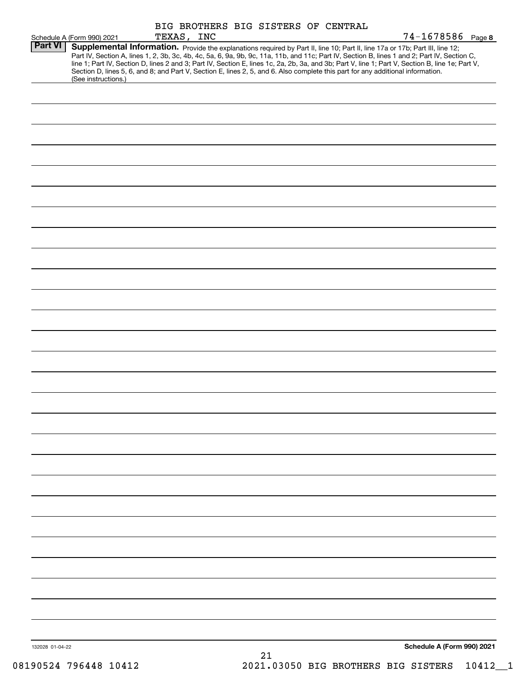|                 | Schedule A (Form 990) 2021                                                                                                                             | TEXAS, INC |  |        | BIG BROTHERS BIG SISTERS OF CENTRAL | $74 - 1678586$ Page 8                                                                                                                                                                                                                                                                                                                                                                                                             |
|-----------------|--------------------------------------------------------------------------------------------------------------------------------------------------------|------------|--|--------|-------------------------------------|-----------------------------------------------------------------------------------------------------------------------------------------------------------------------------------------------------------------------------------------------------------------------------------------------------------------------------------------------------------------------------------------------------------------------------------|
| <b>Part VI</b>  | Section D, lines 5, 6, and 8; and Part V, Section E, lines 2, 5, and 6. Also complete this part for any additional information.<br>(See instructions.) |            |  |        |                                     | Supplemental Information. Provide the explanations required by Part II, line 10; Part II, line 17a or 17b; Part III, line 12;<br>Part IV, Section A, lines 1, 2, 3b, 3c, 4b, 4c, 5a, 6, 9a, 9b, 9c, 11a, 11b, and 11c; Part IV, Section B, lines 1 and 2; Part IV, Section C,<br>line 1; Part IV, Section D, lines 2 and 3; Part IV, Section E, lines 1c, 2a, 2b, 3a, and 3b; Part V, line 1; Part V, Section B, line 1e; Part V, |
|                 |                                                                                                                                                        |            |  |        |                                     |                                                                                                                                                                                                                                                                                                                                                                                                                                   |
|                 |                                                                                                                                                        |            |  |        |                                     |                                                                                                                                                                                                                                                                                                                                                                                                                                   |
|                 |                                                                                                                                                        |            |  |        |                                     |                                                                                                                                                                                                                                                                                                                                                                                                                                   |
|                 |                                                                                                                                                        |            |  |        |                                     |                                                                                                                                                                                                                                                                                                                                                                                                                                   |
|                 |                                                                                                                                                        |            |  |        |                                     |                                                                                                                                                                                                                                                                                                                                                                                                                                   |
|                 |                                                                                                                                                        |            |  |        |                                     |                                                                                                                                                                                                                                                                                                                                                                                                                                   |
|                 |                                                                                                                                                        |            |  |        |                                     |                                                                                                                                                                                                                                                                                                                                                                                                                                   |
|                 |                                                                                                                                                        |            |  |        |                                     |                                                                                                                                                                                                                                                                                                                                                                                                                                   |
|                 |                                                                                                                                                        |            |  |        |                                     |                                                                                                                                                                                                                                                                                                                                                                                                                                   |
|                 |                                                                                                                                                        |            |  |        |                                     |                                                                                                                                                                                                                                                                                                                                                                                                                                   |
|                 |                                                                                                                                                        |            |  |        |                                     |                                                                                                                                                                                                                                                                                                                                                                                                                                   |
|                 |                                                                                                                                                        |            |  |        |                                     |                                                                                                                                                                                                                                                                                                                                                                                                                                   |
|                 |                                                                                                                                                        |            |  |        |                                     |                                                                                                                                                                                                                                                                                                                                                                                                                                   |
|                 |                                                                                                                                                        |            |  |        |                                     |                                                                                                                                                                                                                                                                                                                                                                                                                                   |
|                 |                                                                                                                                                        |            |  |        |                                     |                                                                                                                                                                                                                                                                                                                                                                                                                                   |
|                 |                                                                                                                                                        |            |  |        |                                     |                                                                                                                                                                                                                                                                                                                                                                                                                                   |
|                 |                                                                                                                                                        |            |  |        |                                     |                                                                                                                                                                                                                                                                                                                                                                                                                                   |
|                 |                                                                                                                                                        |            |  |        |                                     |                                                                                                                                                                                                                                                                                                                                                                                                                                   |
|                 |                                                                                                                                                        |            |  |        |                                     |                                                                                                                                                                                                                                                                                                                                                                                                                                   |
|                 |                                                                                                                                                        |            |  |        |                                     |                                                                                                                                                                                                                                                                                                                                                                                                                                   |
|                 |                                                                                                                                                        |            |  |        |                                     |                                                                                                                                                                                                                                                                                                                                                                                                                                   |
|                 |                                                                                                                                                        |            |  |        |                                     |                                                                                                                                                                                                                                                                                                                                                                                                                                   |
|                 |                                                                                                                                                        |            |  |        |                                     |                                                                                                                                                                                                                                                                                                                                                                                                                                   |
|                 |                                                                                                                                                        |            |  |        |                                     |                                                                                                                                                                                                                                                                                                                                                                                                                                   |
| 132028 01-04-22 |                                                                                                                                                        |            |  | $\sim$ |                                     | Schedule A (Form 990) 2021                                                                                                                                                                                                                                                                                                                                                                                                        |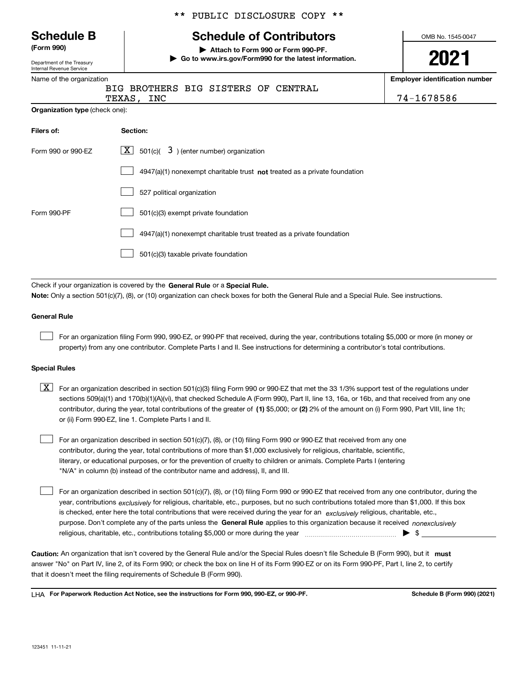| <b>Schedule B</b><br>(Form 990)<br>Department of the Treasury<br>Internal Revenue Service | <b>Schedule of Contributors</b><br>Attach to Form 990 or Form 990-PF.<br>Go to www.irs.gov/Form990 for the latest information. | OMB No. 1545-0047<br>2021                           |
|-------------------------------------------------------------------------------------------|--------------------------------------------------------------------------------------------------------------------------------|-----------------------------------------------------|
| Name of the organization                                                                  | BIG BROTHERS BIG SISTERS OF CENTRAL<br>TEXAS, INC                                                                              | <b>Employer identification number</b><br>74-1678586 |
| Organization type (check one):                                                            |                                                                                                                                |                                                     |
| Filers of:                                                                                | Section:                                                                                                                       |                                                     |
| Form 990 or 990-FZ                                                                        | $501(c)$ $3$ ) (enter number) organization<br>X                                                                                |                                                     |
|                                                                                           | $4947(a)(1)$ nonexempt charitable trust not treated as a private foundation                                                    |                                                     |
|                                                                                           | 527 political organization                                                                                                     |                                                     |
| Form 990-PF                                                                               | 501(c)(3) exempt private foundation                                                                                            |                                                     |
|                                                                                           | 4947(a)(1) nonexempt charitable trust treated as a private foundation                                                          |                                                     |
|                                                                                           | 501(c)(3) taxable private foundation                                                                                           |                                                     |

\*\* PUBLIC DISCLOSURE COPY \*\*

Check if your organization is covered by the **General Rule** or a **Special Rule. Note:**  Only a section 501(c)(7), (8), or (10) organization can check boxes for both the General Rule and a Special Rule. See instructions.

#### **General Rule**

For an organization filing Form 990, 990-EZ, or 990-PF that received, during the year, contributions totaling \$5,000 or more (in money or property) from any one contributor. Complete Parts I and II. See instructions for determining a contributor's total contributions.

#### **Special Rules**

contributor, during the year, total contributions of the greater of (1**)** \$5,000; or (2) 2% of the amount on (i) Form 990, Part VIII, line 1h;  $\boxed{\textbf{X}}$  For an organization described in section 501(c)(3) filing Form 990 or 990-EZ that met the 33 1/3% support test of the regulations under sections 509(a)(1) and 170(b)(1)(A)(vi), that checked Schedule A (Form 990), Part II, line 13, 16a, or 16b, and that received from any one or (ii) Form 990-EZ, line 1. Complete Parts I and II.

For an organization described in section 501(c)(7), (8), or (10) filing Form 990 or 990-EZ that received from any one contributor, during the year, total contributions of more than \$1,000 exclusively for religious, charitable, scientific, literary, or educational purposes, or for the prevention of cruelty to children or animals. Complete Parts I (entering "N/A" in column (b) instead of the contributor name and address), II, and III.

purpose. Don't complete any of the parts unless the **General Rule** applies to this organization because it received *nonexclusively* year, contributions <sub>exclusively</sub> for religious, charitable, etc., purposes, but no such contributions totaled more than \$1,000. If this box is checked, enter here the total contributions that were received during the year for an  $\;$ exclusively religious, charitable, etc., For an organization described in section 501(c)(7), (8), or (10) filing Form 990 or 990-EZ that received from any one contributor, during the religious, charitable, etc., contributions totaling \$5,000 or more during the year  $\Box$ — $\Box$  =  $\Box$  $\mathcal{L}^{\text{max}}$ 

Caution: An organization that isn't covered by the General Rule and/or the Special Rules doesn't file Schedule B (Form 990), but it **must** answer "No" on Part IV, line 2, of its Form 990; or check the box on line H of its Form 990-EZ or on its Form 990-PF, Part I, line 2, to certify that it doesn't meet the filing requirements of Schedule B (Form 990).

LHA For Paperwork Reduction Act Notice, see the instructions for Form 990, 990-EZ, or 990-PF. **In the act and Schedule B** (Form 990) (2021)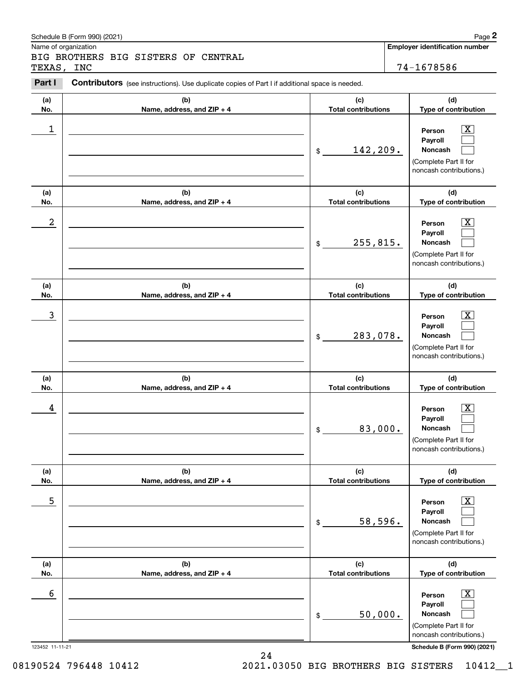| Name of organization | Schedule B (Form 990) (2021)                                                                   |                                   | Page 2<br><b>Employer identification number</b>                                                                                             |
|----------------------|------------------------------------------------------------------------------------------------|-----------------------------------|---------------------------------------------------------------------------------------------------------------------------------------------|
| TEXAS, INC           | BIG BROTHERS BIG SISTERS OF CENTRAL                                                            | 74-1678586                        |                                                                                                                                             |
| Part I               | Contributors (see instructions). Use duplicate copies of Part I if additional space is needed. |                                   |                                                                                                                                             |
| (a)<br>No.           | (b)<br>Name, address, and ZIP + 4                                                              | (c)<br><b>Total contributions</b> | (d)<br>Type of contribution                                                                                                                 |
| 1                    |                                                                                                | 142,209.<br>\$                    | X<br>Person<br>Payroll<br>Noncash<br>(Complete Part II for<br>noncash contributions.)                                                       |
| (a)<br>No.           | (b)<br>Name, address, and ZIP + 4                                                              | (c)<br><b>Total contributions</b> | (d)<br>Type of contribution                                                                                                                 |
| 2                    |                                                                                                | 255,815.<br>$\$\$                 | X<br>Person<br>Payroll<br>Noncash<br>(Complete Part II for<br>noncash contributions.)                                                       |
| (a)<br>No.           | (b)<br>Name, address, and ZIP + 4                                                              | (c)<br><b>Total contributions</b> | (d)<br>Type of contribution                                                                                                                 |
| 3                    |                                                                                                | 283,078.<br>\$                    | X<br>Person<br>Payroll<br>Noncash<br>(Complete Part II for<br>noncash contributions.)                                                       |
| (a)<br>No.           | (b)<br>Name, address, and ZIP + 4                                                              | (c)<br><b>Total contributions</b> | (d)<br>Type of contribution                                                                                                                 |
| 4                    |                                                                                                | 83,000.<br>\$                     | $\overline{\text{X}}$<br>Person<br>Payroll<br>Noncash<br>(Complete Part II for<br>noncash contributions.)                                   |
| (a)<br>No.           | (b)<br>Name, address, and ZIP + 4                                                              | (c)<br><b>Total contributions</b> | (d)<br>Type of contribution                                                                                                                 |
| 5                    |                                                                                                | 58,596.<br>\$                     | $\boxed{\text{X}}$<br>Person<br>Payroll<br>Noncash<br>(Complete Part II for<br>noncash contributions.)                                      |
| (a)<br>No.           | (b)<br>Name, address, and ZIP + 4                                                              | (c)<br><b>Total contributions</b> | (d)<br>Type of contribution                                                                                                                 |
| 6<br>123452 11-11-21 |                                                                                                | 50,000.<br>$\,$                   | $\overline{\mathbf{X}}$<br>Person<br>Payroll<br>Noncash<br>(Complete Part II for<br>noncash contributions.)<br>Schedule B (Form 990) (2021) |

24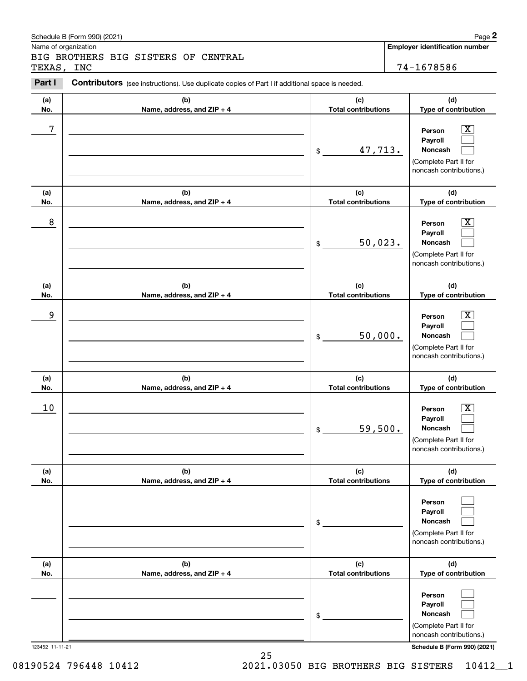| TEXAS, INC      | BIG BROTHERS BIG SISTERS OF CENTRAL                                                                   |                                             |                                                                                                                  |
|-----------------|-------------------------------------------------------------------------------------------------------|---------------------------------------------|------------------------------------------------------------------------------------------------------------------|
|                 |                                                                                                       | 74-1678586                                  |                                                                                                                  |
| Part I          | <b>Contributors</b> (see instructions). Use duplicate copies of Part I if additional space is needed. |                                             |                                                                                                                  |
| (a)<br>No.      | (b)<br>Name, address, and ZIP + 4                                                                     | (c)<br><b>Total contributions</b>           | (d)<br>Type of contribution                                                                                      |
| $\bf 7$         |                                                                                                       | 47,713.<br>\$                               | X<br>Person<br>Payroll<br>Noncash<br>(Complete Part II for<br>noncash contributions.)                            |
| (a)<br>No.      | (b)<br>Name, address, and ZIP + 4                                                                     | (c)<br><b>Total contributions</b>           | (d)<br>Type of contribution                                                                                      |
| 8               |                                                                                                       | 50,023.<br>\$                               | X<br>Person<br>Payroll<br>Noncash<br>(Complete Part II for<br>noncash contributions.)                            |
| (a)             | (b)                                                                                                   | (c)                                         | (d)                                                                                                              |
| No.<br>9        | Name, address, and ZIP + 4                                                                            | <b>Total contributions</b><br>50,000.<br>\$ | Type of contribution<br>X<br>Person<br>Payroll<br>Noncash<br>(Complete Part II for<br>noncash contributions.)    |
| (a)<br>No.      | (b)<br>Name, address, and ZIP + 4                                                                     | (c)<br><b>Total contributions</b>           | (d)<br>Type of contribution                                                                                      |
| 10              |                                                                                                       | 59,500.<br>\$                               | $\overline{\text{X}}$<br>Person<br>Payroll<br>Noncash<br>(Complete Part II for<br>noncash contributions.)        |
| (a)<br>No.      | (b)<br>Name, address, and ZIP + 4                                                                     | (c)<br><b>Total contributions</b>           | (d)<br>Type of contribution                                                                                      |
|                 |                                                                                                       | \$                                          | Person<br>Payroll<br>Noncash<br>(Complete Part II for<br>noncash contributions.)                                 |
| (a)<br>No.      | (b)<br>Name, address, and ZIP + 4                                                                     | (c)<br><b>Total contributions</b>           | (d)<br>Type of contribution                                                                                      |
| 123452 11-11-21 |                                                                                                       | \$                                          | Person<br>Payroll<br>Noncash<br>(Complete Part II for<br>noncash contributions.)<br>Schedule B (Form 990) (2021) |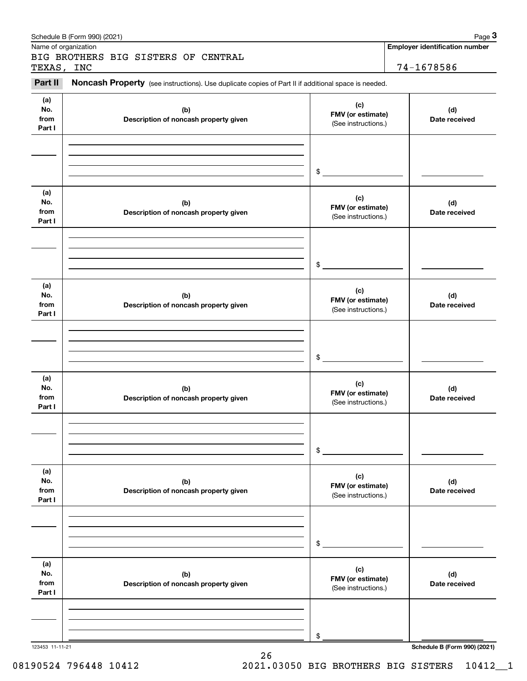|                              | Schedule B (Form 990) (2021)                                                                        |                                                                  | Page 3                                |
|------------------------------|-----------------------------------------------------------------------------------------------------|------------------------------------------------------------------|---------------------------------------|
|                              | Name of organization<br>BIG BROTHERS BIG SISTERS OF CENTRAL                                         |                                                                  | <b>Employer identification number</b> |
| TEXAS, INC                   |                                                                                                     |                                                                  | 74-1678586                            |
| Part II                      | Noncash Property (see instructions). Use duplicate copies of Part II if additional space is needed. |                                                                  |                                       |
| (a)<br>No.<br>from<br>Part I | (b)<br>Description of noncash property given                                                        | (d)<br>FMV (or estimate)<br>Date received<br>(See instructions.) |                                       |
|                              |                                                                                                     | \$                                                               |                                       |
| (a)<br>No.<br>from<br>Part I | (b)<br>Description of noncash property given                                                        | (c)<br>FMV (or estimate)<br>(See instructions.)                  | (d)<br>Date received                  |
|                              |                                                                                                     | \$                                                               |                                       |
| (a)<br>No.<br>from<br>Part I | (b)<br>Description of noncash property given                                                        | (c)<br>FMV (or estimate)<br>(See instructions.)                  | (d)<br>Date received                  |
|                              |                                                                                                     | \$                                                               |                                       |
| (a)<br>No.<br>from<br>Part I | (b)<br>Description of noncash property given                                                        | (c)<br>FMV (or estimate)<br>(See instructions.)                  | (d)<br>Date received                  |
|                              |                                                                                                     | \$                                                               |                                       |
| (a)<br>No.<br>from<br>Part I | (b)<br>Description of noncash property given                                                        | (c)<br>FMV (or estimate)<br>(See instructions.)                  | (d)<br>Date received                  |
|                              |                                                                                                     | \$                                                               |                                       |
| (a)<br>No.<br>from<br>Part I | (b)<br>Description of noncash property given                                                        | (c)<br>FMV (or estimate)<br>(See instructions.)                  | (d)<br>Date received                  |
|                              |                                                                                                     |                                                                  |                                       |
| 123453 11-11-21              |                                                                                                     | \$                                                               | Schedule B (Form 990) (2021)          |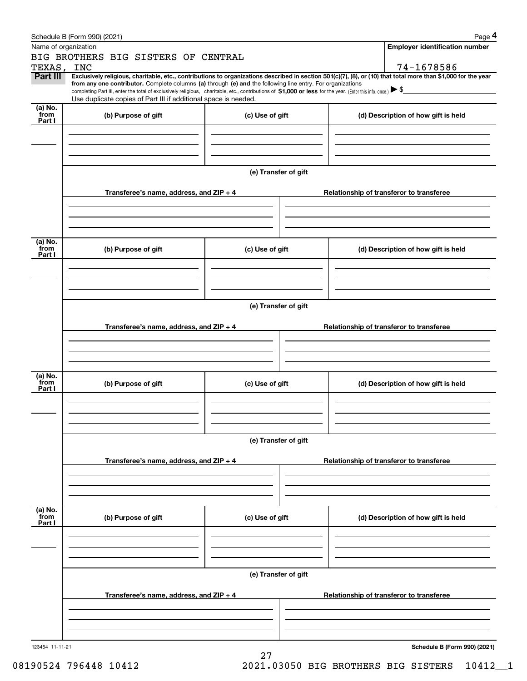|                      | Schedule B (Form 990) (2021)                                                                                                                                                                                                                                                 |                      |                                          | Page 4                                   |  |  |  |
|----------------------|------------------------------------------------------------------------------------------------------------------------------------------------------------------------------------------------------------------------------------------------------------------------------|----------------------|------------------------------------------|------------------------------------------|--|--|--|
| Name of organization |                                                                                                                                                                                                                                                                              |                      |                                          | <b>Employer identification number</b>    |  |  |  |
|                      | BIG BROTHERS BIG SISTERS OF CENTRAL                                                                                                                                                                                                                                          |                      |                                          |                                          |  |  |  |
| TEXAS, INC           |                                                                                                                                                                                                                                                                              |                      |                                          | 74-1678586                               |  |  |  |
| <b>Part III</b>      | Exclusively religious, charitable, etc., contributions to organizations described in section 501(c)(7), (8), or (10) that total more than \$1,000 for the year<br>from any one contributor. Complete columns (a) through (e) and the following line entry. For organizations |                      |                                          |                                          |  |  |  |
|                      | completing Part III, enter the total of exclusively religious, charitable, etc., contributions of $$1,000$ or less for the year. (Enter this info. once.) $\triangleright$ \$                                                                                                |                      |                                          |                                          |  |  |  |
| (a) No.              | Use duplicate copies of Part III if additional space is needed.                                                                                                                                                                                                              |                      |                                          |                                          |  |  |  |
| from<br>Part I       | (b) Purpose of gift                                                                                                                                                                                                                                                          | (c) Use of gift      |                                          | (d) Description of how gift is held      |  |  |  |
|                      |                                                                                                                                                                                                                                                                              |                      |                                          |                                          |  |  |  |
|                      |                                                                                                                                                                                                                                                                              |                      |                                          |                                          |  |  |  |
|                      |                                                                                                                                                                                                                                                                              |                      |                                          |                                          |  |  |  |
|                      |                                                                                                                                                                                                                                                                              |                      |                                          |                                          |  |  |  |
|                      |                                                                                                                                                                                                                                                                              | (e) Transfer of gift |                                          |                                          |  |  |  |
|                      |                                                                                                                                                                                                                                                                              |                      |                                          |                                          |  |  |  |
|                      | Transferee's name, address, and ZIP + 4                                                                                                                                                                                                                                      |                      |                                          | Relationship of transferor to transferee |  |  |  |
|                      |                                                                                                                                                                                                                                                                              |                      |                                          |                                          |  |  |  |
|                      |                                                                                                                                                                                                                                                                              |                      |                                          |                                          |  |  |  |
|                      |                                                                                                                                                                                                                                                                              |                      |                                          |                                          |  |  |  |
| (a) No.<br>from      | (b) Purpose of gift                                                                                                                                                                                                                                                          | (c) Use of gift      |                                          | (d) Description of how gift is held      |  |  |  |
| Part I               |                                                                                                                                                                                                                                                                              |                      |                                          |                                          |  |  |  |
|                      |                                                                                                                                                                                                                                                                              |                      |                                          |                                          |  |  |  |
|                      |                                                                                                                                                                                                                                                                              |                      |                                          |                                          |  |  |  |
|                      |                                                                                                                                                                                                                                                                              |                      |                                          |                                          |  |  |  |
|                      |                                                                                                                                                                                                                                                                              | (e) Transfer of gift |                                          |                                          |  |  |  |
|                      |                                                                                                                                                                                                                                                                              |                      |                                          |                                          |  |  |  |
|                      | Transferee's name, address, and ZIP + 4                                                                                                                                                                                                                                      |                      | Relationship of transferor to transferee |                                          |  |  |  |
|                      |                                                                                                                                                                                                                                                                              |                      |                                          |                                          |  |  |  |
|                      |                                                                                                                                                                                                                                                                              |                      |                                          |                                          |  |  |  |
|                      |                                                                                                                                                                                                                                                                              |                      |                                          |                                          |  |  |  |
| (a) No.              |                                                                                                                                                                                                                                                                              |                      |                                          |                                          |  |  |  |
| from<br>Part I       | (b) Purpose of gift                                                                                                                                                                                                                                                          | (c) Use of gift      |                                          | (d) Description of how gift is held      |  |  |  |
|                      |                                                                                                                                                                                                                                                                              |                      |                                          |                                          |  |  |  |
|                      |                                                                                                                                                                                                                                                                              |                      |                                          |                                          |  |  |  |
|                      |                                                                                                                                                                                                                                                                              |                      |                                          |                                          |  |  |  |
|                      |                                                                                                                                                                                                                                                                              |                      |                                          |                                          |  |  |  |
|                      | (e) Transfer of gift                                                                                                                                                                                                                                                         |                      |                                          |                                          |  |  |  |
|                      | Transferee's name, address, and $ZIP + 4$                                                                                                                                                                                                                                    |                      |                                          | Relationship of transferor to transferee |  |  |  |
|                      |                                                                                                                                                                                                                                                                              |                      |                                          |                                          |  |  |  |
|                      |                                                                                                                                                                                                                                                                              |                      |                                          |                                          |  |  |  |
|                      |                                                                                                                                                                                                                                                                              |                      |                                          |                                          |  |  |  |
| (a) No.              |                                                                                                                                                                                                                                                                              |                      |                                          |                                          |  |  |  |
| from<br>Part I       | (b) Purpose of gift                                                                                                                                                                                                                                                          | (c) Use of gift      |                                          | (d) Description of how gift is held      |  |  |  |
|                      |                                                                                                                                                                                                                                                                              |                      |                                          |                                          |  |  |  |
|                      |                                                                                                                                                                                                                                                                              |                      |                                          |                                          |  |  |  |
|                      |                                                                                                                                                                                                                                                                              |                      |                                          |                                          |  |  |  |
|                      |                                                                                                                                                                                                                                                                              |                      |                                          |                                          |  |  |  |
|                      |                                                                                                                                                                                                                                                                              | (e) Transfer of gift |                                          |                                          |  |  |  |
|                      | Transferee's name, address, and $ZIP + 4$                                                                                                                                                                                                                                    |                      |                                          | Relationship of transferor to transferee |  |  |  |
|                      |                                                                                                                                                                                                                                                                              |                      |                                          |                                          |  |  |  |
|                      |                                                                                                                                                                                                                                                                              |                      |                                          |                                          |  |  |  |
|                      |                                                                                                                                                                                                                                                                              |                      |                                          |                                          |  |  |  |
|                      |                                                                                                                                                                                                                                                                              |                      |                                          |                                          |  |  |  |
| 123454 11-11-21      |                                                                                                                                                                                                                                                                              | 27                   |                                          | Schedule B (Form 990) (2021)             |  |  |  |
|                      |                                                                                                                                                                                                                                                                              |                      |                                          |                                          |  |  |  |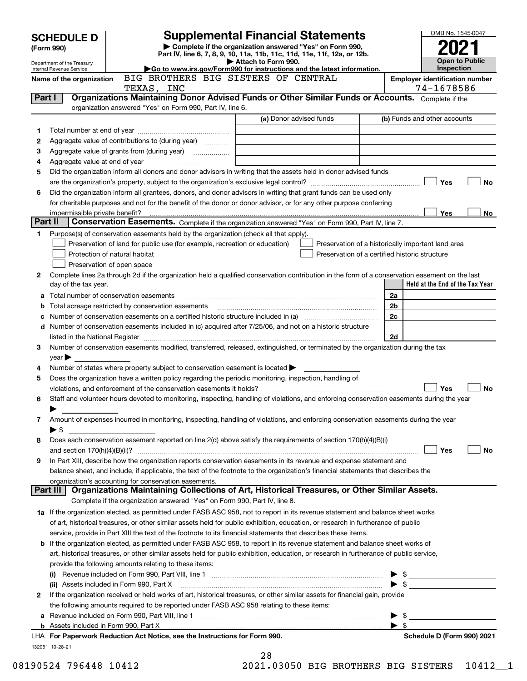|         | OMB No. 1545-0047<br><b>Supplemental Financial Statements</b><br><b>SCHEDULE D</b><br>Complete if the organization answered "Yes" on Form 990,<br>(Form 990)<br>Part IV, line 6, 7, 8, 9, 10, 11a, 11b, 11c, 11d, 11e, 11f, 12a, or 12b. |                                                                                                                                                                                                                                                     |                                                                                                                                                                                                                                                                                                                                                                                                                                                                                                                                          |                          |                                                    |  |  |
|---------|------------------------------------------------------------------------------------------------------------------------------------------------------------------------------------------------------------------------------------------|-----------------------------------------------------------------------------------------------------------------------------------------------------------------------------------------------------------------------------------------------------|------------------------------------------------------------------------------------------------------------------------------------------------------------------------------------------------------------------------------------------------------------------------------------------------------------------------------------------------------------------------------------------------------------------------------------------------------------------------------------------------------------------------------------------|--------------------------|----------------------------------------------------|--|--|
|         | <b>Open to Public</b><br>Attach to Form 990.<br>Department of the Treasury                                                                                                                                                               |                                                                                                                                                                                                                                                     |                                                                                                                                                                                                                                                                                                                                                                                                                                                                                                                                          |                          |                                                    |  |  |
|         | Internal Revenue Service                                                                                                                                                                                                                 |                                                                                                                                                                                                                                                     | Go to www.irs.gov/Form990 for instructions and the latest information.                                                                                                                                                                                                                                                                                                                                                                                                                                                                   |                          | <b>Inspection</b>                                  |  |  |
|         | BIG BROTHERS BIG SISTERS OF CENTRAL<br><b>Employer identification number</b><br>Name of the organization                                                                                                                                 |                                                                                                                                                                                                                                                     |                                                                                                                                                                                                                                                                                                                                                                                                                                                                                                                                          |                          |                                                    |  |  |
| Part I  |                                                                                                                                                                                                                                          | TEXAS, INC<br>Organizations Maintaining Donor Advised Funds or Other Similar Funds or Accounts. Complete if the                                                                                                                                     |                                                                                                                                                                                                                                                                                                                                                                                                                                                                                                                                          |                          | 74-1678586                                         |  |  |
|         |                                                                                                                                                                                                                                          | organization answered "Yes" on Form 990, Part IV, line 6.                                                                                                                                                                                           |                                                                                                                                                                                                                                                                                                                                                                                                                                                                                                                                          |                          |                                                    |  |  |
|         |                                                                                                                                                                                                                                          |                                                                                                                                                                                                                                                     | (a) Donor advised funds                                                                                                                                                                                                                                                                                                                                                                                                                                                                                                                  |                          | (b) Funds and other accounts                       |  |  |
| 1       |                                                                                                                                                                                                                                          |                                                                                                                                                                                                                                                     |                                                                                                                                                                                                                                                                                                                                                                                                                                                                                                                                          |                          |                                                    |  |  |
| 2       |                                                                                                                                                                                                                                          | Aggregate value of contributions to (during year)                                                                                                                                                                                                   |                                                                                                                                                                                                                                                                                                                                                                                                                                                                                                                                          |                          |                                                    |  |  |
| з       |                                                                                                                                                                                                                                          |                                                                                                                                                                                                                                                     |                                                                                                                                                                                                                                                                                                                                                                                                                                                                                                                                          |                          |                                                    |  |  |
| 4       |                                                                                                                                                                                                                                          |                                                                                                                                                                                                                                                     |                                                                                                                                                                                                                                                                                                                                                                                                                                                                                                                                          |                          |                                                    |  |  |
| 5       |                                                                                                                                                                                                                                          | Did the organization inform all donors and donor advisors in writing that the assets held in donor advised funds                                                                                                                                    |                                                                                                                                                                                                                                                                                                                                                                                                                                                                                                                                          |                          |                                                    |  |  |
|         |                                                                                                                                                                                                                                          |                                                                                                                                                                                                                                                     |                                                                                                                                                                                                                                                                                                                                                                                                                                                                                                                                          |                          | Yes<br><b>No</b>                                   |  |  |
| 6       |                                                                                                                                                                                                                                          | Did the organization inform all grantees, donors, and donor advisors in writing that grant funds can be used only                                                                                                                                   |                                                                                                                                                                                                                                                                                                                                                                                                                                                                                                                                          |                          |                                                    |  |  |
|         |                                                                                                                                                                                                                                          | for charitable purposes and not for the benefit of the donor or donor advisor, or for any other purpose conferring                                                                                                                                  |                                                                                                                                                                                                                                                                                                                                                                                                                                                                                                                                          |                          |                                                    |  |  |
| Part II | impermissible private benefit?                                                                                                                                                                                                           | Conservation Easements. Complete if the organization answered "Yes" on Form 990, Part IV, line 7.                                                                                                                                                   | $\label{eq:1} \begin{minipage}{0.9\linewidth} \begin{minipage}{0.9\linewidth} \begin{minipage}{0.9\linewidth} \begin{minipage}{0.9\linewidth} \end{minipage} \end{minipage} \begin{minipage}{0.9\linewidth} \begin{minipage}{0.9\linewidth} \begin{minipage}{0.9\linewidth} \end{minipage} \end{minipage} \end{minipage} \begin{minipage}{0.9\linewidth} \begin{minipage}{0.9\linewidth} \begin{minipage}{0.9\linewidth} \end{minipage} \end{minipage} \end{minipage} \begin{minipage}{0.9\linewidth} \begin{minipage}{0.9\linewidth} \$ |                          | <b>Yes</b><br>No.                                  |  |  |
|         |                                                                                                                                                                                                                                          |                                                                                                                                                                                                                                                     |                                                                                                                                                                                                                                                                                                                                                                                                                                                                                                                                          |                          |                                                    |  |  |
| 1       |                                                                                                                                                                                                                                          | Purpose(s) of conservation easements held by the organization (check all that apply).<br>Preservation of land for public use (for example, recreation or education)                                                                                 |                                                                                                                                                                                                                                                                                                                                                                                                                                                                                                                                          |                          | Preservation of a historically important land area |  |  |
|         |                                                                                                                                                                                                                                          | Protection of natural habitat                                                                                                                                                                                                                       | Preservation of a certified historic structure                                                                                                                                                                                                                                                                                                                                                                                                                                                                                           |                          |                                                    |  |  |
|         |                                                                                                                                                                                                                                          | Preservation of open space                                                                                                                                                                                                                          |                                                                                                                                                                                                                                                                                                                                                                                                                                                                                                                                          |                          |                                                    |  |  |
| 2       |                                                                                                                                                                                                                                          | Complete lines 2a through 2d if the organization held a qualified conservation contribution in the form of a conservation easement on the last                                                                                                      |                                                                                                                                                                                                                                                                                                                                                                                                                                                                                                                                          |                          |                                                    |  |  |
|         | day of the tax year.                                                                                                                                                                                                                     |                                                                                                                                                                                                                                                     |                                                                                                                                                                                                                                                                                                                                                                                                                                                                                                                                          |                          | Held at the End of the Tax Year                    |  |  |
| a       |                                                                                                                                                                                                                                          |                                                                                                                                                                                                                                                     |                                                                                                                                                                                                                                                                                                                                                                                                                                                                                                                                          | 2a                       |                                                    |  |  |
| b       |                                                                                                                                                                                                                                          | Total acreage restricted by conservation easements                                                                                                                                                                                                  |                                                                                                                                                                                                                                                                                                                                                                                                                                                                                                                                          | 2b                       |                                                    |  |  |
|         |                                                                                                                                                                                                                                          |                                                                                                                                                                                                                                                     |                                                                                                                                                                                                                                                                                                                                                                                                                                                                                                                                          | 2c                       |                                                    |  |  |
|         |                                                                                                                                                                                                                                          | d Number of conservation easements included in (c) acquired after 7/25/06, and not on a historic structure                                                                                                                                          |                                                                                                                                                                                                                                                                                                                                                                                                                                                                                                                                          |                          |                                                    |  |  |
|         | 2d<br>listed in the National Register [111] [12] The Materian Control of the National Register [12] The Mational Register [12] [12] The Material Anna Material Anna Material Anna Material Anna Material Anna Material Anna Material     |                                                                                                                                                                                                                                                     |                                                                                                                                                                                                                                                                                                                                                                                                                                                                                                                                          |                          |                                                    |  |  |
| 3       |                                                                                                                                                                                                                                          | Number of conservation easements modified, transferred, released, extinguished, or terminated by the organization during the tax                                                                                                                    |                                                                                                                                                                                                                                                                                                                                                                                                                                                                                                                                          |                          |                                                    |  |  |
|         | year                                                                                                                                                                                                                                     |                                                                                                                                                                                                                                                     |                                                                                                                                                                                                                                                                                                                                                                                                                                                                                                                                          |                          |                                                    |  |  |
| 4<br>5  |                                                                                                                                                                                                                                          | Number of states where property subject to conservation easement is located $\blacktriangleright$<br>Does the organization have a written policy regarding the periodic monitoring, inspection, handling of                                         |                                                                                                                                                                                                                                                                                                                                                                                                                                                                                                                                          |                          |                                                    |  |  |
|         |                                                                                                                                                                                                                                          | violations, and enforcement of the conservation easements it holds?                                                                                                                                                                                 |                                                                                                                                                                                                                                                                                                                                                                                                                                                                                                                                          |                          | Yes<br><b>No</b>                                   |  |  |
| 6       |                                                                                                                                                                                                                                          | Staff and volunteer hours devoted to monitoring, inspecting, handling of violations, and enforcing conservation easements during the year                                                                                                           |                                                                                                                                                                                                                                                                                                                                                                                                                                                                                                                                          |                          |                                                    |  |  |
|         |                                                                                                                                                                                                                                          |                                                                                                                                                                                                                                                     |                                                                                                                                                                                                                                                                                                                                                                                                                                                                                                                                          |                          |                                                    |  |  |
| 7       | Amount of expenses incurred in monitoring, inspecting, handling of violations, and enforcing conservation easements during the year                                                                                                      |                                                                                                                                                                                                                                                     |                                                                                                                                                                                                                                                                                                                                                                                                                                                                                                                                          |                          |                                                    |  |  |
|         | ▶ \$                                                                                                                                                                                                                                     |                                                                                                                                                                                                                                                     |                                                                                                                                                                                                                                                                                                                                                                                                                                                                                                                                          |                          |                                                    |  |  |
| 8       |                                                                                                                                                                                                                                          | Does each conservation easement reported on line 2(d) above satisfy the requirements of section 170(h)(4)(B)(i)                                                                                                                                     |                                                                                                                                                                                                                                                                                                                                                                                                                                                                                                                                          |                          |                                                    |  |  |
|         |                                                                                                                                                                                                                                          |                                                                                                                                                                                                                                                     |                                                                                                                                                                                                                                                                                                                                                                                                                                                                                                                                          |                          | Yes<br>No                                          |  |  |
| 9       |                                                                                                                                                                                                                                          | In Part XIII, describe how the organization reports conservation easements in its revenue and expense statement and                                                                                                                                 |                                                                                                                                                                                                                                                                                                                                                                                                                                                                                                                                          |                          |                                                    |  |  |
|         |                                                                                                                                                                                                                                          | balance sheet, and include, if applicable, the text of the footnote to the organization's financial statements that describes the                                                                                                                   |                                                                                                                                                                                                                                                                                                                                                                                                                                                                                                                                          |                          |                                                    |  |  |
|         |                                                                                                                                                                                                                                          | organization's accounting for conservation easements.                                                                                                                                                                                               |                                                                                                                                                                                                                                                                                                                                                                                                                                                                                                                                          |                          |                                                    |  |  |
|         | Part III                                                                                                                                                                                                                                 | Organizations Maintaining Collections of Art, Historical Treasures, or Other Similar Assets.                                                                                                                                                        |                                                                                                                                                                                                                                                                                                                                                                                                                                                                                                                                          |                          |                                                    |  |  |
|         |                                                                                                                                                                                                                                          | Complete if the organization answered "Yes" on Form 990, Part IV, line 8.                                                                                                                                                                           |                                                                                                                                                                                                                                                                                                                                                                                                                                                                                                                                          |                          |                                                    |  |  |
|         |                                                                                                                                                                                                                                          | 1a If the organization elected, as permitted under FASB ASC 958, not to report in its revenue statement and balance sheet works                                                                                                                     |                                                                                                                                                                                                                                                                                                                                                                                                                                                                                                                                          |                          |                                                    |  |  |
|         |                                                                                                                                                                                                                                          | of art, historical treasures, or other similar assets held for public exhibition, education, or research in furtherance of public<br>service, provide in Part XIII the text of the footnote to its financial statements that describes these items. |                                                                                                                                                                                                                                                                                                                                                                                                                                                                                                                                          |                          |                                                    |  |  |
|         |                                                                                                                                                                                                                                          | <b>b</b> If the organization elected, as permitted under FASB ASC 958, to report in its revenue statement and balance sheet works of                                                                                                                |                                                                                                                                                                                                                                                                                                                                                                                                                                                                                                                                          |                          |                                                    |  |  |
|         |                                                                                                                                                                                                                                          | art, historical treasures, or other similar assets held for public exhibition, education, or research in furtherance of public service,                                                                                                             |                                                                                                                                                                                                                                                                                                                                                                                                                                                                                                                                          |                          |                                                    |  |  |
|         |                                                                                                                                                                                                                                          | provide the following amounts relating to these items:                                                                                                                                                                                              |                                                                                                                                                                                                                                                                                                                                                                                                                                                                                                                                          |                          |                                                    |  |  |
|         |                                                                                                                                                                                                                                          |                                                                                                                                                                                                                                                     |                                                                                                                                                                                                                                                                                                                                                                                                                                                                                                                                          |                          | $\frac{1}{2}$                                      |  |  |
|         |                                                                                                                                                                                                                                          | (ii) Assets included in Form 990, Part X                                                                                                                                                                                                            |                                                                                                                                                                                                                                                                                                                                                                                                                                                                                                                                          | $\blacktriangleright$ \$ |                                                    |  |  |
| 2       |                                                                                                                                                                                                                                          | If the organization received or held works of art, historical treasures, or other similar assets for financial gain, provide                                                                                                                        |                                                                                                                                                                                                                                                                                                                                                                                                                                                                                                                                          |                          |                                                    |  |  |
|         |                                                                                                                                                                                                                                          | the following amounts required to be reported under FASB ASC 958 relating to these items:                                                                                                                                                           |                                                                                                                                                                                                                                                                                                                                                                                                                                                                                                                                          |                          |                                                    |  |  |
|         |                                                                                                                                                                                                                                          | a Revenue included on Form 990, Part VIII, line 1 [2000] [2000] [2000] [2000] [2000] [2000] [2000] [2000] [2000                                                                                                                                     |                                                                                                                                                                                                                                                                                                                                                                                                                                                                                                                                          |                          | \$                                                 |  |  |
|         |                                                                                                                                                                                                                                          |                                                                                                                                                                                                                                                     |                                                                                                                                                                                                                                                                                                                                                                                                                                                                                                                                          |                          | -\$                                                |  |  |
|         |                                                                                                                                                                                                                                          | LHA For Paperwork Reduction Act Notice, see the Instructions for Form 990.                                                                                                                                                                          |                                                                                                                                                                                                                                                                                                                                                                                                                                                                                                                                          |                          | Schedule D (Form 990) 2021                         |  |  |
|         | 132051 10-28-21                                                                                                                                                                                                                          |                                                                                                                                                                                                                                                     | ററ                                                                                                                                                                                                                                                                                                                                                                                                                                                                                                                                       |                          |                                                    |  |  |

| 08190524 796448 10412 |  |  |
|-----------------------|--|--|
|-----------------------|--|--|

| -28 |             |  |
|-----|-------------|--|
|     | מדם הפהמוני |  |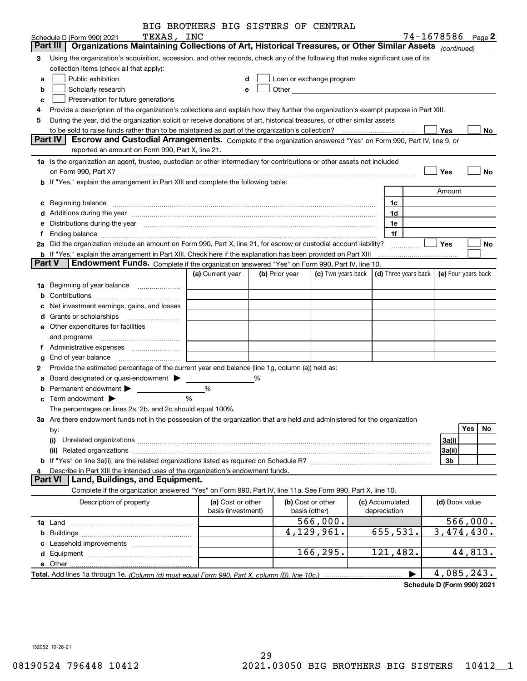|        |                                                                                                                                                                                                                                      | BIG BROTHERS BIG SISTERS OF CENTRAL     |   |                |                                                                                                                                                                                                                               |                                      |                |                          |
|--------|--------------------------------------------------------------------------------------------------------------------------------------------------------------------------------------------------------------------------------------|-----------------------------------------|---|----------------|-------------------------------------------------------------------------------------------------------------------------------------------------------------------------------------------------------------------------------|--------------------------------------|----------------|--------------------------|
|        | TEXAS,<br>Schedule D (Form 990) 2021                                                                                                                                                                                                 | INC                                     |   |                |                                                                                                                                                                                                                               |                                      |                | $74 - 1678586$ Page 2    |
|        | Organizations Maintaining Collections of Art, Historical Treasures, or Other Similar Assets (continued)<br>Part III                                                                                                                  |                                         |   |                |                                                                                                                                                                                                                               |                                      |                |                          |
| 3      | Using the organization's acquisition, accession, and other records, check any of the following that make significant use of its                                                                                                      |                                         |   |                |                                                                                                                                                                                                                               |                                      |                |                          |
|        | collection items (check all that apply):                                                                                                                                                                                             |                                         |   |                |                                                                                                                                                                                                                               |                                      |                |                          |
| a      | Public exhibition                                                                                                                                                                                                                    |                                         |   |                | Loan or exchange program                                                                                                                                                                                                      |                                      |                |                          |
| b      | Scholarly research                                                                                                                                                                                                                   |                                         | е |                | Other and the contract of the contract of the contract of the contract of the contract of the contract of the contract of the contract of the contract of the contract of the contract of the contract of the contract of the |                                      |                |                          |
| c      | Preservation for future generations                                                                                                                                                                                                  |                                         |   |                |                                                                                                                                                                                                                               |                                      |                |                          |
| 4      | Provide a description of the organization's collections and explain how they further the organization's exempt purpose in Part XIII.                                                                                                 |                                         |   |                |                                                                                                                                                                                                                               |                                      |                |                          |
| 5      | During the year, did the organization solicit or receive donations of art, historical treasures, or other similar assets                                                                                                             |                                         |   |                |                                                                                                                                                                                                                               |                                      |                |                          |
|        | Part IV                                                                                                                                                                                                                              |                                         |   |                |                                                                                                                                                                                                                               |                                      | Yes            | No                       |
|        | Escrow and Custodial Arrangements. Complete if the organization answered "Yes" on Form 990, Part IV, line 9, or<br>reported an amount on Form 990, Part X, line 21.                                                                  |                                         |   |                |                                                                                                                                                                                                                               |                                      |                |                          |
|        | 1a Is the organization an agent, trustee, custodian or other intermediary for contributions or other assets not included                                                                                                             |                                         |   |                |                                                                                                                                                                                                                               |                                      |                |                          |
|        |                                                                                                                                                                                                                                      |                                         |   |                |                                                                                                                                                                                                                               |                                      | Yes            | No                       |
|        | <b>b</b> If "Yes," explain the arrangement in Part XIII and complete the following table:                                                                                                                                            |                                         |   |                |                                                                                                                                                                                                                               |                                      |                |                          |
|        |                                                                                                                                                                                                                                      |                                         |   |                |                                                                                                                                                                                                                               |                                      | Amount         |                          |
| c      |                                                                                                                                                                                                                                      |                                         |   |                |                                                                                                                                                                                                                               | 1c                                   |                |                          |
|        | Beginning balance <b>contract the contract of the contract of the contract of the contract of the contract of the contract of the contract of the contract of the contract of the contract of the contract of the contract of th</b> |                                         |   |                |                                                                                                                                                                                                                               | 1d                                   |                |                          |
| е      | Distributions during the year manufactured and continuum and contract the year manufactured and contract the year                                                                                                                    |                                         |   |                |                                                                                                                                                                                                                               | 1e                                   |                |                          |
| f      |                                                                                                                                                                                                                                      |                                         |   |                |                                                                                                                                                                                                                               | 1f                                   |                |                          |
|        | 2a Did the organization include an amount on Form 990, Part X, line 21, for escrow or custodial account liability?                                                                                                                   |                                         |   |                |                                                                                                                                                                                                                               |                                      | Yes            | No                       |
|        | <b>b</b> If "Yes," explain the arrangement in Part XIII. Check here if the explanation has been provided on Part XIII                                                                                                                |                                         |   |                |                                                                                                                                                                                                                               |                                      |                |                          |
| Part V | Endowment Funds. Complete if the organization answered "Yes" on Form 990, Part IV, line 10.                                                                                                                                          |                                         |   |                |                                                                                                                                                                                                                               |                                      |                |                          |
|        |                                                                                                                                                                                                                                      | (a) Current year                        |   | (b) Prior year | (c) Two years back                                                                                                                                                                                                            | $\vert$ (d) Three years back $\vert$ |                | (e) Four years back      |
|        | 1a Beginning of year balance                                                                                                                                                                                                         |                                         |   |                |                                                                                                                                                                                                                               |                                      |                |                          |
| b      |                                                                                                                                                                                                                                      |                                         |   |                |                                                                                                                                                                                                                               |                                      |                |                          |
| с      | Net investment earnings, gains, and losses                                                                                                                                                                                           |                                         |   |                |                                                                                                                                                                                                                               |                                      |                |                          |
| d      | Grants or scholarships [ <i>[[[[[[[[[[[[[[[[[[[[[[[[[[[[[[[]]]]]</i>                                                                                                                                                                 |                                         |   |                |                                                                                                                                                                                                                               |                                      |                |                          |
|        | e Other expenditures for facilities                                                                                                                                                                                                  |                                         |   |                |                                                                                                                                                                                                                               |                                      |                |                          |
|        | and programs                                                                                                                                                                                                                         |                                         |   |                |                                                                                                                                                                                                                               |                                      |                |                          |
|        | f Administrative expenses <i></i>                                                                                                                                                                                                    |                                         |   |                |                                                                                                                                                                                                                               |                                      |                |                          |
| g      | End of year balance                                                                                                                                                                                                                  |                                         |   |                |                                                                                                                                                                                                                               |                                      |                |                          |
| 2      | Provide the estimated percentage of the current year end balance (line 1g, column (a)) held as:                                                                                                                                      |                                         |   |                |                                                                                                                                                                                                                               |                                      |                |                          |
| a      | Board designated or quasi-endowment                                                                                                                                                                                                  |                                         | % |                |                                                                                                                                                                                                                               |                                      |                |                          |
|        | Permanent endowment                                                                                                                                                                                                                  | %                                       |   |                |                                                                                                                                                                                                                               |                                      |                |                          |
|        | $\mathbf c$ Term endowment $\blacktriangleright$                                                                                                                                                                                     | %                                       |   |                |                                                                                                                                                                                                                               |                                      |                |                          |
|        | The percentages on lines 2a, 2b, and 2c should equal 100%.                                                                                                                                                                           |                                         |   |                |                                                                                                                                                                                                                               |                                      |                |                          |
|        | 3a Are there endowment funds not in the possession of the organization that are held and administered for the organization                                                                                                           |                                         |   |                |                                                                                                                                                                                                                               |                                      |                |                          |
|        | by:                                                                                                                                                                                                                                  |                                         |   |                |                                                                                                                                                                                                                               |                                      |                | Yes<br>No                |
|        | (i)                                                                                                                                                                                                                                  |                                         |   |                |                                                                                                                                                                                                                               |                                      | 3a(i)          |                          |
|        | (ii)                                                                                                                                                                                                                                 |                                         |   |                |                                                                                                                                                                                                                               |                                      | 3a(ii)         |                          |
|        |                                                                                                                                                                                                                                      |                                         |   |                |                                                                                                                                                                                                                               |                                      | 3b             |                          |
| 4      | Describe in Part XIII the intended uses of the organization's endowment funds.                                                                                                                                                       |                                         |   |                |                                                                                                                                                                                                                               |                                      |                |                          |
|        | Land, Buildings, and Equipment.<br><b>Part VI</b>                                                                                                                                                                                    |                                         |   |                |                                                                                                                                                                                                                               |                                      |                |                          |
|        | Complete if the organization answered "Yes" on Form 990, Part IV, line 11a. See Form 990, Part X, line 10.                                                                                                                           |                                         |   |                |                                                                                                                                                                                                                               |                                      |                |                          |
|        | Description of property                                                                                                                                                                                                              | (a) Cost or other<br>basis (investment) |   |                | (b) Cost or other<br>basis (other)                                                                                                                                                                                            | (c) Accumulated<br>depreciation      | (d) Book value |                          |
|        |                                                                                                                                                                                                                                      |                                         |   |                | 566,000.                                                                                                                                                                                                                      |                                      |                | 566,000.                 |
| b      |                                                                                                                                                                                                                                      |                                         |   |                | 4,129,961.                                                                                                                                                                                                                    | 655,531.                             |                | $\overline{3,474,430}$ . |
| c      |                                                                                                                                                                                                                                      |                                         |   |                |                                                                                                                                                                                                                               |                                      |                |                          |
| d      |                                                                                                                                                                                                                                      |                                         |   |                | 166,295.                                                                                                                                                                                                                      | 121,482.                             |                | 44,813.                  |
| е      |                                                                                                                                                                                                                                      |                                         |   |                |                                                                                                                                                                                                                               |                                      |                |                          |
|        |                                                                                                                                                                                                                                      |                                         |   |                |                                                                                                                                                                                                                               |                                      |                | 4,085,243.               |
|        |                                                                                                                                                                                                                                      |                                         |   |                |                                                                                                                                                                                                                               |                                      |                |                          |

**Schedule D (Form 990) 2021**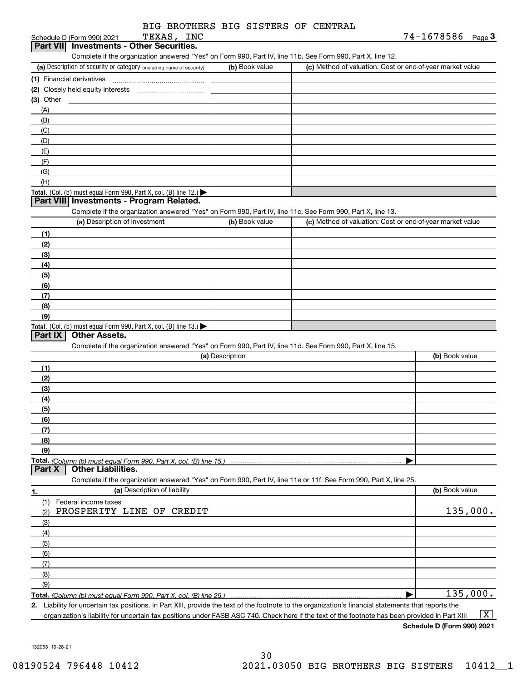|            |  | BIG BROTHERS BIG SISTERS OF CENTRAL |  |
|------------|--|-------------------------------------|--|
| TEXAS. INC |  |                                     |  |

| TEXAS, INC<br>Schedule D (Form 990) 2021                                                                                                             |                 |                                                           | 74-1678586<br>$Page$ <sup>3</sup> |
|------------------------------------------------------------------------------------------------------------------------------------------------------|-----------------|-----------------------------------------------------------|-----------------------------------|
| <b>Investments - Other Securities.</b><br>Part VII                                                                                                   |                 |                                                           |                                   |
| Complete if the organization answered "Yes" on Form 990, Part IV, line 11b. See Form 990, Part X, line 12.                                           |                 |                                                           |                                   |
| (a) Description of security or category (including name of security)                                                                                 | (b) Book value  | (c) Method of valuation: Cost or end-of-year market value |                                   |
| (1) Financial derivatives                                                                                                                            |                 |                                                           |                                   |
| (2) Closely held equity interests [111] [2] Closely held equity interests                                                                            |                 |                                                           |                                   |
| (3) Other                                                                                                                                            |                 |                                                           |                                   |
| (A)                                                                                                                                                  |                 |                                                           |                                   |
| (B)<br>(C)                                                                                                                                           |                 |                                                           |                                   |
| (D)                                                                                                                                                  |                 |                                                           |                                   |
| (E)                                                                                                                                                  |                 |                                                           |                                   |
| (F)                                                                                                                                                  |                 |                                                           |                                   |
| (G)                                                                                                                                                  |                 |                                                           |                                   |
| (H)                                                                                                                                                  |                 |                                                           |                                   |
| Total. (Col. (b) must equal Form 990, Part X, col. (B) line 12.)                                                                                     |                 |                                                           |                                   |
| Part VIII Investments - Program Related.                                                                                                             |                 |                                                           |                                   |
| Complete if the organization answered "Yes" on Form 990, Part IV, line 11c. See Form 990, Part X, line 13.                                           |                 |                                                           |                                   |
| (a) Description of investment                                                                                                                        | (b) Book value  | (c) Method of valuation: Cost or end-of-year market value |                                   |
| (1)                                                                                                                                                  |                 |                                                           |                                   |
| (2)                                                                                                                                                  |                 |                                                           |                                   |
| (3)                                                                                                                                                  |                 |                                                           |                                   |
| (4)                                                                                                                                                  |                 |                                                           |                                   |
| (5)                                                                                                                                                  |                 |                                                           |                                   |
| (6)                                                                                                                                                  |                 |                                                           |                                   |
| (7)                                                                                                                                                  |                 |                                                           |                                   |
| (8)                                                                                                                                                  |                 |                                                           |                                   |
| (9)                                                                                                                                                  |                 |                                                           |                                   |
| Total. (Col. (b) must equal Form 990, Part X, col. (B) line 13.)<br>Other Assets.                                                                    |                 |                                                           |                                   |
| Part IX                                                                                                                                              |                 |                                                           |                                   |
| Complete if the organization answered "Yes" on Form 990, Part IV, line 11d. See Form 990, Part X, line 15.                                           | (a) Description |                                                           | (b) Book value                    |
|                                                                                                                                                      |                 |                                                           |                                   |
| (1)                                                                                                                                                  |                 |                                                           |                                   |
| (2)                                                                                                                                                  |                 |                                                           |                                   |
| (3)<br>(4)                                                                                                                                           |                 |                                                           |                                   |
| (5)                                                                                                                                                  |                 |                                                           |                                   |
| (6)                                                                                                                                                  |                 |                                                           |                                   |
| (7)                                                                                                                                                  |                 |                                                           |                                   |
| (8)                                                                                                                                                  |                 |                                                           |                                   |
| (9)                                                                                                                                                  |                 |                                                           |                                   |
| Total. (Column (b) must equal Form 990, Part X, col. (B) line 15.)                                                                                   |                 |                                                           |                                   |
| <b>Other Liabilities.</b><br>Part X                                                                                                                  |                 |                                                           |                                   |
| Complete if the organization answered "Yes" on Form 990, Part IV, line 11e or 11f. See Form 990, Part X, line 25.                                    |                 |                                                           |                                   |
| (a) Description of liability<br>1.                                                                                                                   |                 |                                                           | (b) Book value                    |
| (1)<br>Federal income taxes                                                                                                                          |                 |                                                           |                                   |
| PROSPERITY LINE OF CREDIT<br>(2)                                                                                                                     |                 |                                                           | 135,000.                          |
| (3)                                                                                                                                                  |                 |                                                           |                                   |
| (4)                                                                                                                                                  |                 |                                                           |                                   |
| (5)                                                                                                                                                  |                 |                                                           |                                   |
| (6)                                                                                                                                                  |                 |                                                           |                                   |
| (7)                                                                                                                                                  |                 |                                                           |                                   |
| (8)                                                                                                                                                  |                 |                                                           |                                   |
| (9)                                                                                                                                                  |                 |                                                           |                                   |
| Total. (Column (b) must equal Form 990, Part X, col. (B) line 25.)                                                                                   |                 |                                                           | 135,000.                          |
| 2. Liability for uncertain tax positions. In Part XIII, provide the text of the footnote to the organization's financial statements that reports the |                 |                                                           |                                   |

organization's liability for uncertain tax positions under FASB ASC 740. Check here if the text of the footnote has been provided in Part XIII.  $\boxed{\text{X}}$ 

**Schedule D (Form 990) 2021**

132053 10-28-21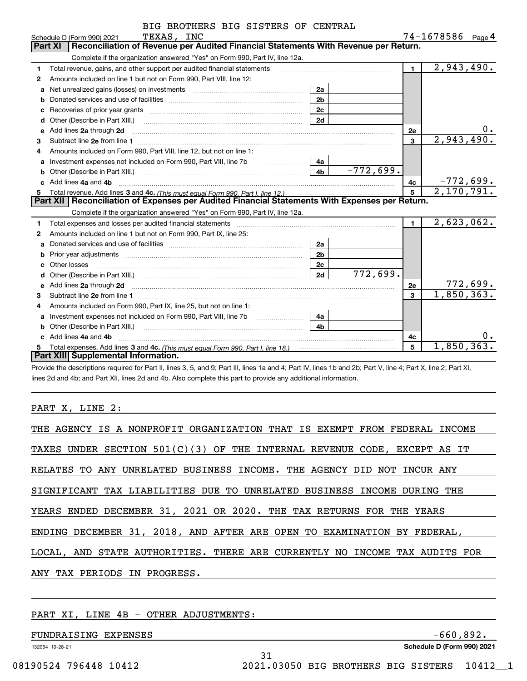|    | BIG BROTHERS BIG SISTERS OF CENTRAL<br>TEXAS, INC<br>Schedule D (Form 990) 2021                                                                                                                                                      |                |             |                | 74-1678586 Page 4          |
|----|--------------------------------------------------------------------------------------------------------------------------------------------------------------------------------------------------------------------------------------|----------------|-------------|----------------|----------------------------|
|    | Reconciliation of Revenue per Audited Financial Statements With Revenue per Return.<br>Part XI                                                                                                                                       |                |             |                |                            |
|    | Complete if the organization answered "Yes" on Form 990, Part IV, line 12a.                                                                                                                                                          |                |             |                |                            |
| 1  | Total revenue, gains, and other support per audited financial statements                                                                                                                                                             |                |             | 1              | $\overline{2}$ , 943, 490. |
| 2  | Amounts included on line 1 but not on Form 990, Part VIII, line 12:                                                                                                                                                                  |                |             |                |                            |
| a  | Net unrealized gains (losses) on investments [11] matter contracts and the unrealized gains (losses) on investments                                                                                                                  | 2a             |             |                |                            |
| b  |                                                                                                                                                                                                                                      | 2 <sub>b</sub> |             |                |                            |
| с  |                                                                                                                                                                                                                                      | 2c             |             |                |                            |
| d  | Other (Describe in Part XIII.)                                                                                                                                                                                                       | 2d             |             |                |                            |
| е  | Add lines 2a through 2d                                                                                                                                                                                                              |                |             | 2e             |                            |
| з  |                                                                                                                                                                                                                                      |                |             | $\mathbf{3}$   | 2,943,490.                 |
| 4  | Amounts included on Form 990, Part VIII, line 12, but not on line 1:                                                                                                                                                                 |                |             |                |                            |
| a  | Investment expenses not included on Form 990, Part VIII, line 7b                                                                                                                                                                     | 4a             |             |                |                            |
|    |                                                                                                                                                                                                                                      | 4 <sub>h</sub> | $-772,699.$ |                |                            |
|    | c Add lines 4a and 4b                                                                                                                                                                                                                |                |             | 4с             | $-772,699.$                |
|    | 5 Total revenue. Add lines 3 and 4c. (This must equal Form 990, Part I, line 12.)<br>Part XII   Reconciliation of Expenses per Audited Financial Statements With Expenses per Return.                                                |                |             | 5 <sup>1</sup> | 2,170,791.                 |
|    |                                                                                                                                                                                                                                      |                |             |                |                            |
|    | Complete if the organization answered "Yes" on Form 990, Part IV, line 12a.                                                                                                                                                          |                |             |                |                            |
| 1  | Total expenses and losses per audited financial statements [11,11] [11] Total expenses and losses per audited financial statements [11] [11] Total expenses and losses per audited financial statements                              |                |             | $\mathbf{1}$   | 2,623,062.                 |
| 2  | Amounts included on line 1 but not on Form 990, Part IX, line 25:                                                                                                                                                                    |                |             |                |                            |
| a  |                                                                                                                                                                                                                                      | 2a             |             |                |                            |
| b  |                                                                                                                                                                                                                                      | 2 <sub>b</sub> |             |                |                            |
| c. | Other losses                                                                                                                                                                                                                         | 2c             |             |                |                            |
| d  |                                                                                                                                                                                                                                      | 2d             | 772,699.    |                |                            |
| е  | Add lines 2a through 2d <b>contained a contained a contained a contained a contained a contained a contained a contained a contact a contact a contact a contact a contact a contact a contact a contact a contact a contact a c</b> |                |             | 2e             | <u>772,699.</u>            |
| з  |                                                                                                                                                                                                                                      |                |             | 3              | 1,850,363.                 |
| 4  | Amounts included on Form 990, Part IX, line 25, but not on line 1:                                                                                                                                                                   |                |             |                |                            |
|    | Investment expenses not included on Form 990, Part VIII, line 7b [11, 111, 111, 111]                                                                                                                                                 | 4a             |             |                |                            |
| b  | Other (Describe in Part XIII.) <b>Construction Contract Construction</b> Chemical Construction Chemical Chemical Chemical Chemical Chemical Chemical Chemical Chemical Chemical Chemical Chemical Chemical Chemical Chemical Chemic  | 4 <sub>b</sub> |             |                |                            |
|    | c Add lines 4a and 4b                                                                                                                                                                                                                |                |             | 4c             |                            |
|    |                                                                                                                                                                                                                                      |                |             | 5              | 1,850,363.                 |
|    | Part XIII Supplemental Information.                                                                                                                                                                                                  |                |             |                |                            |

Provide the descriptions required for Part II, lines 3, 5, and 9; Part III, lines 1a and 4; Part IV, lines 1b and 2b; Part V, line 4; Part X, line 2; Part XI, lines 2d and 4b; and Part XII, lines 2d and 4b. Also complete this part to provide any additional information.

PART X, LINE 2:

| THE AGENCY IS A NONPROFIT ORGANIZATION THAT IS EXEMPT FROM FEDERAL INCOME  |
|----------------------------------------------------------------------------|
| TAXES UNDER SECTION 501(C)(3) OF THE INTERNAL REVENUE CODE, EXCEPT AS IT   |
| RELATES TO ANY UNRELATED BUSINESS INCOME. THE AGENCY DID NOT INCUR ANY     |
| SIGNIFICANT TAX LIABILITIES DUE TO UNRELATED BUSINESS INCOME DURING THE    |
| YEARS ENDED DECEMBER 31, 2021 OR 2020. THE TAX RETURNS FOR THE YEARS       |
| ENDING DECEMBER 31, 2018, AND AFTER ARE OPEN TO EXAMINATION BY FEDERAL,    |
| LOCAL, AND STATE AUTHORITIES. THERE ARE CURRENTLY NO INCOME TAX AUDITS FOR |
| ANY TAX PERIODS IN PROGRESS.                                               |
|                                                                            |

31

#### PART XI, LINE 4B - OTHER ADJUSTMENTS:

FUNDRAISING EXPENSES -060, -060, 892.

132054 10-28-21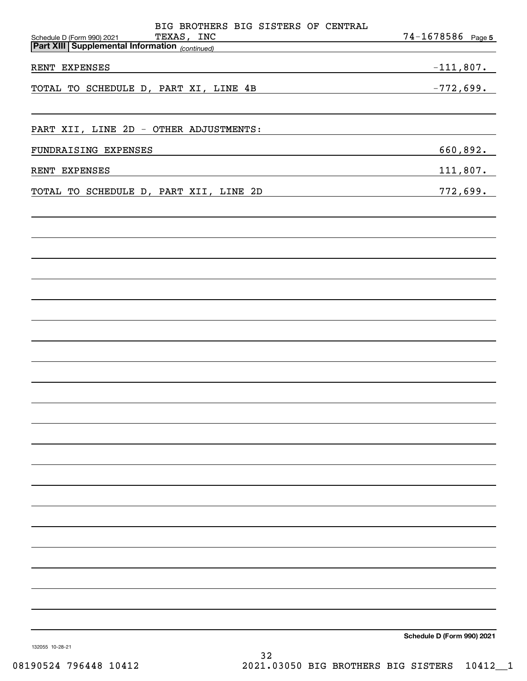| BIG BROTHERS BIG SISTERS OF CENTRAL<br>TEXAS, INC                                   | 74-1678586 Page 5          |
|-------------------------------------------------------------------------------------|----------------------------|
| Schedule D (Form 990) 2021<br><b>Part XIII Supplemental Information</b> (continued) |                            |
| RENT EXPENSES                                                                       | $-111,807.$                |
| TOTAL TO SCHEDULE D, PART XI, LINE 4B                                               | $-772,699.$                |
| PART XII, LINE 2D - OTHER ADJUSTMENTS:                                              |                            |
| FUNDRAISING EXPENSES                                                                | 660,892.                   |
| RENT EXPENSES                                                                       | 111,807.                   |
| TOTAL TO SCHEDULE D, PART XII, LINE 2D                                              | 772,699.                   |
|                                                                                     |                            |
|                                                                                     |                            |
|                                                                                     |                            |
|                                                                                     |                            |
|                                                                                     |                            |
|                                                                                     |                            |
|                                                                                     |                            |
|                                                                                     |                            |
|                                                                                     |                            |
|                                                                                     |                            |
|                                                                                     |                            |
|                                                                                     |                            |
|                                                                                     |                            |
|                                                                                     | Schedule D (Form 990) 2021 |

132055 10-28-21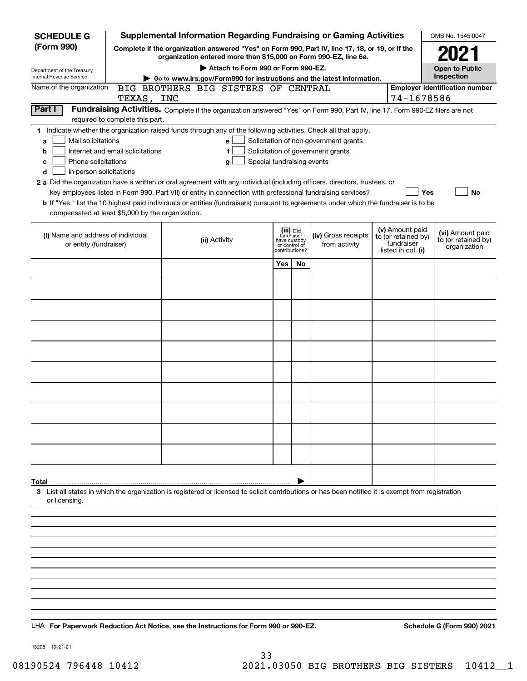| <b>SCHEDULE G</b>                                                                                                                             |                                  | Supplemental Information Regarding Fundraising or Gaming Activities                                                                                                                                                                                                                                                                                                                                                                                                                                                                           |                                                                            |     |                                                                            |                                                                            | OMB No. 1545-0047                                       |
|-----------------------------------------------------------------------------------------------------------------------------------------------|----------------------------------|-----------------------------------------------------------------------------------------------------------------------------------------------------------------------------------------------------------------------------------------------------------------------------------------------------------------------------------------------------------------------------------------------------------------------------------------------------------------------------------------------------------------------------------------------|----------------------------------------------------------------------------|-----|----------------------------------------------------------------------------|----------------------------------------------------------------------------|---------------------------------------------------------|
| (Form 990)                                                                                                                                    |                                  | Complete if the organization answered "Yes" on Form 990, Part IV, line 17, 18, or 19, or if the<br>organization entered more than \$15,000 on Form 990-EZ, line 6a.                                                                                                                                                                                                                                                                                                                                                                           |                                                                            |     |                                                                            |                                                                            | 2021                                                    |
| Department of the Treasury                                                                                                                    |                                  | Attach to Form 990 or Form 990-EZ.                                                                                                                                                                                                                                                                                                                                                                                                                                                                                                            |                                                                            |     |                                                                            |                                                                            | <b>Open to Public</b>                                   |
| Internal Revenue Service<br>Name of the organization                                                                                          |                                  | Go to www.irs.gov/Form990 for instructions and the latest information.                                                                                                                                                                                                                                                                                                                                                                                                                                                                        |                                                                            |     |                                                                            |                                                                            | Inspection                                              |
|                                                                                                                                               | TEXAS, INC                       | BIG BROTHERS BIG SISTERS OF CENTRAL                                                                                                                                                                                                                                                                                                                                                                                                                                                                                                           |                                                                            |     |                                                                            | 74-1678586                                                                 | <b>Employer identification number</b>                   |
| Part I                                                                                                                                        | required to complete this part.  | Fundraising Activities. Complete if the organization answered "Yes" on Form 990, Part IV, line 17. Form 990-EZ filers are not                                                                                                                                                                                                                                                                                                                                                                                                                 |                                                                            |     |                                                                            |                                                                            |                                                         |
| Mail solicitations<br>a<br>b<br>Phone solicitations<br>с<br>In-person solicitations<br>d<br>compensated at least \$5,000 by the organization. | Internet and email solicitations | 1 Indicate whether the organization raised funds through any of the following activities. Check all that apply.<br>e<br>Special fundraising events<br>g<br>2 a Did the organization have a written or oral agreement with any individual (including officers, directors, trustees, or<br>key employees listed in Form 990, Part VII) or entity in connection with professional fundraising services?<br>b If "Yes," list the 10 highest paid individuals or entities (fundraisers) pursuant to agreements under which the fundraiser is to be |                                                                            |     | Solicitation of non-government grants<br>Solicitation of government grants | Yes                                                                        | No                                                      |
| (i) Name and address of individual<br>or entity (fundraiser)                                                                                  |                                  | (ii) Activity                                                                                                                                                                                                                                                                                                                                                                                                                                                                                                                                 | (iii) Did<br>fundraiser<br>have custody<br>or control of<br>contributions? |     | (iv) Gross receipts<br>from activity                                       | (v) Amount paid<br>to (or retained by)<br>fundraiser<br>listed in col. (i) | (vi) Amount paid<br>to (or retained by)<br>organization |
|                                                                                                                                               |                                  |                                                                                                                                                                                                                                                                                                                                                                                                                                                                                                                                               | Yes                                                                        | No. |                                                                            |                                                                            |                                                         |
|                                                                                                                                               |                                  |                                                                                                                                                                                                                                                                                                                                                                                                                                                                                                                                               |                                                                            |     |                                                                            |                                                                            |                                                         |
|                                                                                                                                               |                                  |                                                                                                                                                                                                                                                                                                                                                                                                                                                                                                                                               |                                                                            |     |                                                                            |                                                                            |                                                         |
|                                                                                                                                               |                                  |                                                                                                                                                                                                                                                                                                                                                                                                                                                                                                                                               |                                                                            |     |                                                                            |                                                                            |                                                         |
|                                                                                                                                               |                                  |                                                                                                                                                                                                                                                                                                                                                                                                                                                                                                                                               |                                                                            |     |                                                                            |                                                                            |                                                         |
|                                                                                                                                               |                                  |                                                                                                                                                                                                                                                                                                                                                                                                                                                                                                                                               |                                                                            |     |                                                                            |                                                                            |                                                         |
|                                                                                                                                               |                                  |                                                                                                                                                                                                                                                                                                                                                                                                                                                                                                                                               |                                                                            |     |                                                                            |                                                                            |                                                         |
|                                                                                                                                               |                                  |                                                                                                                                                                                                                                                                                                                                                                                                                                                                                                                                               |                                                                            |     |                                                                            |                                                                            |                                                         |
|                                                                                                                                               |                                  |                                                                                                                                                                                                                                                                                                                                                                                                                                                                                                                                               |                                                                            |     |                                                                            |                                                                            |                                                         |
|                                                                                                                                               |                                  |                                                                                                                                                                                                                                                                                                                                                                                                                                                                                                                                               |                                                                            |     |                                                                            |                                                                            |                                                         |
|                                                                                                                                               |                                  |                                                                                                                                                                                                                                                                                                                                                                                                                                                                                                                                               |                                                                            |     |                                                                            |                                                                            |                                                         |
|                                                                                                                                               |                                  |                                                                                                                                                                                                                                                                                                                                                                                                                                                                                                                                               |                                                                            |     |                                                                            |                                                                            |                                                         |
| Total<br>or licensing.                                                                                                                        |                                  | 3 List all states in which the organization is registered or licensed to solicit contributions or has been notified it is exempt from registration                                                                                                                                                                                                                                                                                                                                                                                            |                                                                            |     |                                                                            |                                                                            |                                                         |
|                                                                                                                                               |                                  |                                                                                                                                                                                                                                                                                                                                                                                                                                                                                                                                               |                                                                            |     |                                                                            |                                                                            |                                                         |
|                                                                                                                                               |                                  |                                                                                                                                                                                                                                                                                                                                                                                                                                                                                                                                               |                                                                            |     |                                                                            |                                                                            |                                                         |
|                                                                                                                                               |                                  |                                                                                                                                                                                                                                                                                                                                                                                                                                                                                                                                               |                                                                            |     |                                                                            |                                                                            |                                                         |
|                                                                                                                                               |                                  |                                                                                                                                                                                                                                                                                                                                                                                                                                                                                                                                               |                                                                            |     |                                                                            |                                                                            |                                                         |
|                                                                                                                                               |                                  |                                                                                                                                                                                                                                                                                                                                                                                                                                                                                                                                               |                                                                            |     |                                                                            |                                                                            |                                                         |
|                                                                                                                                               |                                  |                                                                                                                                                                                                                                                                                                                                                                                                                                                                                                                                               |                                                                            |     |                                                                            |                                                                            |                                                         |
|                                                                                                                                               |                                  |                                                                                                                                                                                                                                                                                                                                                                                                                                                                                                                                               |                                                                            |     |                                                                            |                                                                            |                                                         |
|                                                                                                                                               |                                  | LHA For Paperwork Reduction Act Notice, see the Instructions for Form 990 or 990-EZ.                                                                                                                                                                                                                                                                                                                                                                                                                                                          |                                                                            |     |                                                                            |                                                                            | Schedule G (Form 990) 2021                              |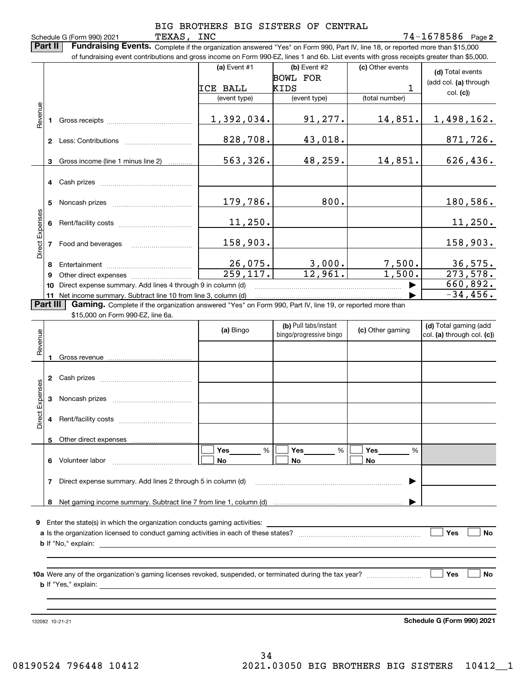**Part II** | Fundraising Events. Complete if the organization answered "Yes" on Form 990, Part IV, line 18, or reported more than \$15,000 of fundraising event contributions and gross income on Form 990-EZ, lines 1 and 6b. List events with gross receipts greater than \$5,000.

|                 |                | or ianaraong overit continuations and gross income on i omr sso EZ, imes i and ob. Elst events with gross receipts greater than φο,ουσ. |              |                         |                  |                            |
|-----------------|----------------|-----------------------------------------------------------------------------------------------------------------------------------------|--------------|-------------------------|------------------|----------------------------|
|                 |                |                                                                                                                                         | (a) Event #1 | $(b)$ Event #2          | (c) Other events | (d) Total events           |
|                 |                |                                                                                                                                         |              | <b>BOWL FOR</b>         |                  | (add col. (a) through      |
|                 |                |                                                                                                                                         | ICE BALL     | KIDS                    | 1                | col. (c)                   |
|                 |                |                                                                                                                                         | (event type) | (event type)            | (total number)   |                            |
|                 |                |                                                                                                                                         |              |                         |                  |                            |
| Revenue         |                |                                                                                                                                         | 1,392,034.   | 91,277.                 | 14,851.          | 1,498,162.                 |
|                 |                |                                                                                                                                         |              |                         |                  |                            |
|                 | $\mathbf{2}$   | Less: Contributions                                                                                                                     | 828,708.     | 43,018.                 |                  | 871,726.                   |
|                 |                |                                                                                                                                         |              |                         |                  |                            |
|                 | $\mathbf{3}$   | Gross income (line 1 minus line 2)                                                                                                      | 563,326.     | 48,259.                 | 14,851.          | 626,436.                   |
|                 |                |                                                                                                                                         |              |                         |                  |                            |
|                 |                |                                                                                                                                         |              |                         |                  |                            |
|                 |                |                                                                                                                                         |              |                         |                  |                            |
|                 | 5              |                                                                                                                                         | 179,786.     | 800.                    |                  | 180,586.                   |
|                 |                |                                                                                                                                         |              |                         |                  |                            |
|                 | 6              |                                                                                                                                         | 11,250.      |                         |                  | 11,250.                    |
| Direct Expenses | $\overline{7}$ |                                                                                                                                         | 158,903.     |                         |                  | 158, 903.                  |
|                 |                | Food and beverages                                                                                                                      |              |                         |                  |                            |
|                 | 8              |                                                                                                                                         | 26,075.      | 3,000.                  | 7,500.           |                            |
|                 | 9              |                                                                                                                                         | 259, 117.    | 12,961.                 | 1,500.           | $\frac{36,575}{273,578}$   |
|                 | 10             | Direct expense summary. Add lines 4 through 9 in column (d)                                                                             |              |                         |                  | 660,892.                   |
|                 |                | 11 Net income summary. Subtract line 10 from line 3, column (d)                                                                         |              |                         |                  | $-34,456.$                 |
| Part III        |                | Gaming. Complete if the organization answered "Yes" on Form 990, Part IV, line 19, or reported more than                                |              |                         |                  |                            |
|                 |                | \$15,000 on Form 990-EZ, line 6a.                                                                                                       |              |                         |                  |                            |
|                 |                |                                                                                                                                         |              | (b) Pull tabs/instant   |                  | (d) Total gaming (add      |
| Revenue         |                |                                                                                                                                         | (a) Bingo    | bingo/progressive bingo | (c) Other gaming | col. (a) through col. (c)) |
|                 |                |                                                                                                                                         |              |                         |                  |                            |
|                 |                |                                                                                                                                         |              |                         |                  |                            |
|                 |                |                                                                                                                                         |              |                         |                  |                            |

**9**Enter the state(s) in which the organization conducts gaming activities:

**8**Net gaming income summary. Subtract line 7 from line 1, column (d)

**7**Direct expense summary. Add lines 2 through 5 in column (d)

~~~~~~~~~~~~~

**2** Cash prizes \_\_\_\_\_\_\_\_\_\_\_\_\_\_\_\_\_\_\_\_\_\_\_\_\_\_\_\_\_\_\_\_

**6** Volunteer labor  $\ldots$   $\ldots$   $\ldots$   $\ldots$   $\ldots$   $\ldots$   $\ldots$   $\ldots$ 

Rent/facility costs ~~~~~~~~~~~~

| a Is the organization licensed to conduct gaming activities in each of these states? |  |  |
|--------------------------------------------------------------------------------------|--|--|
| <b>b</b> If "No." explain:                                                           |  |  |

**10a** Were any of the organization's gaming licenses revoked, suspended, or terminated during the tax year? \_\_\_\_\_\_\_\_\_\_\_\_\_\_\_\_\_ **b** If "Yes," explain:

**Yes**

 $\mathcal{L}^{\text{max}}$ 

 $\mathcal{L}^{\text{max}}$ 

**No**

132082 10-21-21

**3**

Noncash prizes

Other direct expenses

Direct Expenses

Direct Expenses

**4**

**5**

**Schedule G (Form 990) 2021**

**Yes**

 $\mathcal{L}^{\text{max}}$ 

…… ▶

**No**

**No**

**Yes\_\_\_\_\_\_\_\_ %** | █ **Yes** 

~~~~~~~~~~~~~~~~~~~~~~~~ |

% %

**No No**

%

 $\boxed{\Box}$  Yes \_\_\_\_\_\_\_ %  $\boxed{\Box}$  Yes \_\_\_\_\_\_\_ %  $\boxed{\Box}$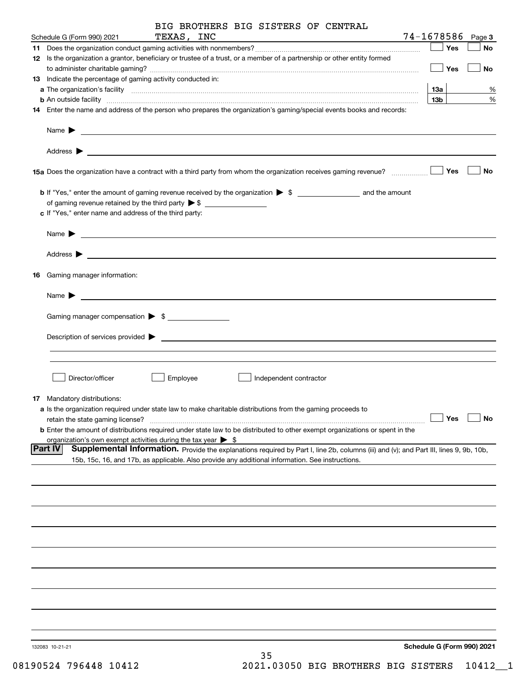|                                                                                                                                                                                                                                                        | BIG BROTHERS BIG SISTERS OF CENTRAL |  |                        |  |  |              |     |                            |
|--------------------------------------------------------------------------------------------------------------------------------------------------------------------------------------------------------------------------------------------------------|-------------------------------------|--|------------------------|--|--|--------------|-----|----------------------------|
| Schedule G (Form 990) 2021                                                                                                                                                                                                                             | TEXAS, INC                          |  |                        |  |  |              |     | $74 - 1678586$ Page 3      |
|                                                                                                                                                                                                                                                        |                                     |  |                        |  |  | $\mathbb{R}$ | Yes | No                         |
| 12 Is the organization a grantor, beneficiary or trustee of a trust, or a member of a partnership or other entity formed                                                                                                                               |                                     |  |                        |  |  |              | Yes | No                         |
| 13 Indicate the percentage of gaming activity conducted in:                                                                                                                                                                                            |                                     |  |                        |  |  |              |     |                            |
|                                                                                                                                                                                                                                                        |                                     |  |                        |  |  | 13а          |     | %                          |
|                                                                                                                                                                                                                                                        |                                     |  |                        |  |  | 13b          |     | %                          |
| 14 Enter the name and address of the person who prepares the organization's gaming/special events books and records:                                                                                                                                   |                                     |  |                        |  |  |              |     |                            |
|                                                                                                                                                                                                                                                        |                                     |  |                        |  |  |              |     |                            |
|                                                                                                                                                                                                                                                        |                                     |  |                        |  |  |              |     |                            |
|                                                                                                                                                                                                                                                        |                                     |  |                        |  |  |              |     | No                         |
|                                                                                                                                                                                                                                                        |                                     |  |                        |  |  |              |     |                            |
|                                                                                                                                                                                                                                                        |                                     |  |                        |  |  |              |     |                            |
| c If "Yes," enter name and address of the third party:                                                                                                                                                                                                 |                                     |  |                        |  |  |              |     |                            |
|                                                                                                                                                                                                                                                        |                                     |  |                        |  |  |              |     |                            |
| Name $\blacktriangleright$ $\frac{1}{\sqrt{1-\frac{1}{2}}\left(1-\frac{1}{2}\right)}$                                                                                                                                                                  |                                     |  |                        |  |  |              |     |                            |
|                                                                                                                                                                                                                                                        |                                     |  |                        |  |  |              |     |                            |
| 16 Gaming manager information:                                                                                                                                                                                                                         |                                     |  |                        |  |  |              |     |                            |
| Name $\blacktriangleright$ $\lrcorner$                                                                                                                                                                                                                 |                                     |  |                        |  |  |              |     |                            |
| Gaming manager compensation > \$                                                                                                                                                                                                                       |                                     |  |                        |  |  |              |     |                            |
|                                                                                                                                                                                                                                                        |                                     |  |                        |  |  |              |     |                            |
| $Description of services provided$ $\triangleright$                                                                                                                                                                                                    |                                     |  |                        |  |  |              |     |                            |
|                                                                                                                                                                                                                                                        |                                     |  |                        |  |  |              |     |                            |
| Director/officer                                                                                                                                                                                                                                       | Employee                            |  | Independent contractor |  |  |              |     |                            |
|                                                                                                                                                                                                                                                        |                                     |  |                        |  |  |              |     |                            |
| 17 Mandatory distributions:<br>a Is the organization required under state law to make charitable distributions from the gaming proceeds to                                                                                                             |                                     |  |                        |  |  |              |     |                            |
| retain the state gaming license?                                                                                                                                                                                                                       |                                     |  |                        |  |  |              | Yes | No                         |
| <b>b</b> Enter the amount of distributions required under state law to be distributed to other exempt organizations or spent in the                                                                                                                    |                                     |  |                        |  |  |              |     |                            |
| organization's own exempt activities during the tax year $\triangleright$ \$                                                                                                                                                                           |                                     |  |                        |  |  |              |     |                            |
| ∣Part IV<br>Supplemental Information. Provide the explanations required by Part I, line 2b, columns (iii) and (v); and Part III, lines 9, 9b, 10b,<br>15b, 15c, 16, and 17b, as applicable. Also provide any additional information. See instructions. |                                     |  |                        |  |  |              |     |                            |
|                                                                                                                                                                                                                                                        |                                     |  |                        |  |  |              |     |                            |
|                                                                                                                                                                                                                                                        |                                     |  |                        |  |  |              |     |                            |
|                                                                                                                                                                                                                                                        |                                     |  |                        |  |  |              |     |                            |
|                                                                                                                                                                                                                                                        |                                     |  |                        |  |  |              |     |                            |
|                                                                                                                                                                                                                                                        |                                     |  |                        |  |  |              |     |                            |
|                                                                                                                                                                                                                                                        |                                     |  |                        |  |  |              |     |                            |
|                                                                                                                                                                                                                                                        |                                     |  |                        |  |  |              |     |                            |
|                                                                                                                                                                                                                                                        |                                     |  |                        |  |  |              |     |                            |
|                                                                                                                                                                                                                                                        |                                     |  |                        |  |  |              |     |                            |
|                                                                                                                                                                                                                                                        |                                     |  |                        |  |  |              |     |                            |
| 132083 10-21-21                                                                                                                                                                                                                                        |                                     |  | 35                     |  |  |              |     | Schedule G (Form 990) 2021 |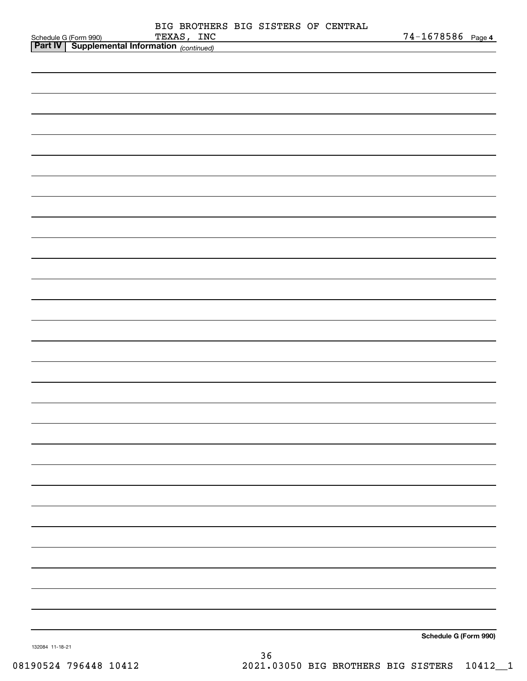| Schedule G (Form 990) TEXAS, INC<br><b>Part IV</b> Supplemental Information (continued) | BIG BROTHERS BIG SISTERS OF CENTRAL<br>TEXAS, INC |  |  | 74-1678586 Page 4     |
|-----------------------------------------------------------------------------------------|---------------------------------------------------|--|--|-----------------------|
|                                                                                         |                                                   |  |  |                       |
|                                                                                         |                                                   |  |  |                       |
|                                                                                         |                                                   |  |  |                       |
|                                                                                         |                                                   |  |  |                       |
|                                                                                         |                                                   |  |  |                       |
|                                                                                         |                                                   |  |  |                       |
|                                                                                         |                                                   |  |  |                       |
|                                                                                         |                                                   |  |  |                       |
|                                                                                         |                                                   |  |  |                       |
|                                                                                         |                                                   |  |  |                       |
|                                                                                         |                                                   |  |  |                       |
|                                                                                         |                                                   |  |  |                       |
|                                                                                         |                                                   |  |  |                       |
|                                                                                         |                                                   |  |  |                       |
|                                                                                         |                                                   |  |  |                       |
|                                                                                         |                                                   |  |  |                       |
|                                                                                         |                                                   |  |  |                       |
|                                                                                         |                                                   |  |  |                       |
|                                                                                         |                                                   |  |  |                       |
|                                                                                         |                                                   |  |  |                       |
|                                                                                         |                                                   |  |  |                       |
|                                                                                         |                                                   |  |  |                       |
|                                                                                         |                                                   |  |  |                       |
|                                                                                         |                                                   |  |  |                       |
|                                                                                         |                                                   |  |  |                       |
|                                                                                         |                                                   |  |  |                       |
| 132084 11-18-21                                                                         |                                                   |  |  | Schedule G (Form 990) |

36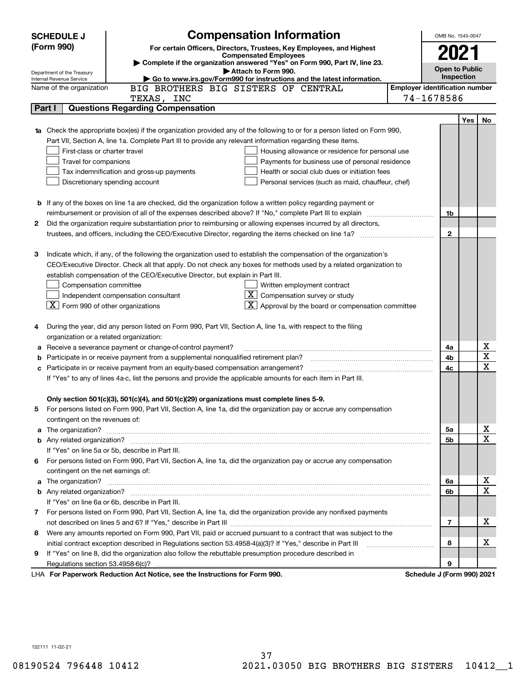|        | <b>Compensation Information</b><br><b>SCHEDULE J</b>                                                                             |                                       | OMB No. 1545-0047     |            |                         |
|--------|----------------------------------------------------------------------------------------------------------------------------------|---------------------------------------|-----------------------|------------|-------------------------|
|        | (Form 990)<br>For certain Officers, Directors, Trustees, Key Employees, and Highest                                              |                                       |                       |            |                         |
|        | <b>Compensated Employees</b>                                                                                                     |                                       | 2021                  |            |                         |
|        | Complete if the organization answered "Yes" on Form 990, Part IV, line 23.<br>Attach to Form 990.                                |                                       | <b>Open to Public</b> |            |                         |
|        | Department of the Treasury<br>Go to www.irs.gov/Form990 for instructions and the latest information.<br>Internal Revenue Service |                                       | Inspection            |            |                         |
|        | BIG BROTHERS BIG SISTERS OF CENTRAL<br>Name of the organization                                                                  | <b>Employer identification number</b> |                       |            |                         |
|        | TEXAS, INC                                                                                                                       | 74-1678586                            |                       |            |                         |
| Part I | <b>Questions Regarding Compensation</b>                                                                                          |                                       |                       |            |                         |
|        |                                                                                                                                  |                                       |                       | <b>Yes</b> | No                      |
|        | 1a Check the appropriate box(es) if the organization provided any of the following to or for a person listed on Form 990,        |                                       |                       |            |                         |
|        | Part VII, Section A, line 1a. Complete Part III to provide any relevant information regarding these items.                       |                                       |                       |            |                         |
|        | First-class or charter travel<br>Housing allowance or residence for personal use                                                 |                                       |                       |            |                         |
|        | Travel for companions<br>Payments for business use of personal residence                                                         |                                       |                       |            |                         |
|        | Tax indemnification and gross-up payments<br>Health or social club dues or initiation fees                                       |                                       |                       |            |                         |
|        | Discretionary spending account<br>Personal services (such as maid, chauffeur, chef)                                              |                                       |                       |            |                         |
|        |                                                                                                                                  |                                       |                       |            |                         |
|        | <b>b</b> If any of the boxes on line 1a are checked, did the organization follow a written policy regarding payment or           |                                       |                       |            |                         |
|        | reimbursement or provision of all of the expenses described above? If "No," complete Part III to explain                         |                                       | 1b                    |            |                         |
| 2      | Did the organization require substantiation prior to reimbursing or allowing expenses incurred by all directors,                 |                                       |                       |            |                         |
|        | trustees, and officers, including the CEO/Executive Director, regarding the items checked on line 1a?                            |                                       | $\mathbf{2}$          |            |                         |
|        |                                                                                                                                  |                                       |                       |            |                         |
| З      | Indicate which, if any, of the following the organization used to establish the compensation of the organization's               |                                       |                       |            |                         |
|        | CEO/Executive Director. Check all that apply. Do not check any boxes for methods used by a related organization to               |                                       |                       |            |                         |
|        | establish compensation of the CEO/Executive Director, but explain in Part III.                                                   |                                       |                       |            |                         |
|        | Compensation committee<br>Written employment contract                                                                            |                                       |                       |            |                         |
|        | $X$ Compensation survey or study<br>Independent compensation consultant                                                          |                                       |                       |            |                         |
|        | $\lfloor X \rfloor$ Form 990 of other organizations<br>$\lfloor x \rfloor$ Approval by the board or compensation committee       |                                       |                       |            |                         |
|        | During the year, did any person listed on Form 990, Part VII, Section A, line 1a, with respect to the filing                     |                                       |                       |            |                         |
|        | organization or a related organization:                                                                                          |                                       |                       |            |                         |
| а      | Receive a severance payment or change-of-control payment?                                                                        |                                       | 4a                    |            | х                       |
| b      | Participate in or receive payment from a supplemental nonqualified retirement plan?                                              |                                       | 4b                    |            | $\overline{\mathbf{x}}$ |
| с      | Participate in or receive payment from an equity-based compensation arrangement?                                                 |                                       | 4c                    |            | $\overline{\mathbf{x}}$ |
|        | If "Yes" to any of lines 4a-c, list the persons and provide the applicable amounts for each item in Part III.                    |                                       |                       |            |                         |
|        |                                                                                                                                  |                                       |                       |            |                         |
|        | Only section 501(c)(3), 501(c)(4), and 501(c)(29) organizations must complete lines 5-9.                                         |                                       |                       |            |                         |
|        | For persons listed on Form 990, Part VII, Section A, line 1a, did the organization pay or accrue any compensation                |                                       |                       |            |                         |
|        | contingent on the revenues of:                                                                                                   |                                       |                       |            |                         |
|        | a The organization? <b>Entitation</b> and the organization?                                                                      |                                       | 5a                    |            | x                       |
|        |                                                                                                                                  |                                       | 5b                    |            | $\mathbf x$             |
|        | If "Yes" on line 5a or 5b, describe in Part III.                                                                                 |                                       |                       |            |                         |
| 6.     | For persons listed on Form 990, Part VII, Section A, line 1a, did the organization pay or accrue any compensation                |                                       |                       |            |                         |
|        | contingent on the net earnings of:                                                                                               |                                       |                       |            |                         |
| a      |                                                                                                                                  |                                       | 6a                    |            | х                       |
|        |                                                                                                                                  |                                       | 6b                    |            | $\mathbf x$             |
|        | If "Yes" on line 6a or 6b, describe in Part III.                                                                                 |                                       |                       |            |                         |
|        | 7 For persons listed on Form 990, Part VII, Section A, line 1a, did the organization provide any nonfixed payments               |                                       |                       |            |                         |
|        |                                                                                                                                  |                                       | 7                     |            | х                       |
| 8      | Were any amounts reported on Form 990, Part VII, paid or accrued pursuant to a contract that was subject to the                  |                                       |                       |            |                         |
|        | initial contract exception described in Regulations section 53.4958-4(a)(3)? If "Yes," describe in Part III                      |                                       | 8                     |            | х                       |
| 9      | If "Yes" on line 8, did the organization also follow the rebuttable presumption procedure described in                           |                                       |                       |            |                         |
|        | Regulations section 53.4958-6(c)?                                                                                                |                                       | 9                     |            |                         |
|        | LHA For Paperwork Reduction Act Notice, see the Instructions for Form 990.                                                       | Schedule J (Form 990) 2021            |                       |            |                         |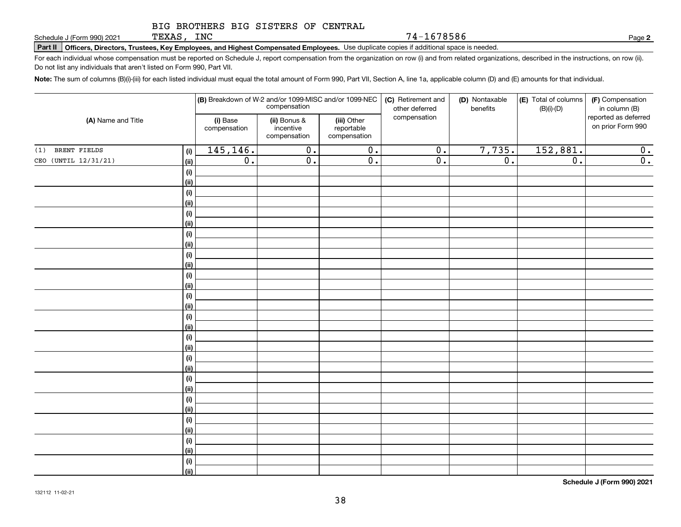TEXAS, INC

74-1678586

**2**

Page Use of Trustees, Key Employees, and Highest Compensated Employees. Use duplicate copies if additional space is needed.<br>Part **II │ Officers, Directors, Trustees, Key Employees, and Highest Compensated Employees.** Use

For each individual whose compensation must be reported on Schedule J, report compensation from the organization on row (i) and from related organizations, described in the instructions, on row (ii). Do not list any individuals that aren't listed on Form 990, Part VII.

**Note:**  The sum of columns (B)(i)-(iii) for each listed individual must equal the total amount of Form 990, Part VII, Section A, line 1a, applicable column (D) and (E) amounts for that individual.

|                                     |                          | compensation                              | (B) Breakdown of W-2 and/or 1099-MISC and/or 1099-NEC | (C) Retirement and<br>other deferred | (D) Nontaxable<br>benefits | (E) Total of columns<br>$(B)(i)-(D)$ | (F) Compensation<br>in column (B)         |
|-------------------------------------|--------------------------|-------------------------------------------|-------------------------------------------------------|--------------------------------------|----------------------------|--------------------------------------|-------------------------------------------|
| (A) Name and Title                  | (i) Base<br>compensation | (ii) Bonus &<br>incentive<br>compensation | (iii) Other<br>reportable<br>compensation             | compensation                         |                            |                                      | reported as deferred<br>on prior Form 990 |
| BRENT FIELDS<br>(1)<br>(i)          | 145, 146.                | $\overline{0}$ .                          | $\overline{0}$ .                                      | $\overline{0}$ .                     | 7,735.                     | 152,881.                             | $\overline{0}$ .                          |
| CEO (UNTIL 12/31/21)<br><u>(ii)</u> | $\overline{0}$ .         | $\overline{0}$ .                          | $\overline{0}$ .                                      | $\overline{0}$ .                     | $\overline{0}$ .           | $\overline{\mathfrak{o}}$ .          | $\overline{0}$ .                          |
| (i)                                 |                          |                                           |                                                       |                                      |                            |                                      |                                           |
| <u>(ii)</u>                         |                          |                                           |                                                       |                                      |                            |                                      |                                           |
| $(\sf{i})$                          |                          |                                           |                                                       |                                      |                            |                                      |                                           |
| <u>(ii)</u>                         |                          |                                           |                                                       |                                      |                            |                                      |                                           |
| $(\sf{i})$                          |                          |                                           |                                                       |                                      |                            |                                      |                                           |
| <u>(ii)</u>                         |                          |                                           |                                                       |                                      |                            |                                      |                                           |
| $(\sf{i})$                          |                          |                                           |                                                       |                                      |                            |                                      |                                           |
| <u>(ii)</u>                         |                          |                                           |                                                       |                                      |                            |                                      |                                           |
| $(\sf{i})$                          |                          |                                           |                                                       |                                      |                            |                                      |                                           |
| <u>(ii)</u>                         |                          |                                           |                                                       |                                      |                            |                                      |                                           |
| $(\sf{i})$                          |                          |                                           |                                                       |                                      |                            |                                      |                                           |
| <u>(ii)</u>                         |                          |                                           |                                                       |                                      |                            |                                      |                                           |
| $(\sf{i})$<br><u>(ii)</u>           |                          |                                           |                                                       |                                      |                            |                                      |                                           |
| $(\sf{i})$                          |                          |                                           |                                                       |                                      |                            |                                      |                                           |
| <u>(ii)</u>                         |                          |                                           |                                                       |                                      |                            |                                      |                                           |
| $(\sf{i})$                          |                          |                                           |                                                       |                                      |                            |                                      |                                           |
| <u>(ii)</u>                         |                          |                                           |                                                       |                                      |                            |                                      |                                           |
| $(\sf{i})$                          |                          |                                           |                                                       |                                      |                            |                                      |                                           |
| <u>(ii)</u>                         |                          |                                           |                                                       |                                      |                            |                                      |                                           |
| $(\sf{i})$                          |                          |                                           |                                                       |                                      |                            |                                      |                                           |
| <u>(ii)</u>                         |                          |                                           |                                                       |                                      |                            |                                      |                                           |
| $(\sf{i})$                          |                          |                                           |                                                       |                                      |                            |                                      |                                           |
| <u>(ii)</u>                         |                          |                                           |                                                       |                                      |                            |                                      |                                           |
| $(\sf{i})$                          |                          |                                           |                                                       |                                      |                            |                                      |                                           |
| <u>(ii)</u>                         |                          |                                           |                                                       |                                      |                            |                                      |                                           |
| $(\sf{i})$                          |                          |                                           |                                                       |                                      |                            |                                      |                                           |
| <u>(ii)</u>                         |                          |                                           |                                                       |                                      |                            |                                      |                                           |
| (i)                                 |                          |                                           |                                                       |                                      |                            |                                      |                                           |
| $\vert$ (ii)                        |                          |                                           |                                                       |                                      |                            |                                      |                                           |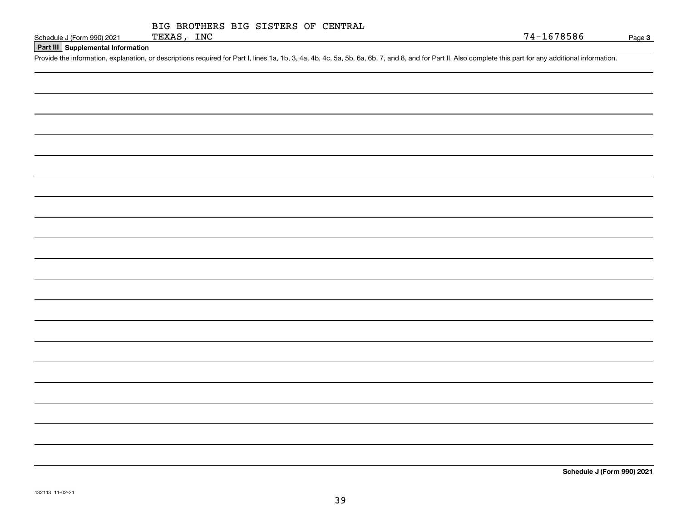| BIG BROTHERS BIG SISTERS OF CENTRAL |  |  |  |  |
|-------------------------------------|--|--|--|--|
|-------------------------------------|--|--|--|--|

**Part III Supplemental Information**

Schedule J (Form 990) 2021 TEXAS, INC<br>Part III Supplemental Information<br>Provide the information, explanation, or descriptions required for Part I, lines 1a, 1b, 3, 4a, 4b, 4c, 5a, 5b, 6a, 6b, 7, and 8, and for Part II. Al

**Schedule J (Form 990) 2021**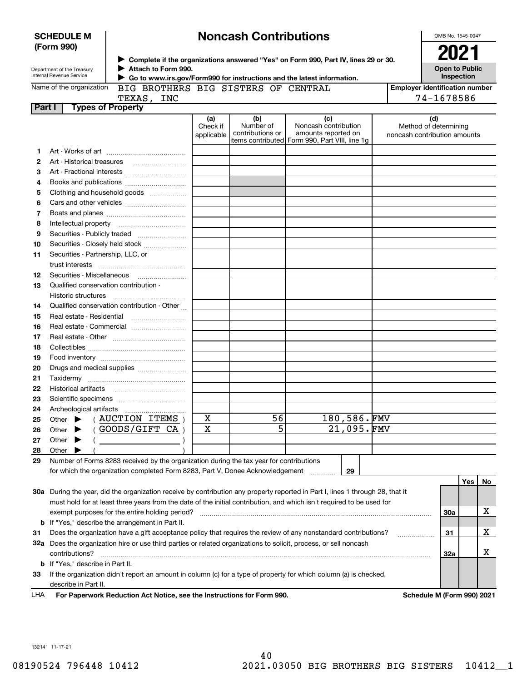|        | (Form 990)                                                   |                                                                                                                                                                                       |                               |                                      |                                                                                                      |             | 2021                                                         |     |    |
|--------|--------------------------------------------------------------|---------------------------------------------------------------------------------------------------------------------------------------------------------------------------------------|-------------------------------|--------------------------------------|------------------------------------------------------------------------------------------------------|-------------|--------------------------------------------------------------|-----|----|
|        | Department of the Treasury<br>Internal Revenue Service       | > Complete if the organizations answered "Yes" on Form 990, Part IV, lines 29 or 30.<br>Attach to Form 990.<br>Go to www.irs.gov/Form990 for instructions and the latest information. |                               |                                      |                                                                                                      |             | <b>Open to Public</b><br>Inspection                          |     |    |
|        | Name of the organization                                     | BIG BROTHERS BIG SISTERS OF CENTRAL                                                                                                                                                   |                               |                                      |                                                                                                      |             | <b>Employer identification number</b>                        |     |    |
|        |                                                              | TEXAS, INC                                                                                                                                                                            |                               |                                      |                                                                                                      |             | 74-1678586                                                   |     |    |
| Part I |                                                              | <b>Types of Property</b>                                                                                                                                                              |                               |                                      |                                                                                                      |             |                                                              |     |    |
|        |                                                              |                                                                                                                                                                                       | (a)<br>Check if<br>applicable | (b)<br>Number of<br>contributions or | (c)<br>Noncash contribution<br>amounts reported on<br>items contributed Form 990, Part VIII, line 1g |             | (d)<br>Method of determining<br>noncash contribution amounts |     |    |
| 1.     |                                                              |                                                                                                                                                                                       |                               |                                      |                                                                                                      |             |                                                              |     |    |
| 2      |                                                              |                                                                                                                                                                                       |                               |                                      |                                                                                                      |             |                                                              |     |    |
| з      |                                                              |                                                                                                                                                                                       |                               |                                      |                                                                                                      |             |                                                              |     |    |
| 4      |                                                              |                                                                                                                                                                                       |                               |                                      |                                                                                                      |             |                                                              |     |    |
| 5      |                                                              | Clothing and household goods                                                                                                                                                          |                               |                                      |                                                                                                      |             |                                                              |     |    |
| 6      |                                                              |                                                                                                                                                                                       |                               |                                      |                                                                                                      |             |                                                              |     |    |
| 7      |                                                              |                                                                                                                                                                                       |                               |                                      |                                                                                                      |             |                                                              |     |    |
| 8      | Intellectual property                                        |                                                                                                                                                                                       |                               |                                      |                                                                                                      |             |                                                              |     |    |
| 9      |                                                              |                                                                                                                                                                                       |                               |                                      |                                                                                                      |             |                                                              |     |    |
| 10     |                                                              | Securities - Closely held stock                                                                                                                                                       |                               |                                      |                                                                                                      |             |                                                              |     |    |
| 11     | Securities - Partnership, LLC, or                            |                                                                                                                                                                                       |                               |                                      |                                                                                                      |             |                                                              |     |    |
|        | trust interests                                              |                                                                                                                                                                                       |                               |                                      |                                                                                                      |             |                                                              |     |    |
| 12     |                                                              |                                                                                                                                                                                       |                               |                                      |                                                                                                      |             |                                                              |     |    |
| 13     | Qualified conservation contribution -<br>Historic structures |                                                                                                                                                                                       |                               |                                      |                                                                                                      |             |                                                              |     |    |
| 14     |                                                              | Qualified conservation contribution - Other                                                                                                                                           |                               |                                      |                                                                                                      |             |                                                              |     |    |
| 15     | Real estate - Residential                                    |                                                                                                                                                                                       |                               |                                      |                                                                                                      |             |                                                              |     |    |
| 16     |                                                              | Real estate - Commercial                                                                                                                                                              |                               |                                      |                                                                                                      |             |                                                              |     |    |
| 17     |                                                              |                                                                                                                                                                                       |                               |                                      |                                                                                                      |             |                                                              |     |    |
| 18     |                                                              |                                                                                                                                                                                       |                               |                                      |                                                                                                      |             |                                                              |     |    |
| 19     |                                                              |                                                                                                                                                                                       |                               |                                      |                                                                                                      |             |                                                              |     |    |
| 20     |                                                              | Drugs and medical supplies                                                                                                                                                            |                               |                                      |                                                                                                      |             |                                                              |     |    |
| 21     |                                                              |                                                                                                                                                                                       |                               |                                      |                                                                                                      |             |                                                              |     |    |
| 22     |                                                              |                                                                                                                                                                                       |                               |                                      |                                                                                                      |             |                                                              |     |    |
| 23     |                                                              |                                                                                                                                                                                       |                               |                                      |                                                                                                      |             |                                                              |     |    |
| 24     | Archeological artifacts                                      |                                                                                                                                                                                       |                               |                                      |                                                                                                      |             |                                                              |     |    |
| 25     |                                                              | Other $\blacktriangleright$ ( AUCTION ITEMS )                                                                                                                                         | X                             | 56                                   |                                                                                                      | 180,586.FMV |                                                              |     |    |
| 26     |                                                              | Other $\triangleright$ (GOODS/GIFT CA)                                                                                                                                                | $\overline{\textbf{x}}$       | $\overline{5}$                       |                                                                                                      | 21,095.FMV  |                                                              |     |    |
| 27     | Other                                                        |                                                                                                                                                                                       |                               |                                      |                                                                                                      |             |                                                              |     |    |
| 28     | Other                                                        |                                                                                                                                                                                       |                               |                                      |                                                                                                      |             |                                                              |     |    |
| 29     |                                                              | Number of Forms 8283 received by the organization during the tax year for contributions<br>for which the organization completed Form 8283, Part V, Donee Acknowledgement              |                               |                                      |                                                                                                      | 29          |                                                              |     |    |
|        |                                                              |                                                                                                                                                                                       |                               |                                      |                                                                                                      |             |                                                              | Yes | No |
|        |                                                              | 30a During the year, did the organization receive by contribution any property reported in Part I, lines 1 through 28, that it                                                        |                               |                                      |                                                                                                      |             |                                                              |     |    |
|        |                                                              | must hold for at least three years from the date of the initial contribution, and which isn't required to be used for                                                                 |                               |                                      |                                                                                                      |             |                                                              |     |    |
|        |                                                              | exempt purposes for the entire holding period?                                                                                                                                        |                               |                                      |                                                                                                      |             | 30a                                                          |     | x  |
|        |                                                              | <b>b</b> If "Yes," describe the arrangement in Part II.                                                                                                                               |                               |                                      |                                                                                                      |             |                                                              |     |    |
| 31     |                                                              | Does the organization have a gift acceptance policy that requires the review of any nonstandard contributions?                                                                        |                               |                                      |                                                                                                      |             | 31                                                           |     | х  |
|        |                                                              | 32a Does the organization hire or use third parties or related organizations to solicit, process, or sell noncash                                                                     |                               |                                      |                                                                                                      |             |                                                              |     |    |
|        | contributions?                                               |                                                                                                                                                                                       |                               |                                      |                                                                                                      |             | 32a                                                          |     | х  |
|        | <b>b</b> If "Yes," describe in Part II.                      |                                                                                                                                                                                       |                               |                                      |                                                                                                      |             |                                                              |     |    |
| 33     |                                                              | If the organization didn't report an amount in column (c) for a type of property for which column (a) is checked,                                                                     |                               |                                      |                                                                                                      |             |                                                              |     |    |
|        | describe in Part II.                                         |                                                                                                                                                                                       |                               |                                      |                                                                                                      |             |                                                              |     |    |

40

**Noncash Contributions**

**For Paperwork Reduction Act Notice, see the Instructions for Form 990. Schedule M (Form 990) 2021** LHA

OMB No. 1545-0047

132141 11-17-21

**SCHEDULE M**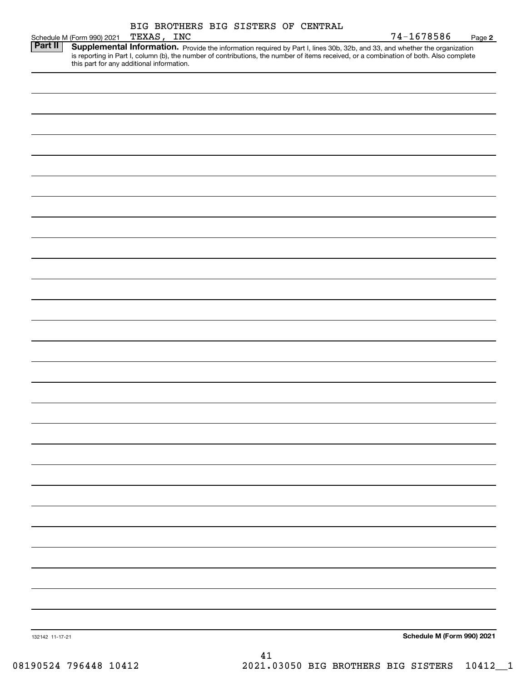|                 |                            |            | BIG BROTHERS BIG SISTERS OF CENTRAL |  |  |                                                                                                                                                                                                                                                                                                                |        |
|-----------------|----------------------------|------------|-------------------------------------|--|--|----------------------------------------------------------------------------------------------------------------------------------------------------------------------------------------------------------------------------------------------------------------------------------------------------------------|--------|
|                 | Schedule M (Form 990) 2021 | TEXAS, INC |                                     |  |  | 74-1678586                                                                                                                                                                                                                                                                                                     | Page 2 |
| Part II         |                            |            |                                     |  |  | Supplemental Information. Provide the information required by Part I, lines 30b, 32b, and 33, and whether the organization<br>is reporting in Part I, column (b), the number of contributions, the number of items received, or a combination of both. Also complete this part for any additional information. |        |
|                 |                            |            |                                     |  |  |                                                                                                                                                                                                                                                                                                                |        |
|                 |                            |            |                                     |  |  |                                                                                                                                                                                                                                                                                                                |        |
|                 |                            |            |                                     |  |  |                                                                                                                                                                                                                                                                                                                |        |
|                 |                            |            |                                     |  |  |                                                                                                                                                                                                                                                                                                                |        |
|                 |                            |            |                                     |  |  |                                                                                                                                                                                                                                                                                                                |        |
|                 |                            |            |                                     |  |  |                                                                                                                                                                                                                                                                                                                |        |
|                 |                            |            |                                     |  |  |                                                                                                                                                                                                                                                                                                                |        |
|                 |                            |            |                                     |  |  |                                                                                                                                                                                                                                                                                                                |        |
|                 |                            |            |                                     |  |  |                                                                                                                                                                                                                                                                                                                |        |
|                 |                            |            |                                     |  |  |                                                                                                                                                                                                                                                                                                                |        |
|                 |                            |            |                                     |  |  |                                                                                                                                                                                                                                                                                                                |        |
|                 |                            |            |                                     |  |  |                                                                                                                                                                                                                                                                                                                |        |
|                 |                            |            |                                     |  |  |                                                                                                                                                                                                                                                                                                                |        |
|                 |                            |            |                                     |  |  |                                                                                                                                                                                                                                                                                                                |        |
|                 |                            |            |                                     |  |  |                                                                                                                                                                                                                                                                                                                |        |
|                 |                            |            |                                     |  |  |                                                                                                                                                                                                                                                                                                                |        |
|                 |                            |            |                                     |  |  |                                                                                                                                                                                                                                                                                                                |        |
|                 |                            |            |                                     |  |  |                                                                                                                                                                                                                                                                                                                |        |
|                 |                            |            |                                     |  |  |                                                                                                                                                                                                                                                                                                                |        |
|                 |                            |            |                                     |  |  |                                                                                                                                                                                                                                                                                                                |        |
|                 |                            |            |                                     |  |  |                                                                                                                                                                                                                                                                                                                |        |
|                 |                            |            |                                     |  |  |                                                                                                                                                                                                                                                                                                                |        |
|                 |                            |            |                                     |  |  |                                                                                                                                                                                                                                                                                                                |        |
|                 |                            |            |                                     |  |  |                                                                                                                                                                                                                                                                                                                |        |
|                 |                            |            |                                     |  |  |                                                                                                                                                                                                                                                                                                                |        |
|                 |                            |            |                                     |  |  |                                                                                                                                                                                                                                                                                                                |        |
|                 |                            |            |                                     |  |  |                                                                                                                                                                                                                                                                                                                |        |
|                 |                            |            |                                     |  |  |                                                                                                                                                                                                                                                                                                                |        |
|                 |                            |            |                                     |  |  |                                                                                                                                                                                                                                                                                                                |        |
|                 |                            |            |                                     |  |  |                                                                                                                                                                                                                                                                                                                |        |
|                 |                            |            |                                     |  |  |                                                                                                                                                                                                                                                                                                                |        |
| 132142 11-17-21 |                            |            |                                     |  |  | Schedule M (Form 990) 2021                                                                                                                                                                                                                                                                                     |        |
|                 |                            |            |                                     |  |  |                                                                                                                                                                                                                                                                                                                |        |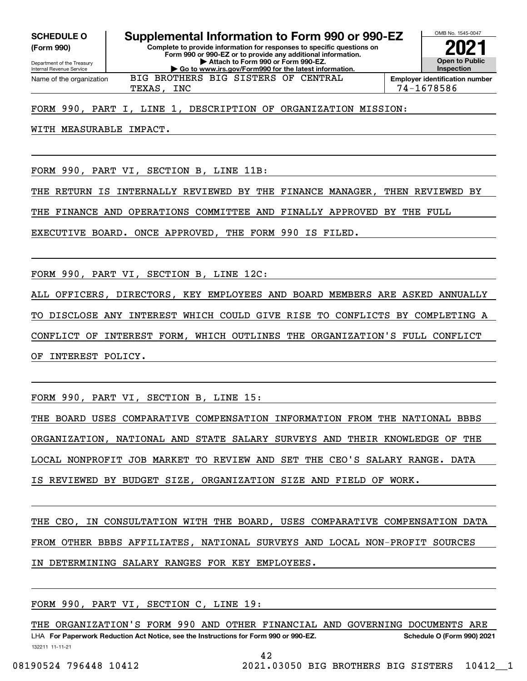Name of the organization

Department of the Treasury Internal Revenue Service



TEXAS, INC 74-1678586

FORM 990, PART I, LINE 1, DESCRIPTION OF ORGANIZATION MISSION:

WITH MEASURABLE IMPACT.

FORM 990, PART VI, SECTION B, LINE 11B:

THE RETURN IS INTERNALLY REVIEWED BY THE FINANCE MANAGER, THEN REVIEWED BY

THE FINANCE AND OPERATIONS COMMITTEE AND FINALLY APPROVED BY THE FULL

EXECUTIVE BOARD. ONCE APPROVED, THE FORM 990 IS FILED.

FORM 990, PART VI, SECTION B, LINE 12C:

ALL OFFICERS, DIRECTORS, KEY EMPLOYEES AND BOARD MEMBERS ARE ASKED ANNUALLY TO DISCLOSE ANY INTEREST WHICH COULD GIVE RISE TO CONFLICTS BY COMPLETING A CONFLICT OF INTEREST FORM, WHICH OUTLINES THE ORGANIZATION'S FULL CONFLICT OF INTEREST POLICY.

FORM 990, PART VI, SECTION B, LINE 15:

THE BOARD USES COMPARATIVE COMPENSATION INFORMATION FROM THE NATIONAL BBBS ORGANIZATION, NATIONAL AND STATE SALARY SURVEYS AND THEIR KNOWLEDGE OF THE LOCAL NONPROFIT JOB MARKET TO REVIEW AND SET THE CEO'S SALARY RANGE. DATA IS REVIEWED BY BUDGET SIZE, ORGANIZATION SIZE AND FIELD OF WORK.

THE CEO, IN CONSULTATION WITH THE BOARD, USES COMPARATIVE COMPENSATION DATA FROM OTHER BBBS AFFILIATES, NATIONAL SURVEYS AND LOCAL NON-PROFIT SOURCES IN DETERMINING SALARY RANGES FOR KEY EMPLOYEES.

FORM 990, PART VI, SECTION C, LINE 19:

132211 11-11-21 LHA For Paperwork Reduction Act Notice, see the Instructions for Form 990 or 990-EZ. Schedule O (Form 990) 2021 THE ORGANIZATION'S FORM 990 AND OTHER FINANCIAL AND GOVERNING DOCUMENTS ARE

42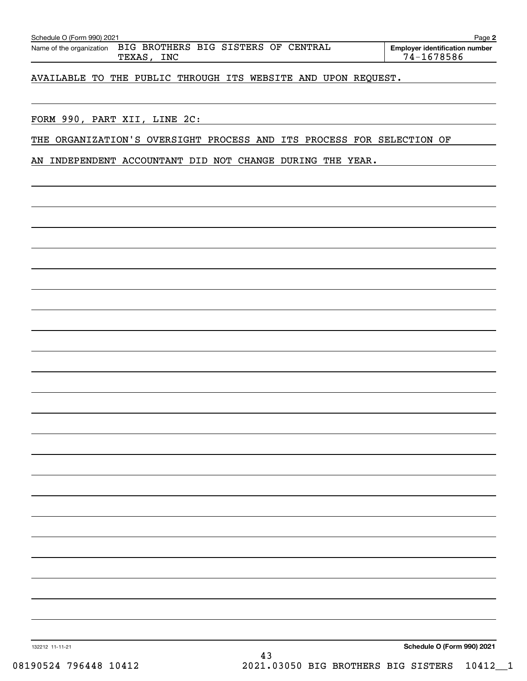| Schedule O (Form 990) 2021<br>Name of the organization<br>TEXAS, INC                                  | BIG BROTHERS BIG SISTERS OF CENTRAL       | Page 2<br><b>Employer identification number</b><br>74-1678586 |
|-------------------------------------------------------------------------------------------------------|-------------------------------------------|---------------------------------------------------------------|
| AVAILABLE TO THE PUBLIC THROUGH ITS WEBSITE AND UPON REQUEST.                                         |                                           |                                                               |
|                                                                                                       |                                           |                                                               |
| FORM 990, PART XII, LINE 2C:<br>THE ORGANIZATION'S OVERSIGHT PROCESS AND ITS PROCESS FOR SELECTION OF |                                           |                                                               |
| AN INDEPENDENT ACCOUNTANT DID NOT CHANGE DURING THE YEAR.                                             |                                           |                                                               |
|                                                                                                       |                                           |                                                               |
|                                                                                                       |                                           |                                                               |
|                                                                                                       |                                           |                                                               |
|                                                                                                       |                                           |                                                               |
|                                                                                                       |                                           |                                                               |
|                                                                                                       |                                           |                                                               |
|                                                                                                       |                                           |                                                               |
|                                                                                                       |                                           |                                                               |
|                                                                                                       |                                           |                                                               |
|                                                                                                       |                                           |                                                               |
|                                                                                                       |                                           |                                                               |
|                                                                                                       |                                           |                                                               |
|                                                                                                       |                                           |                                                               |
|                                                                                                       |                                           |                                                               |
|                                                                                                       |                                           |                                                               |
|                                                                                                       |                                           |                                                               |
|                                                                                                       |                                           |                                                               |
|                                                                                                       |                                           |                                                               |
|                                                                                                       |                                           |                                                               |
| 132212 11-11-21<br>08190524 796448 10412                                                              | 43<br>2021.03050 BIG BROTHERS BIG SISTERS | Schedule O (Form 990) 2021<br>$10412\_1$                      |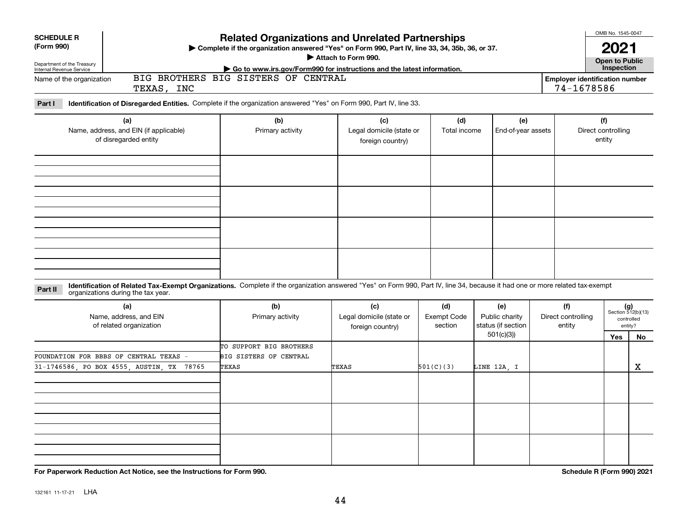| <b>SCHEDULE R</b>                                               |                                                                                                                                                                                                                    | <b>Related Organizations and Unrelated Partnerships</b>                                                                        |                                              |              |                                 |                    | OMB No. 1545-0047                                   |                             |  |  |
|-----------------------------------------------------------------|--------------------------------------------------------------------------------------------------------------------------------------------------------------------------------------------------------------------|--------------------------------------------------------------------------------------------------------------------------------|----------------------------------------------|--------------|---------------------------------|--------------------|-----------------------------------------------------|-----------------------------|--|--|
| (Form 990)                                                      |                                                                                                                                                                                                                    | Complete if the organization answered "Yes" on Form 990, Part IV, line 33, 34, 35b, 36, or 37.                                 |                                              |              |                                 |                    | 2021                                                |                             |  |  |
| Department of the Treasury<br>Internal Revenue Service          |                                                                                                                                                                                                                    |                                                                                                                                | Attach to Form 990.                          |              |                                 |                    | <b>Open to Public</b>                               |                             |  |  |
| Name of the organization                                        |                                                                                                                                                                                                                    | $\triangleright$ Go to www.irs.gov/Form990 for instructions and the latest information.<br>BIG BROTHERS BIG SISTERS OF CENTRAL |                                              |              |                                 |                    | Inspection<br><b>Employer identification number</b> |                             |  |  |
|                                                                 | TEXAS, INC                                                                                                                                                                                                         |                                                                                                                                |                                              |              |                                 |                    | 74-1678586                                          |                             |  |  |
| Part I                                                          | Identification of Disregarded Entities. Complete if the organization answered "Yes" on Form 990, Part IV, line 33.                                                                                                 |                                                                                                                                |                                              |              |                                 |                    |                                                     |                             |  |  |
|                                                                 | (a)                                                                                                                                                                                                                | (b)                                                                                                                            | (c)                                          | (d)          | (e)                             |                    | (f)                                                 |                             |  |  |
| Name, address, and EIN (if applicable)<br>of disregarded entity |                                                                                                                                                                                                                    | Primary activity                                                                                                               | Legal domicile (state or<br>foreign country) | Total income | End-of-year assets              |                    | Direct controlling<br>entity                        |                             |  |  |
|                                                                 |                                                                                                                                                                                                                    |                                                                                                                                |                                              |              |                                 |                    |                                                     |                             |  |  |
|                                                                 |                                                                                                                                                                                                                    |                                                                                                                                |                                              |              |                                 |                    |                                                     |                             |  |  |
|                                                                 |                                                                                                                                                                                                                    |                                                                                                                                |                                              |              |                                 |                    |                                                     |                             |  |  |
|                                                                 |                                                                                                                                                                                                                    |                                                                                                                                |                                              |              |                                 |                    |                                                     |                             |  |  |
|                                                                 |                                                                                                                                                                                                                    |                                                                                                                                |                                              |              |                                 |                    |                                                     |                             |  |  |
| Part II                                                         | Identification of Related Tax-Exempt Organizations. Complete if the organization answered "Yes" on Form 990, Part IV, line 34, because it had one or more related tax-exempt<br>organizations during the tax year. |                                                                                                                                |                                              |              |                                 |                    |                                                     |                             |  |  |
|                                                                 | (a)                                                                                                                                                                                                                | (b)                                                                                                                            | (c)                                          | (d)          | (e)                             | (f)                |                                                     | $(g)$<br>Section 512(b)(13) |  |  |
|                                                                 | Name, address, and EIN                                                                                                                                                                                             | Primary activity                                                                                                               | Legal domicile (state or                     | Exempt Code  | Public charity                  | Direct controlling |                                                     | controlled                  |  |  |
|                                                                 | of related organization                                                                                                                                                                                            |                                                                                                                                | foreign country)                             | section      | status (if section<br>501(c)(3) | entity             |                                                     | entity?                     |  |  |
|                                                                 |                                                                                                                                                                                                                    | TO SUPPORT BIG BROTHERS                                                                                                        |                                              |              |                                 |                    | Yes                                                 | No                          |  |  |
|                                                                 | FOUNDATION FOR BBBS OF CENTRAL TEXAS -                                                                                                                                                                             | BIG SISTERS OF CENTRAL                                                                                                         |                                              |              |                                 |                    |                                                     |                             |  |  |
|                                                                 | 31-1746586, PO BOX 4555, AUSTIN, TX 78765                                                                                                                                                                          | TEXAS                                                                                                                          | TEXAS                                        | 501(C)(3)    | LINE 12A, I                     |                    |                                                     | X                           |  |  |
|                                                                 |                                                                                                                                                                                                                    |                                                                                                                                |                                              |              |                                 |                    |                                                     |                             |  |  |
|                                                                 |                                                                                                                                                                                                                    |                                                                                                                                |                                              |              |                                 |                    |                                                     |                             |  |  |
|                                                                 |                                                                                                                                                                                                                    |                                                                                                                                |                                              |              |                                 |                    |                                                     |                             |  |  |
|                                                                 |                                                                                                                                                                                                                    |                                                                                                                                |                                              |              |                                 |                    |                                                     |                             |  |  |
|                                                                 |                                                                                                                                                                                                                    |                                                                                                                                |                                              |              |                                 |                    |                                                     |                             |  |  |
|                                                                 |                                                                                                                                                                                                                    |                                                                                                                                |                                              |              |                                 |                    |                                                     |                             |  |  |
|                                                                 |                                                                                                                                                                                                                    |                                                                                                                                |                                              |              |                                 |                    |                                                     |                             |  |  |
|                                                                 | For Paperwork Reduction Act Notice, see the Instructions for Form 990.                                                                                                                                             |                                                                                                                                |                                              |              |                                 |                    | Schedule R (Form 990) 2021                          |                             |  |  |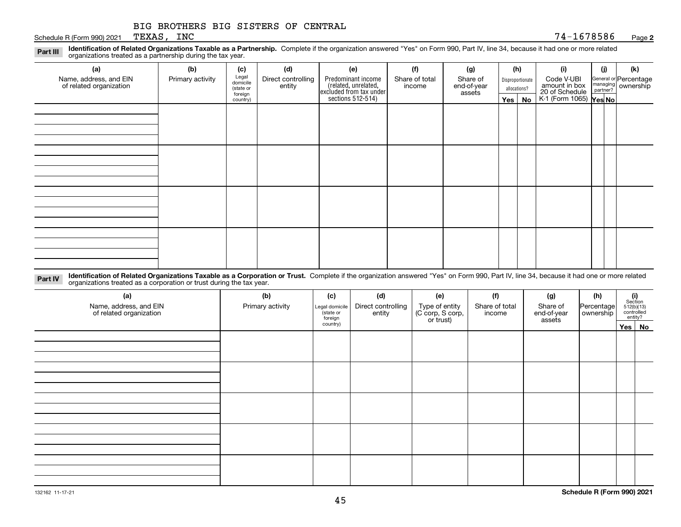Schedule R (Form 990) 2021 FEXAS, INC  $74-1678586$ TEXAS, INC

#### **2**

**Identification of Related Organizations Taxable as a Partnership.** Complete if the organization answered "Yes" on Form 990, Part IV, line 34, because it had one or more related **Part III** organizations treated as a partnership during the tax year.

| (a)                                               | (b)              | (c)                  | (d)                          | (e)                                                                 | (f)            | (g)                   |         | (h)              | (i)                                      | (i) | (k)                                                     |
|---------------------------------------------------|------------------|----------------------|------------------------------|---------------------------------------------------------------------|----------------|-----------------------|---------|------------------|------------------------------------------|-----|---------------------------------------------------------|
| Name, address, and EIN<br>of related organization | Primary activity | Legal<br>domicile    | Direct controlling<br>entity | Predominant income                                                  | Share of total | Share of              |         | Disproportionate | Code V-UBI<br>amount in box              |     | General or Percentage<br>managing ownership<br>partner? |
|                                                   |                  | (state or<br>foreign |                              | related, unrelated,<br>excluded from tax under<br>sections 512-514) | income         | end-of-year<br>assets |         | allocations?     |                                          |     |                                                         |
|                                                   |                  | country)             |                              |                                                                     |                |                       | Yes $ $ | No               | 20 of Schedule<br>K-1 (Form 1065) Yes No |     |                                                         |
|                                                   |                  |                      |                              |                                                                     |                |                       |         |                  |                                          |     |                                                         |
|                                                   |                  |                      |                              |                                                                     |                |                       |         |                  |                                          |     |                                                         |
|                                                   |                  |                      |                              |                                                                     |                |                       |         |                  |                                          |     |                                                         |
|                                                   |                  |                      |                              |                                                                     |                |                       |         |                  |                                          |     |                                                         |
|                                                   |                  |                      |                              |                                                                     |                |                       |         |                  |                                          |     |                                                         |
|                                                   |                  |                      |                              |                                                                     |                |                       |         |                  |                                          |     |                                                         |
|                                                   |                  |                      |                              |                                                                     |                |                       |         |                  |                                          |     |                                                         |
|                                                   |                  |                      |                              |                                                                     |                |                       |         |                  |                                          |     |                                                         |
|                                                   |                  |                      |                              |                                                                     |                |                       |         |                  |                                          |     |                                                         |
|                                                   |                  |                      |                              |                                                                     |                |                       |         |                  |                                          |     |                                                         |
|                                                   |                  |                      |                              |                                                                     |                |                       |         |                  |                                          |     |                                                         |
|                                                   |                  |                      |                              |                                                                     |                |                       |         |                  |                                          |     |                                                         |
|                                                   |                  |                      |                              |                                                                     |                |                       |         |                  |                                          |     |                                                         |
|                                                   |                  |                      |                              |                                                                     |                |                       |         |                  |                                          |     |                                                         |
|                                                   |                  |                      |                              |                                                                     |                |                       |         |                  |                                          |     |                                                         |
|                                                   |                  |                      |                              |                                                                     |                |                       |         |                  |                                          |     |                                                         |
|                                                   |                  |                      |                              |                                                                     |                |                       |         |                  |                                          |     |                                                         |

**Identification of Related Organizations Taxable as a Corporation or Trust.** Complete if the organization answered "Yes" on Form 990, Part IV, line 34, because it had one or more related **Part IV** organizations treated as a corporation or trust during the tax year.

| (a)<br>Name, address, and EIN<br>of related organization | (b)<br>Primary activity | (c)<br>Legal domicile<br>(state or<br>foreign | (d)<br>Direct controlling<br>entity | (e)<br>Type of entity<br>(C corp, S corp,<br>or trust) | (f)<br>Share of total<br>income | (g)<br>Share of<br>end-of-year<br>assets | (h)<br>Percentage<br>ownership | $\begin{array}{c} \textbf{(i)}\\ \text{Section}\\ 512 \text{(b)} \text{(13)}\\ \text{controlled}\\ \text{entity?} \end{array}$ |
|----------------------------------------------------------|-------------------------|-----------------------------------------------|-------------------------------------|--------------------------------------------------------|---------------------------------|------------------------------------------|--------------------------------|--------------------------------------------------------------------------------------------------------------------------------|
|                                                          |                         | country)                                      |                                     |                                                        |                                 |                                          |                                | Yes No                                                                                                                         |
|                                                          |                         |                                               |                                     |                                                        |                                 |                                          |                                |                                                                                                                                |
|                                                          |                         |                                               |                                     |                                                        |                                 |                                          |                                |                                                                                                                                |
|                                                          |                         |                                               |                                     |                                                        |                                 |                                          |                                |                                                                                                                                |
|                                                          |                         |                                               |                                     |                                                        |                                 |                                          |                                |                                                                                                                                |
|                                                          |                         |                                               |                                     |                                                        |                                 |                                          |                                |                                                                                                                                |
|                                                          |                         |                                               |                                     |                                                        |                                 |                                          |                                |                                                                                                                                |
|                                                          |                         |                                               |                                     |                                                        |                                 |                                          |                                |                                                                                                                                |
|                                                          |                         |                                               |                                     |                                                        |                                 |                                          |                                |                                                                                                                                |
|                                                          |                         |                                               |                                     |                                                        |                                 |                                          |                                |                                                                                                                                |
|                                                          |                         |                                               |                                     |                                                        |                                 |                                          |                                |                                                                                                                                |
|                                                          |                         |                                               |                                     |                                                        |                                 |                                          |                                |                                                                                                                                |
|                                                          |                         |                                               |                                     |                                                        |                                 |                                          |                                |                                                                                                                                |
|                                                          |                         |                                               |                                     |                                                        |                                 |                                          |                                |                                                                                                                                |
|                                                          |                         |                                               |                                     |                                                        |                                 |                                          |                                |                                                                                                                                |
|                                                          |                         |                                               |                                     |                                                        |                                 |                                          |                                |                                                                                                                                |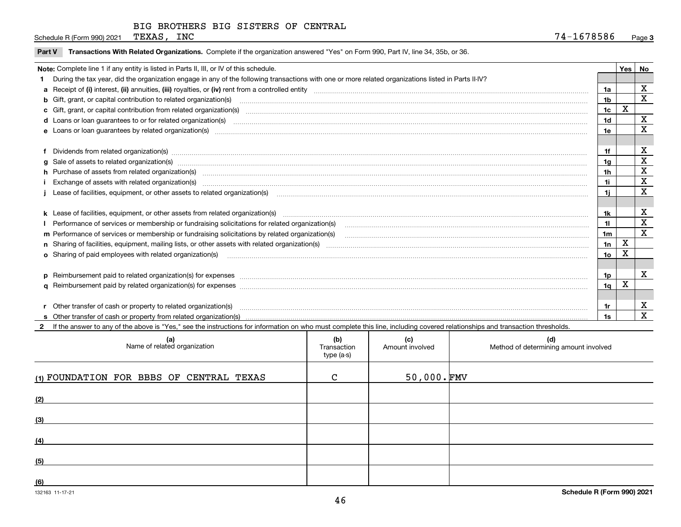| TEXAS<br>----<br>---------<br>TNC.<br>۵.<br>ᆫᇰ<br>.<br>. అలె) 2021<br>Schedule<br>ס ס כ ס<br>n<br>، (Form<br>- v | Page |  |
|------------------------------------------------------------------------------------------------------------------|------|--|
|------------------------------------------------------------------------------------------------------------------|------|--|

**Part V** T**ransactions With Related Organizations.** Complete if the organization answered "Yes" on Form 990, Part IV, line 34, 35b, or 36.

| Note: Complete line 1 if any entity is listed in Parts II, III, or IV of this schedule.                                                                                                                                        |                 | Yes | No                      |
|--------------------------------------------------------------------------------------------------------------------------------------------------------------------------------------------------------------------------------|-----------------|-----|-------------------------|
| During the tax year, did the organization engage in any of the following transactions with one or more related organizations listed in Parts II-IV?                                                                            |                 |     |                         |
|                                                                                                                                                                                                                                | 1a              |     | $\mathbf X$             |
| b Gift, grant, or capital contribution to related organization(s) mature and contained and contribution to related organization(s) matures are contained and contribution to related organization(s) matures are contained and | 1 <sub>b</sub>  |     | X                       |
|                                                                                                                                                                                                                                | 1c              | X   |                         |
| d Loans or loan guarantees to or for related organization(s) mature material content to consume the content of the content of the content of the content of the content of the content of the content of the content of the co | 1 <sub>d</sub>  |     | X                       |
|                                                                                                                                                                                                                                | 1e              |     | X                       |
|                                                                                                                                                                                                                                |                 |     |                         |
|                                                                                                                                                                                                                                | 1f              |     | х                       |
| g Sale of assets to related organization(s) www.assettion.com/www.assettion.com/www.assettion.com/www.assettion.com/www.assettion.com/www.assettion.com/www.assettion.com/www.assettion.com/www.assettion.com/www.assettion.co | 1g              |     | $\mathbf X$             |
| h Purchase of assets from related organization(s) manufactured and content to content the content of assets from related organization(s)                                                                                       | 1h              |     | $\mathbf X$             |
|                                                                                                                                                                                                                                | 1i.             |     | $\mathbf X$             |
| Lease of facilities, equipment, or other assets to related organization(s) [11] manufactured manufactured manufactured manufactured manufactured manufactured manufactured manufactured manufactured manufactured manufactured | 11              |     | X                       |
|                                                                                                                                                                                                                                |                 |     |                         |
|                                                                                                                                                                                                                                | 1k              |     | х                       |
| Performance of services or membership or fundraising solicitations for related organization(s) [11] manufaction(s) and accordination in the service of services or membership or fundraising solicitations for related organiz | 11              |     | $\mathbf X$             |
| m Performance of services or membership or fundraising solicitations by related organization(s)                                                                                                                                | 1 <sub>m</sub>  |     | $\overline{\mathbf{x}}$ |
|                                                                                                                                                                                                                                | 1n              | X   |                         |
| <b>o</b> Sharing of paid employees with related organization(s)                                                                                                                                                                | 10 <sub>o</sub> | х   |                         |
|                                                                                                                                                                                                                                |                 |     |                         |
| p Reimbursement paid to related organization(s) for expenses [1111] and the content of the content of the content of the content of the content of the content of the content of the content of the content of the content of  | 1p.             |     | X                       |
|                                                                                                                                                                                                                                | 1q              | X   |                         |
|                                                                                                                                                                                                                                |                 |     |                         |
| r Other transfer of cash or property to related organization(s)                                                                                                                                                                | 1r              |     | х                       |
|                                                                                                                                                                                                                                | 1s              |     | $\overline{\mathbf{x}}$ |
| 2 If the answer to any of the above is "Yes," see the instructions for information on who must complete this line, including covered relationships and transaction thresholds.                                                 |                 |     |                         |

**(a) (b) (c) (d) (1)**FOUNDATION FOR BBBS OF CENTRAL TEXAS C 50,000. **(2) (3) (4)(5)(6)**Name of related organization  $\vert$  Transaction type (a-s) Amount involved | Method of determining amount involved  $50,000.$  FMV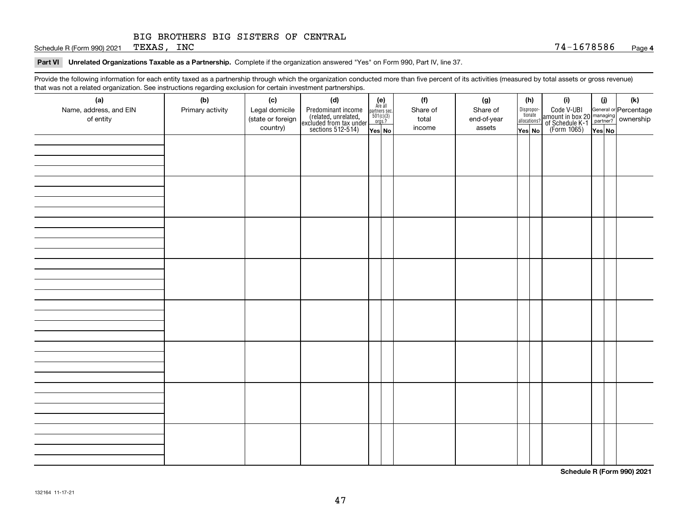Schedule R (Form 990) 2021  $TEXAS$ ,  $INC$ TEXAS, INC

**Part VI Unrelated Organizations Taxable as a Partnership. Complete if the organization answered "Yes" on Form 990, Part IV, line 37.** 

Provide the following information for each entity taxed as a partnership through which the organization conducted more than five percent of its activities (measured by total assets or gross revenue) that was not a related organization. See instructions regarding exclusion for certain investment partnerships.

| - - - - -<br>(a)<br>Name, address, and EIN<br>of entity | − ອ−<br>(b)<br>Primary activity | (c)<br>Legal domicile<br>(state or foreign<br>country) | (d)<br>Predominant income<br>(related, unrelated,<br>excluded from tax under<br>sections 512-514) | $\begin{array}{c} \textbf{(e)}\\ \text{Area all} \\ \text{partners sec.}\\ 501(c)(3) \\ \text{orgs.?} \end{array}$<br>Yes No | (f)<br>Share of<br>total<br>income | (g)<br>Share of<br>end-of-year<br>assets | (h)<br>Dispropor-<br>tionate<br>allocations?<br>Yes No | (i)<br>Code V-UBI<br>amount in box 20 managing<br>of Schedule K-1<br>(Form 1065)<br>$\overline{Yes}$ No | (i)<br>Yes No | (k) |
|---------------------------------------------------------|---------------------------------|--------------------------------------------------------|---------------------------------------------------------------------------------------------------|------------------------------------------------------------------------------------------------------------------------------|------------------------------------|------------------------------------------|--------------------------------------------------------|---------------------------------------------------------------------------------------------------------|---------------|-----|
|                                                         |                                 |                                                        |                                                                                                   |                                                                                                                              |                                    |                                          |                                                        |                                                                                                         |               |     |
|                                                         |                                 |                                                        |                                                                                                   |                                                                                                                              |                                    |                                          |                                                        |                                                                                                         |               |     |
|                                                         |                                 |                                                        |                                                                                                   |                                                                                                                              |                                    |                                          |                                                        |                                                                                                         |               |     |
|                                                         |                                 |                                                        |                                                                                                   |                                                                                                                              |                                    |                                          |                                                        |                                                                                                         |               |     |
|                                                         |                                 |                                                        |                                                                                                   |                                                                                                                              |                                    |                                          |                                                        |                                                                                                         |               |     |
|                                                         |                                 |                                                        |                                                                                                   |                                                                                                                              |                                    |                                          |                                                        |                                                                                                         |               |     |
|                                                         |                                 |                                                        |                                                                                                   |                                                                                                                              |                                    |                                          |                                                        |                                                                                                         |               |     |
|                                                         |                                 |                                                        |                                                                                                   |                                                                                                                              |                                    |                                          |                                                        |                                                                                                         |               |     |

**Schedule R (Form 990) 2021**